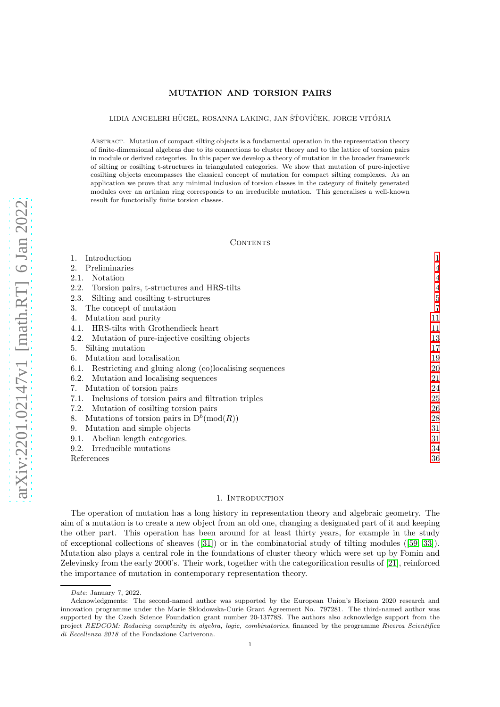# MUTATION AND TORSION PAIRS

LIDIA ANGELERI HÜGEL, ROSANNA LAKING, JAN ŠŤOVÍČEK, JORGE VITÓRIA

ABSTRACT. Mutation of compact silting objects is a fundamental operation in the representation theory of finite-dimensional algebras due to its connections to cluster theory and to the lattice of torsion pairs in module or derived categories. In this paper we develop a theory of mutation in the broader framework of silting or cosilting t-structures in triangulated categories. We show that mutation of pure-injective cosilting objects encompasses the classical concept of mutation for compact silting complexes. As an application we prove that any minimal inclusion of torsion classes in the category of finitely generated modules over an artinian ring corresponds to an irreducible mutation. This generalises a well-known result for functorially finite torsion classes.

**CONTENTS** 

| Introduction                                                  |             |
|---------------------------------------------------------------|-------------|
| Preliminaries                                                 |             |
| Notation<br>2.1.                                              | 4           |
| 2.2.<br>Torsion pairs, t-structures and HRS-tilts             | 4           |
| Silting and cosilting t-structures<br>2.3.                    | $\mathbf 5$ |
| The concept of mutation<br>3.                                 | 7           |
| Mutation and purity<br>4.                                     | 11          |
| HRS-tilts with Grothendieck heart<br>4.1.                     | 11          |
| Mutation of pure-injective cosilting objects<br>4.2.          | 13          |
| Silting mutation<br>5.                                        | 17          |
| Mutation and localisation<br>6.                               | 19          |
| Restricting and gluing along (co)localising sequences<br>6.1. | 20          |
| Mutation and localising sequences<br>6.2.                     | 21          |
| Mutation of torsion pairs                                     | 24          |
| Inclusions of torsion pairs and filtration triples<br>7.1.    | 25          |
| Mutation of cosilting torsion pairs<br>7.2.                   | 26          |
| Mutations of torsion pairs in $D^b(\text{mod}(R))$<br>8.      | 28          |
| Mutation and simple objects<br>9.                             | 31          |
| Abelian length categories.<br>9.1.                            | 31          |
| Irreducible mutations<br>9.2.                                 | 34          |
| References                                                    | 36          |

# 1. Introduction

<span id="page-0-0"></span>The operation of mutation has a long history in representation theory and algebraic geometry. The aim of a mutation is to create a new object from an old one, changing a designated part of it and keeping the other part. This operation has been around for at least thirty years, for example in the study of exceptional collections of sheaves ([\[31\]](#page-35-1)) or in the combinatorial study of tilting modules ([\[59,](#page-36-0) [33\]](#page-35-2)). Mutation also plays a central role in the foundations of cluster theory which were set up by Fomin and Zelevinsky from the early 2000's. Their work, together with the categorification results of [\[21\]](#page-35-3), reinforced the importance of mutation in contemporary representation theory.

Date: January 7, 2022.

Acknowledgments: The second-named author was supported by the European Union's Horizon 2020 research and innovation programme under the Marie Sklodowska-Curie Grant Agreement No. 797281. The third-named author was supported by the Czech Science Foundation grant number 20-13778S. The authors also acknowledge support from the project REDCOM: Reducing complexity in algebra, logic, combinatorics, financed by the programme Ricerca Scientifica di Eccellenza 2018 of the Fondazione Cariverona.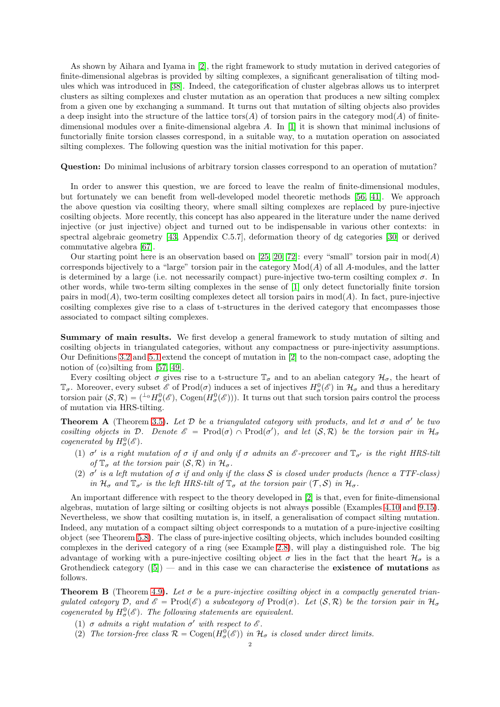As shown by Aihara and Iyama in [\[2\]](#page-35-4), the right framework to study mutation in derived categories of finite-dimensional algebras is provided by silting complexes, a significant generalisation of tilting modules which was introduced in [\[38\]](#page-35-5). Indeed, the categorification of cluster algebras allows us to interpret clusters as silting complexes and cluster mutation as an operation that produces a new silting complex from a given one by exchanging a summand. It turns out that mutation of silting objects also provides a deep insight into the structure of the lattice tors(A) of torsion pairs in the category  $mod(A)$  of finitedimensional modules over a finite-dimensional algebra A. In [\[1\]](#page-35-6) it is shown that minimal inclusions of functorially finite torsion classes correspond, in a suitable way, to a mutation operation on associated silting complexes. The following question was the initial motivation for this paper.

Question: Do minimal inclusions of arbitrary torsion classes correspond to an operation of mutation?

In order to answer this question, we are forced to leave the realm of finite-dimensional modules, but fortunately we can benefit from well-developed model theoretic methods [\[56,](#page-36-1) [41\]](#page-35-7). We approach the above question via cosilting theory, where small silting complexes are replaced by pure-injective cosilting objects. More recently, this concept has also appeared in the literature under the name derived injective (or just injective) object and turned out to be indispensable in various other contexts: in spectral algebraic geometry [\[43,](#page-36-2) Appendix C.5.7], deformation theory of dg categories [\[30\]](#page-35-8) or derived commutative algebra [\[67\]](#page-36-3).

Our starting point here is an observation based on [\[25,](#page-35-9) [20,](#page-35-10) [72\]](#page-36-4): every "small" torsion pair in  $mod(A)$ corresponds bijectively to a "large" torsion pair in the category  $Mod(A)$  of all A-modules, and the latter is determined by a large (i.e. not necessarily compact) pure-injective two-term cosilting complex  $\sigma$ . In other words, while two-term silting complexes in the sense of [\[1\]](#page-35-6) only detect functorially finite torsion pairs in  $mod(A)$ , two-term cosilting complexes detect all torsion pairs in  $mod(A)$ . In fact, pure-injective cosilting complexes give rise to a class of t-structures in the derived category that encompasses those associated to compact silting complexes.

Summary of main results. We first develop a general framework to study mutation of silting and cosilting objects in triangulated categories, without any compactness or pure-injectivity assumptions. Our Definitions [3.2](#page-6-1) and [5.1](#page-17-0) extend the concept of mutation in [\[2\]](#page-35-4) to the non-compact case, adopting the notion of (co)silting from [\[57,](#page-36-5) [49\]](#page-36-6).

Every cosilting object  $\sigma$  gives rise to a t-structure  $\mathbb{T}_{\sigma}$  and to an abelian category  $\mathcal{H}_{\sigma}$ , the heart of  $\mathbb{T}_{\sigma}$ . Moreover, every subset  $\mathscr{E}$  of Prod $(\sigma)$  induces a set of injectives  $H^0_{\sigma}(\mathscr{E})$  in  $\mathcal{H}_{\sigma}$  and thus a hereditary torsion pair  $(\mathcal{S}, \mathcal{R}) = ({}^{\perp_0} H^0_\sigma(\mathscr{E}), \text{Cogen}(H^0_\sigma(\mathscr{E})))$ . It turns out that such torsion pairs control the process of mutation via HRS-tilting.

**Theorem A** (Theorem [3.5\)](#page-7-0). Let  $D$  be a triangulated category with products, and let  $\sigma$  and  $\sigma'$  be two *cosilting objects in*  $D$ . Denote  $\mathscr{E} = \text{Prod}(\sigma) \cap \text{Prod}(\sigma')$ , and let  $(S, \mathcal{R})$  be the torsion pair in  $\mathcal{H}_{\sigma}$ *cogenerated by*  $H^0_\sigma(\mathscr{E})$ .

- (1)  $\sigma'$  is a right mutation of  $\sigma$  *if and only if*  $\sigma$  *admits an*  $\mathscr E$ -precover and  $\mathbb T_{\sigma'}$  is the right HRS-tilt *of*  $\mathbb{T}_{\sigma}$  *at the torsion pair*  $(S, \mathcal{R})$  *in*  $\mathcal{H}_{\sigma}$ *.*
- (2)  $\sigma'$  *is a left mutation of*  $\sigma$  *if and only if the class* S *is closed under products (hence a TTF-class) in*  $\mathcal{H}_{\sigma}$  *and*  $\mathbb{T}_{\sigma'}$  *is the left HRS-tilt of*  $\mathbb{T}_{\sigma}$  *at the torsion pair*  $(\mathcal{T}, \mathcal{S})$  *in*  $\mathcal{H}_{\sigma}$ *.*

An important difference with respect to the theory developed in [\[2\]](#page-35-4) is that, even for finite-dimensional algebras, mutation of large silting or cosilting objects is not always possible (Examples [4.10](#page-15-0) and [9.15\)](#page-34-0). Nevertheless, we show that cosilting mutation is, in itself, a generalisation of compact silting mutation. Indeed, any mutation of a compact silting object corresponds to a mutation of a pure-injective cosilting object (see Theorem [5.8\)](#page-18-1). The class of pure-injective cosilting objects, which includes bounded cosilting complexes in the derived category of a ring (see Example [2.8\)](#page-5-0), will play a distinguished role. The big advantage of working with a pure-injective cosilting object  $\sigma$  lies in the fact that the heart  $\mathcal{H}_{\sigma}$  is a Grothendieck category  $([5])$  $([5])$  $([5])$  — and in this case we can characterise the **existence of mutations** as follows.

**Theorem B** (Theorem [4.9\)](#page-14-0). Let  $\sigma$  be a pure-injective cosilting object in a compactly generated trian*gulated category*  $D$ , and  $\mathscr{E} = \text{Prod}(\mathscr{E})$  a subcategory of  $\text{Prod}(\sigma)$ . Let  $(\mathcal{S}, \mathcal{R})$  be the torsion pair in  $\mathcal{H}_{\sigma}$ *cogenerated by*  $H^0_\sigma(\mathscr{E})$ . The following statements are equivalent.

- (1)  $\sigma$  *admits* a right mutation  $\sigma'$  with respect to  $\mathscr E$ .
- (2) The torsion-free class  $\mathcal{R} = \text{Cogen}(H^0_\sigma(\mathscr{E}))$  in  $\mathcal{H}_\sigma$  is closed under direct limits.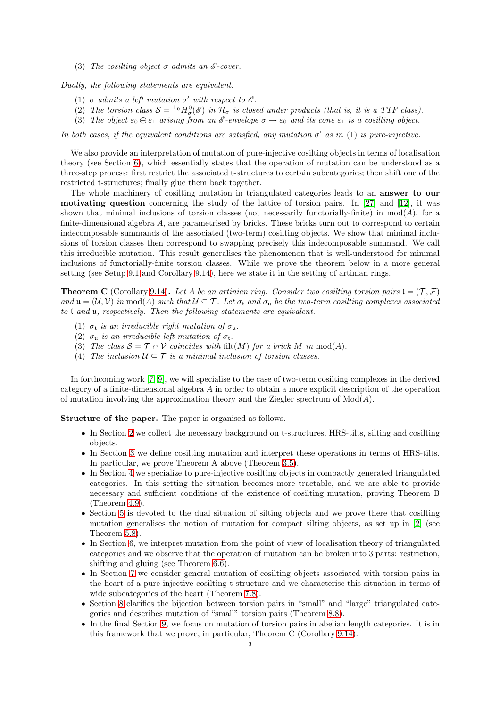(3) *The cosilting object*  $\sigma$  *admits an*  $\mathscr E$ -cover.

*Dually, the following statements are equivalent.*

- (1)  $\sigma$  *admits a left mutation*  $\sigma'$  *with respect to*  $\mathscr E$ *.*
- (2) The torsion class  $S = {}^{\perp_0}H^0_{\sigma}(\mathscr{E})$  in  $\mathcal{H}_{\sigma}$  is closed under products (that is, it is a TTF class).
- (3) *The object*  $\varepsilon_0 \oplus \varepsilon_1$  *arising from an*  $\varepsilon$ -envelope  $\sigma \to \varepsilon_0$  *and its cone*  $\varepsilon_1$  *is a cosilting object.*

*In both cases, if the equivalent conditions are satisfied, any mutation*  $\sigma'$  *as in* (1) *is pure-injective.* 

We also provide an interpretation of mutation of pure-injective cosilting objects in terms of localisation theory (see Section [6\)](#page-18-0), which essentially states that the operation of mutation can be understood as a three-step process: first restrict the associated t-structures to certain subcategories; then shift one of the restricted t-structures; finally glue them back together.

The whole machinery of cosilting mutation in triangulated categories leads to an answer to our motivating question concerning the study of the lattice of torsion pairs. In [\[27\]](#page-35-12) and [\[12\]](#page-35-13), it was shown that minimal inclusions of torsion classes (not necessarily functorially-finite) in  $mod(A)$ , for a finite-dimensional algebra A, are parametrised by bricks. These bricks turn out to correspond to certain indecomposable summands of the associated (two-term) cosilting objects. We show that minimal inclusions of torsion classes then correspond to swapping precisely this indecomposable summand. We call this irreducible mutation. This result generalises the phenomenon that is well-understood for minimal inclusions of functorially-finite torsion classes. While we prove the theorem below in a more general setting (see Setup [9.1](#page-30-2) and Corollary [9.14\)](#page-34-1), here we state it in the setting of artinian rings.

**Theorem C** (Corollary [9.14\)](#page-34-1). Let A be an artinian ring. Consider two cosilting torsion pairs  $\mathbf{t} = (\mathcal{T}, \mathcal{F})$  $\alpha$  and  $\mathfrak{u} = (\mathcal{U}, \mathcal{V})$  *in* mod(A) such that  $\mathcal{U} \subseteq \mathcal{T}$ . Let  $\sigma_t$  and  $\sigma_u$  be the two-term cosilting complexes associated *to* t *and* u*, respectively. Then the following statements are equivalent.*

- (1)  $\sigma_t$  *is an irreducible right mutation of*  $\sigma_u$ .
- (2)  $\sigma_{\rm u}$  *is an irreducible left mutation of*  $\sigma_{\rm t}$ *.*
- (3) The class  $S = \mathcal{T} \cap \mathcal{V}$  coincides with filt(M) for a brick M in mod(A).
- (4) The inclusion  $U \subseteq \mathcal{T}$  is a minimal inclusion of torsion classes.

In forthcoming work [\[7,](#page-35-14) [9\]](#page-35-15), we will specialise to the case of two-term cosilting complexes in the derived category of a finite-dimensional algebra A in order to obtain a more explicit description of the operation of mutation involving the approximation theory and the Ziegler spectrum of  $Mod(A)$ .

Structure of the paper. The paper is organised as follows.

- ' In Section [2](#page-3-0) we collect the necessary background on t-structures, HRS-tilts, silting and cosilting objects.
- ' In Section [3](#page-6-0) we define cosilting mutation and interpret these operations in terms of HRS-tilts. In particular, we prove Theorem A above (Theorem [3.5\)](#page-7-0).
- ' In Section [4](#page-10-0) we specialize to pure-injective cosilting objects in compactly generated triangulated categories. In this setting the situation becomes more tractable, and we are able to provide necessary and sufficient conditions of the existence of cosilting mutation, proving Theorem B (Theorem [4.9\)](#page-14-0).
- ' Section [5](#page-16-0) is devoted to the dual situation of silting objects and we prove there that cosilting mutation generalises the notion of mutation for compact silting objects, as set up in [\[2\]](#page-35-4) (see Theorem [5.8\)](#page-18-1).
- ' In Section [6,](#page-18-0) we interpret mutation from the point of view of localisation theory of triangulated categories and we observe that the operation of mutation can be broken into 3 parts: restriction, shifting and gluing (see Theorem [6.6\)](#page-21-0).
- ' In Section [7](#page-23-0) we consider general mutation of cosilting objects associated with torsion pairs in the heart of a pure-injective cosilting t-structure and we characterise this situation in terms of wide subcategories of the heart (Theorem [7.8\)](#page-26-0).
- ' Section [8](#page-27-0) clarifies the bijection between torsion pairs in "small" and "large" triangulated categories and describes mutation of "small" torsion pairs (Theorem [8.8\)](#page-29-0).
- ' In the final Section [9,](#page-30-0) we focus on mutation of torsion pairs in abelian length categories. It is in this framework that we prove, in particular, Theorem C (Corollary [9.14\)](#page-34-1).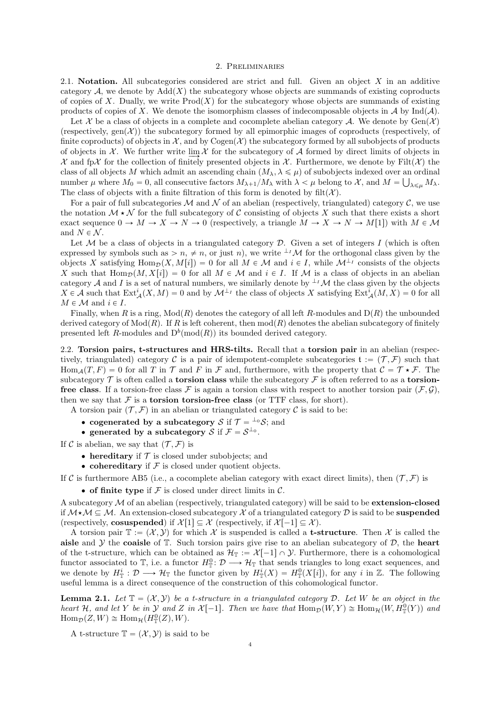## 2. Preliminaries

<span id="page-3-1"></span><span id="page-3-0"></span>2.1. **Notation.** All subcategories considered are strict and full. Given an object  $X$  in an additive category A, we denote by  $Add(X)$  the subcategory whose objects are summands of existing coproducts of copies of X. Dually, we write  $\text{Prod}(X)$  for the subcategory whose objects are summands of existing products of copies of X. We denote the isomorphism classes of indecomposable objects in A by Ind(A).

Let X be a class of objects in a complete and cocomplete abelian category A. We denote by  $Gen(X)$ (respectively,  $gen(X)$ ) the subcategory formed by all epimorphic images of coproducts (respectively, of finite coproducts) of objects in  $\mathcal{X}$ , and by Cogen $(\mathcal{X})$  the subcategory formed by all subobjects of products of objects in  $\mathcal X$ . We further write  $\lim \mathcal X$  for the subcategory of  $\mathcal A$  formed by direct limits of objects in  $\mathcal X$  and fp $\mathcal X$  for the collection of finitely presented objects in  $\mathcal X$ . Furthermore, we denote by Filt $(\mathcal X)$  the class of all objects M which admit an ascending chain  $(M_\lambda, \lambda \leq \mu)$  of subobjects indexed over an ordinal number  $\mu$  where  $M_0 = 0$ , all consecutive factors  $M_{\lambda+1}/M_{\lambda}$  with  $\lambda < \mu$  belong to X, and  $M = \bigcup_{\lambda \leq \mu} M_{\lambda}$ . The class of objects with a finite filtration of this form is denoted by filt $(X)$ .

For a pair of full subcategories M and N of an abelian (respectively, triangulated) category C, we use the notation  $M \star \mathcal{N}$  for the full subcategory of C consisting of objects X such that there exists a short exact sequence  $0 \to M \to X \to N \to 0$  (respectively, a triangle  $M \to X \to N \to M[1]$ ) with  $M \in \mathcal{M}$ and  $N \in \mathcal{N}$ .

Let  $M$  be a class of objects in a triangulated category  $D$ . Given a set of integers I (which is often expressed by symbols such as  $> n, \neq n$ , or just n), we write  $\perp^{I}M$  for the orthogonal class given by the objects X satisfying  $\text{Hom}_{\mathcal{D}}(X, M[i]) = 0$  for all  $M \in \mathcal{M}$  and  $i \in I$ , while  $\mathcal{M}^{\perp i}$  consists of the objects X such that  $\text{Hom}_{\mathcal{D}}(M, X[i]) = 0$  for all  $M \in \mathcal{M}$  and  $i \in I$ . If M is a class of objects in an abelian category A and I is a set of natural numbers, we similarly denote by  $\perp^{I}M$  the class given by the objects  $X \in \mathcal{A}$  such that  $\text{Ext}_{\mathcal{A}}^{i}(X, M) = 0$  and by  $\mathcal{M}^{\perp_{I}}$  the class of objects X satisfying  $\text{Ext}_{\mathcal{A}}^{i}(M, X) = 0$  for all  $M \in \mathcal{M}$  and  $i \in I$ .

Finally, when R is a ring,  $Mod(R)$  denotes the category of all left R-modules and  $D(R)$  the unbounded derived category of  $Mod(R)$ . If R is left coherent, then  $mod(R)$  denotes the abelian subcategory of finitely presented left R-modules and  $D^b(\text{mod}(R))$  its bounded derived category.

<span id="page-3-2"></span>2.2. Torsion pairs, t-structures and HRS-tilts. Recall that a torsion pair in an abelian (respectively, triangulated) category C is a pair of idempotent-complete subcategories  $\mathfrak{t} := (\mathcal{T}, \mathcal{F})$  such that  $\text{Hom}_{\mathcal{A}}(T, F) = 0$  for all T in T and F in F and, furthermore, with the property that  $\mathcal{C} = \mathcal{T} * \mathcal{F}$ . The subcategory  $\mathcal T$  is often called a torsion class while the subcategory  $\mathcal F$  is often referred to as a torsionfree class. If a torsion-free class  $\mathcal F$  is again a torsion class with respect to another torsion pair  $(\mathcal F, \mathcal G)$ , then we say that  $\mathcal F$  is a **torsion torsion-free class** (or TTF class, for short).

A torsion pair  $(\mathcal{T}, \mathcal{F})$  in an abelian or triangulated category C is said to be:

- cogenerated by a subcategory S if  $\mathcal{T} = {}^{\perp_0} \mathcal{S}$ ; and
- generated by a subcategory S if  $\mathcal{F} = \mathcal{S}^{\perp_0}$ .

If C is abelian, we say that  $(\mathcal{T}, \mathcal{F})$  is

- $\bullet$  hereditary if  $\mathcal T$  is closed under subobjects; and
- cohereditary if  $F$  is closed under quotient objects.

If C is furthermore AB5 (i.e., a cocomplete abelian category with exact direct limits), then  $(\mathcal{T}, \mathcal{F})$  is

• of finite type if  $\mathcal F$  is closed under direct limits in  $\mathcal C$ .

A subcategory M of an abelian (respectively, triangulated category) will be said to be extension-closed if  $M \star \mathcal{M} \subseteq \mathcal{M}$ . An extension-closed subcategory X of a triangulated category D is said to be **suspended** (respectively, **cosuspended**) if  $\mathcal{X}[1] \subseteq \mathcal{X}$  (respectively, if  $\mathcal{X}[-1] \subseteq \mathcal{X}$ ).

A torsion pair  $\mathbb{T} := (\mathcal{X}, \mathcal{Y})$  for which X is suspended is called a **t-structure**. Then X is called the aisle and  $\mathcal Y$  the coaisle of  $\mathbb T$ . Such torsion pairs give rise to an abelian subcategory of  $\mathcal D$ , the heart of the t-structure, which can be obtained as  $\mathcal{H}_{\mathbb{T}} := \mathcal{X}[-1] \cap \mathcal{Y}$ . Furthermore, there is a cohomological functor associated to  $\mathbb{T}$ , i.e. a functor  $H_{\mathbb{T}}^0: \mathcal{D} \longrightarrow \mathcal{H}_{\mathbb{T}}$  that sends triangles to long exact sequences, and we denote by  $H^i_{\mathbb{T}}: \mathcal{D} \longrightarrow \mathcal{H}_{\mathbb{T}}$  the functor given by  $H^i_{\mathbb{T}}(X) = H^0_{\mathbb{T}}(X[i])$ , for any i in  $\mathbb{Z}$ . The following useful lemma is a direct consequence of the construction of this cohomological functor.

<span id="page-3-3"></span>**Lemma 2.1.** Let  $\mathbb{T} = (\mathcal{X}, \mathcal{Y})$  be a t-structure in a triangulated category D. Let W be an object in the *heart* H, and let Y be in  $\mathcal Y$  and Z in  $\mathcal X[-1]$ . Then we have that  $\text{Hom}_{\mathcal D}(W, Y) \cong \text{Hom}_{\mathcal H}(W, H^0_{\mathbb T}(Y))$  and  $\text{Hom}_{\mathcal{D}}(Z, W) \cong \text{Hom}_{\mathcal{H}}(H^0_{\mathbb{T}}(Z), W).$ 

A t-structure  $\mathbb{T} = (\mathcal{X}, \mathcal{Y})$  is said to be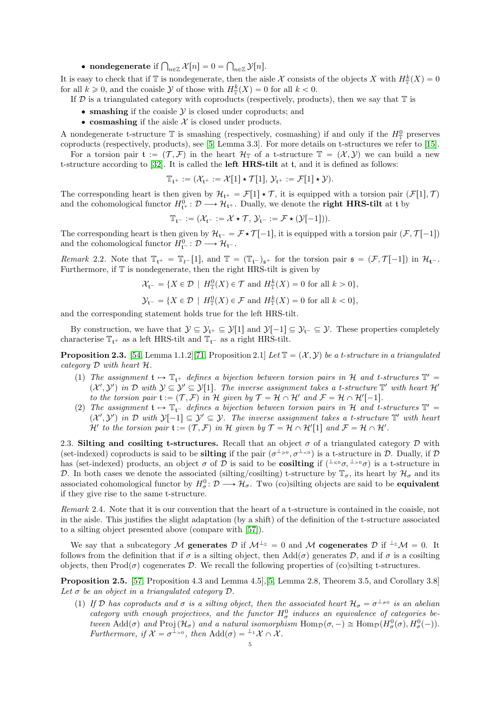• nondegenerate if  $\bigcap_{n\in\mathbb{Z}}\mathcal{X}[n]=0=\bigcap_{n\in\mathbb{Z}}\mathcal{Y}[n].$ 

It is easy to check that if  $\mathbb T$  is nondegenerate, then the aisle X consists of the objects X with  $H^k_{\mathbb T}(X) = 0$ for all  $k \geq 0$ , and the coaisle Y of those with  $H^k_{\mathbb{T}}(X) = 0$  for all  $k < 0$ .

- If  $\mathcal D$  is a triangulated category with coproducts (respectively, products), then we say that  $\mathbb T$  is
	- $\bullet$  smashing if the coaisle  $\mathcal Y$  is closed under coproducts; and
	- cosmashing if the aisle  $\mathcal X$  is closed under products.

A nondegenerate t-structure  $\mathbb T$  is smashing (respectively, cosmashing) if and only if the  $H_{\mathbb T}^0$  preserves coproducts (respectively, products), see [\[5,](#page-35-11) Lemma 3.3]. For more details on t-structures we refer to [\[15\]](#page-35-16).

For a torsion pair  $\mathfrak{t} := (\mathcal{T}, \mathcal{F})$  in the heart  $\mathcal{H}_{\mathbb{T}}$  of a t-structure  $\mathbb{T} = (\mathcal{X}, \mathcal{Y})$  we can build a new t-structure according to [\[32\]](#page-35-17). It is called the left HRS-tilt at t, and it is defined as follows:

$$
\mathbb{T}_{\mathfrak{t}^+} := (\mathcal{X}_{\mathfrak{t}^+} := \mathcal{X}[1] \star \mathcal{T}[1], \mathcal{Y}_{\mathfrak{t}^+} := \mathcal{F}[1] \star \mathcal{Y}).
$$

The corresponding heart is then given by  $\mathcal{H}_{t^+} = \mathcal{F}[1] \star \mathcal{T}$ , it is equipped with a torsion pair  $(\mathcal{F}[1], \mathcal{T})$ and the cohomological functor  $H^0_{\mathfrak{t}^+} : \mathcal{D} \longrightarrow \mathcal{H}_{\mathfrak{t}^+}$ . Dually, we denote the **right HRS-tilt** at t by

$$
\mathbb{T}_{\mathfrak{t}^-}:= (\mathcal{X}_{\mathfrak{t}^-}:= \mathcal{X} \star \mathcal{T}, \, \mathcal{Y}_{\mathfrak{t}^-}:= \mathcal{F} \star (\mathcal{Y}[-1])).
$$

The corresponding heart is then given by  $\mathcal{H}_{t^-} = \mathcal{F} \star \mathcal{T}[-1]$ , it is equipped with a torsion pair  $(\mathcal{F}, \mathcal{T}[-1])$ and the cohomological functor  $H_{\mathfrak{t}^-}^0: \mathcal{D} \longrightarrow \mathcal{H}_{\mathfrak{t}^-}$ .

<span id="page-4-2"></span>*Remark* 2.2. Note that  $\mathbb{T}_{t^+} = \mathbb{T}_{t^-}[1]$ , and  $\mathbb{T} = (\mathbb{T}_{t^-})_{s^+}$  for the torsion pair  $\mathfrak{s} = (\mathcal{F}, \mathcal{T}[-1])$  in  $\mathcal{H}_{t^-}$ . Furthermore, if T is nondegenerate, then the right HRS-tilt is given by

$$
\mathcal{X}_{\mathfrak{t}^-} = \{ X \in \mathcal{D} \mid H^0_{\mathbb{T}}(X) \in \mathcal{T} \text{ and } H^k_{\mathbb{T}}(X) = 0 \text{ for all } k > 0 \},
$$

$$
\mathcal{Y}_{\mathfrak{t}^-} = \{ X \in \mathcal{D} \mid H^0_{\mathbb{T}}(X) \in \mathcal{F} \text{ and } H^k_{\mathbb{T}}(X) = 0 \text{ for all } k < 0 \},
$$

and the corresponding statement holds true for the left HRS-tilt.

By construction, we have that  $\mathcal{Y} \subseteq \mathcal{Y}_{t^+} \subseteq \mathcal{Y}[1]$  and  $\mathcal{Y}[-1] \subseteq \mathcal{Y}_{t^-} \subseteq \mathcal{Y}$ . These properties completely characterise  $\mathbb{T}_{t+}$  as a left HRS-tilt and  $\mathbb{T}_{t-}$  as a right HRS-tilt.

<span id="page-4-3"></span>**Proposition 2.3.** [\[54,](#page-36-7) Lemma 1.1.2][\[71,](#page-36-8) Proposition 2.1] Let  $\mathbb{T} = (\mathcal{X}, \mathcal{Y})$  be a t-structure in a triangulated *category* D *with heart* H*.*

- (1) The assignment  $t \mapsto T_{t^+}$  defines a bijection between torsion pairs in H and t-structures  $T' =$  $(X', Y')$  in D with  $Y \subseteq Y' \subseteq Y[1]$ . The inverse assignment takes a t-structure  $\mathbb{T}'$  with heart  $\mathcal{H}'$ *to the torsion pair*  $\mathfrak{t} := (\mathcal{T}, \mathcal{F})$  *in*  $\mathcal{H}$  *given by*  $\mathcal{T} = \mathcal{H} \cap \mathcal{H}'$  *and*  $\mathcal{F} = \mathcal{H} \cap \mathcal{H}'[-1]$ *.*
- (2) The assignment  $t \mapsto T_{t}$  *defines a bijection between torsion pairs in* H *and t-structures*  $T' =$  $(X', Y')$  in D with  $Y[-1] \subseteq Y' \subseteq Y$ . The inverse assignment takes a t-structure  $T'$  with heart  $\mathcal{H}'$  to the torsion pair  $\mathfrak{t} := (\mathcal{T}, \mathcal{F})$  in  $\mathcal{H}$  given by  $\mathcal{T} = \mathcal{H} \cap \mathcal{H}'[1]$  and  $\mathcal{F} = \mathcal{H} \cap \mathcal{H}'.$

<span id="page-4-0"></span>2.3. Silting and cosilting t-structures. Recall that an object  $\sigma$  of a triangulated category  $\mathcal D$  with (set-indexed) coproducts is said to be **silting** if the pair  $(\sigma^{\perp_{\geq 0}}, \sigma^{\perp_{\leq 0}})$  is a t-structure in D. Dually, if D has (set-indexed) products, an object  $\sigma$  of  $\mathcal D$  is said to be **cosilting** if  $(1\leq \sigma, 1\leq \sigma)$  is a t-structure in D. In both cases we denote the associated (silting/cosilting) t-structure by  $\mathbb{T}_{\sigma}$ , its heart by  $\mathcal{H}_{\sigma}$  and its associated cohomological functor by  $H^0_\sigma: \mathcal{D} \longrightarrow \mathcal{H}_\sigma$ . Two (co)silting objects are said to be **equivalent** if they give rise to the same t-structure.

*Remark* 2.4*.* Note that it is our convention that the heart of a t-structure is contained in the coaisle, not in the aisle. This justifies the slight adaptation (by a shift) of the definition of the t-structure associated to a silting object presented above (compare with [\[57\]](#page-36-5)).

We say that a subcategory M generates D if  $M^{\perp_{\mathbb{Z}}} = 0$  and M cogenerates D if  $^{\perp_{\mathbb{Z}}}M = 0$ . It follows from the definition that if  $\sigma$  is a silting object, then Add $(\sigma)$  generates D, and if  $\sigma$  is a cosilting objects, then  $\text{Prod}(\sigma)$  cogenerates D. We recall the following properties of (co)silting t-structures.

<span id="page-4-1"></span>Proposition 2.5. [\[57,](#page-36-5) Proposition 4.3 and Lemma 4.5]*,*[\[5,](#page-35-11) Lemma 2.8, Theorem 3.5, and Corollary 3.8] Let  $\sigma$  be an object in a triangulated category  $\mathcal{D}$ .

(1) If D has coproducts and  $\sigma$  is a silting object, then the associated heart  $\mathcal{H}_{\sigma} = \sigma^{\perp_{\neq 0}}$  is an abelian category with enough projectives, and the functor  $H^0_\sigma$  induces an equivalence of categories be*tween*  $\text{Add}(\sigma)$  *and*  $\text{Proj}(\mathcal{H}_\sigma)$  *and a natural isomorphism*  $\text{Hom}_{\mathcal{D}}(\sigma, -) \cong \text{Hom}_{\mathcal{D}}(H^0_\sigma(\sigma), H^0_\sigma(-))$ . *Furthermore, if*  $\mathcal{X} = \sigma^{\perp_{>0}}$ *, then*  $\text{Add}(\sigma) = {}^{\perp_1}\mathcal{X} \cap \mathcal{X}$ *.*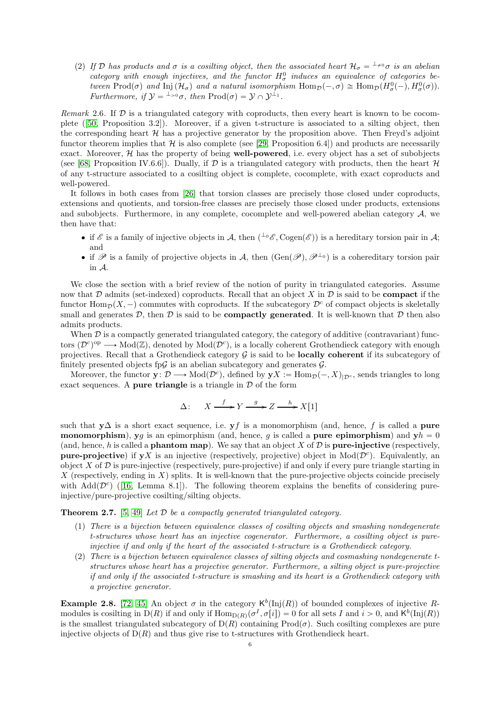(2) *If* D has products and  $\sigma$  *is a cosilting object, then the associated heart*  $\mathcal{H}_{\sigma} = {}^{\perp_{\neq 0}}\sigma$  *is an abelian category with enough injectives, and the functor*  $H^0_\sigma$  *induces an equivalence of categories between* Prod( $\sigma$ ) and Inj( $\mathcal{H}_{\sigma}$ ) and a natural isomorphism Hom $p(-, \sigma) \cong \text{Hom}_{\mathcal{D}}(H^0_{\sigma}(-), H^0_{\sigma}(\sigma)).$ *Furthermore, if*  $\mathcal{Y} = {}^{\perp_{>0}}\sigma$ *, then*  $\text{Prod}(\sigma) = \mathcal{Y} \cap \mathcal{Y}^{\perp_1}$ *.* 

<span id="page-5-1"></span>*Remark* 2.6. If  $D$  is a triangulated category with coproducts, then every heart is known to be cocomplete ([\[50,](#page-36-9) Proposition 3.2]). Moreover, if a given t-structure is associated to a silting object, then the corresponding heart  $H$  has a projective generator by the proposition above. Then Freyd's adjoint functor theorem implies that  $\mathcal{H}$  is also complete (see [\[29,](#page-35-18) Proposition 6.4]) and products are necessarily exact. Moreover,  $\mathcal{H}$  has the property of being well-powered, i.e. every object has a set of subobjects (see [\[68,](#page-36-10) Proposition IV.6.6]). Dually, if  $\mathcal D$  is a triangulated category with products, then the heart  $\mathcal H$ of any t-structure associated to a cosilting object is complete, cocomplete, with exact coproducts and well-powered.

It follows in both cases from [\[26\]](#page-35-19) that torsion classes are precisely those closed under coproducts, extensions and quotients, and torsion-free classes are precisely those closed under products, extensions and subobjects. Furthermore, in any complete, cocomplete and well-powered abelian category  $A$ , we then have that:

- if  $\mathscr E$  is a family of injective objects in A, then  $({}^{\perp_0}\mathscr E, \mathrm{Cogen}(\mathscr E))$  is a hereditary torsion pair in A; and
- if  $\mathscr P$  is a family of projective objects in A, then  $(\text{Gen}(\mathscr P), \mathscr P^{\perp_0})$  is a cohereditary torsion pair in A.

We close the section with a brief review of the notion of purity in triangulated categories. Assume now that  $\mathcal D$  admits (set-indexed) coproducts. Recall that an object X in  $\mathcal D$  is said to be **compact** if the functor  $\text{Hom}_{\mathcal{D}}(X, -)$  commutes with coproducts. If the subcategory  $\mathcal{D}^c$  of compact objects is skeletally small and generates  $D$ , then  $D$  is said to be **compactly generated**. It is well-known that  $D$  then also admits products.

When  $\mathcal D$  is a compactly generated triangulated category, the category of additive (contravariant) functors  $(\mathcal{D}^c)^{op} \longrightarrow Mod(\mathbb{Z})$ , denoted by  $Mod(\mathcal{D}^c)$ , is a locally coherent Grothendieck category with enough projectives. Recall that a Grothendieck category  $\mathcal G$  is said to be **locally coherent** if its subcategory of finitely presented objects fp $\mathcal G$  is an abelian subcategory and generates  $\mathcal G$ .

Moreover, the functor  $y: \mathcal{D} \longrightarrow Mod(\mathcal{D}^c)$ , defined by  $yX := Hom_{\mathcal{D}}(-, X)_{|\mathcal{D}^c}$ , sends triangles to long exact sequences. A pure triangle is a triangle in  $D$  of the form

$$
\Delta: \quad X \xrightarrow{f} Y \xrightarrow{g} Z \xrightarrow{h} X[1]
$$

such that  $y\Delta$  is a short exact sequence, i.e. y f is a monomorphism (and, hence, f is called a pure **monomorphism**), yg is an epimorphism (and, hence, g is called a pure epimorphism) and  $yh = 0$ (and, hence, h is called a **phantom map**). We say that an object X of  $\mathcal D$  is **pure-injective** (respectively, **pure-projective**) if  $yX$  is an injective (respectively, projective) object in Mod $(\mathcal{D}^c)$ . Equivalently, an object X of  $\mathcal D$  is pure-injective (respectively, pure-projective) if and only if every pure triangle starting in X (respectively, ending in X) splits. It is well-known that the pure-projective objects coincide precisely with  $\text{Add}(\mathcal{D}^c)$  ([\[16,](#page-35-20) Lemma 8.1]). The following theorem explains the benefits of considering pureinjective/pure-projective cosilting/silting objects.

<span id="page-5-2"></span>Theorem 2.7. [\[5,](#page-35-11) [49\]](#page-36-6) *Let* D *be a compactly generated triangulated category.*

- (1) *There is a bijection between equivalence classes of cosilting objects and smashing nondegenerate t-structures whose heart has an injective cogenerator. Furthermore, a cosilting object is pureinjective if and only if the heart of the associated t-structure is a Grothendieck category.*
- (2) *There is a bijection between equivalence classes of silting objects and cosmashing nondegenerate tstructures whose heart has a projective generator. Furthermore, a silting object is pure-projective if and only if the associated t-structure is smashing and its heart is a Grothendieck category with a projective generator.*

<span id="page-5-0"></span>**Example 2.8.** [\[72,](#page-36-4) [45\]](#page-36-11) An object  $\sigma$  in the category  $\mathsf{K}^b(\text{Inj}(R))$  of bounded complexes of injective Rmodules is cosilting in  $D(R)$  if and only if  $\text{Hom}_{D(R)}(\sigma^I, \sigma[i]) = 0$  for all sets I and  $i > 0$ , and  $K^b(\text{Inj}(R))$ is the smallest triangulated subcategory of  $D(R)$  containing  $\text{Prod}(\sigma)$ . Such cosilting complexes are pure injective objects of  $D(R)$  and thus give rise to t-structures with Grothendieck heart.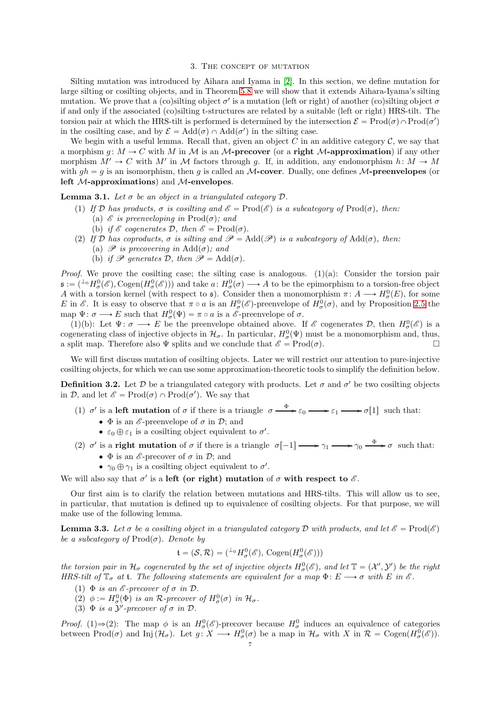## 3. The concept of mutation

<span id="page-6-0"></span>Silting mutation was introduced by Aihara and Iyama in [\[2\]](#page-35-4). In this section, we define mutation for large silting or cosilting objects, and in Theorem [5.8](#page-18-1) we will show that it extends Aihara-Iyama's silting mutation. We prove that a (co)silting object  $\sigma'$  is a mutation (left or right) of another (co)silting object  $\sigma$ if and only if the associated (co)silting t-structures are related by a suitable (left or right) HRS-tilt. The torsion pair at which the HRS-tilt is performed is determined by the intersection  $\mathcal{E} = \text{Prod}(\sigma) \cap \text{Prod}(\sigma')$ in the cosilting case, and by  $\mathcal{E} = \text{Add}(\sigma) \cap \text{Add}(\sigma')$  in the silting case.

We begin with a useful lemma. Recall that, given an object  $C$  in an additive category  $C$ , we say that a morphism  $g: M \to C$  with M in M is an M-precover (or a right M-approximation) if any other morphism  $M' \to C$  with M' in M factors through g. If, in addition, any endomorphism  $h: M \to M$ with  $gh = g$  is an isomorphism, then g is called an M-cover. Dually, one defines M-preenvelopes (or left M-approximations) and M-envelopes.

<span id="page-6-2"></span>**Lemma 3.1.** Let  $\sigma$  be an object in a triangulated category  $\mathcal{D}$ .

- (1) *If*  $\mathcal{D}$  *has products,*  $\sigma$  *is cosilting and*  $\mathcal{E} = \text{Prod}(\mathcal{E})$  *is a subcategory of*  $\text{Prod}(\sigma)$ *, then:* (a)  $\mathscr E$  *is preenveloping in*  $\text{Prod}(\sigma)$ *; and* 
	- (b) *if*  $\&$  *cogenerates*  $\mathcal{D}$ *, then*  $\&$  =  $\text{Prod}(\sigma)$ *.*
- (2) *If*  $\mathcal{D}$  *has coproducts,*  $\sigma$  *is silting and*  $\mathcal{P} = \text{Add}(\mathcal{P})$  *is a subcategory of*  $\text{Add}(\sigma)$ *, then:* 
	- (a)  $\mathscr P$  *is precovering in* Add( $\sigma$ ); and
	- (b) *if*  $\mathscr P$  *generates*  $\mathcal D$ *, then*  $\mathscr P = \text{Add}(\sigma)$ *.*

*Proof.* We prove the cosilting case; the silting case is analogous. (1)(a): Consider the torsion pair  $\mathfrak{s} := ({}^{\perp_0} H^0_\sigma(\mathscr{E}), \text{Cogen}(H^0_\sigma(\mathscr{E})))$  and take  $a \colon H^0_\sigma(\sigma) \longrightarrow A$  to be the epimorphism to a torsion-free object A with a torsion kernel (with respect to  $\mathfrak{s}$ ). Consider then a monomorphism  $\pi: A \longrightarrow H^0_{\sigma}(E)$ , for some E in  $\mathscr E$ . It is easy to observe that  $\pi \circ a$  is an  $H^0_\sigma(\mathscr E)$ -preenvelope of  $H^0_\sigma(\sigma)$ , and by Proposition [2.5](#page-4-1) the map  $\Psi: \sigma \longrightarrow E$  such that  $H^0_{\sigma}(\Psi) = \pi \circ a$  is a  $\mathscr{E}$ -preenvelope of  $\sigma$ .

(1)(b): Let  $\Psi: \sigma \longrightarrow E$  be the preenvelope obtained above. If  $\mathscr E$  cogenerates  $\mathcal D$ , then  $H^0_{\sigma}(\mathscr E)$  is a cogenerating class of injective objects in  $\mathcal{H}_{\sigma}$ . In particular,  $H_{\sigma}^{0}(\Psi)$  must be a monomorphism and, thus, a split map. Therefore also  $\Psi$  splits and we conclude that  $\mathscr{E} = \text{Prod}(\sigma)$ .

We will first discuss mutation of cosilting objects. Later we will restrict our attention to pure-injective cosilting objects, for which we can use some approximation-theoretic tools to simplify the definition below.

<span id="page-6-1"></span>**Definition 3.2.** Let  $D$  be a triangulated category with products. Let  $\sigma$  and  $\sigma'$  be two cosilting objects in  $\mathcal{D}$ , and let  $\mathscr{E} = \text{Prod}(\sigma) \cap \text{Prod}(\sigma')$ . We say that

- (1)  $\sigma'$  is a left mutation of  $\sigma$  if there is a triangle  $\sigma \xrightarrow{\Phi} \varepsilon_0 \longrightarrow \varepsilon_1 \longrightarrow \sigma[1]$  such that:
	- $\bullet$   $\Phi$  is an  $\mathscr E$ -preenvelope of  $\sigma$  in  $\mathscr D$ ; and
	- $\varepsilon_0 \oplus \varepsilon_1$  is a cosilting object equivalent to  $\sigma'$ .
- (2)  $\sigma'$  is a **right mutation** of  $\sigma$  if there is a triangle  $\sigma[-1] \longrightarrow \gamma_1 \longrightarrow \gamma_0 \longrightarrow \sigma$  such that:
	- $\Phi$  is an  $\mathscr{E}\text{-precover}$  of  $\sigma$  in  $\mathcal{D}$ ; and
	- $\gamma_0 \oplus \gamma_1$  is a cosilting object equivalent to  $\sigma'$ .

We will also say that  $\sigma'$  is a left (or right) mutation of  $\sigma$  with respect to  $\mathscr E$ .

Our first aim is to clarify the relation between mutations and HRS-tilts. This will allow us to see, in particular, that mutation is defined up to equivalence of cosilting objects. For that purpose, we will make use of the following lemma.

<span id="page-6-3"></span>**Lemma 3.3.** Let  $\sigma$  be a cosilting object in a triangulated category  $\mathcal D$  with products, and let  $\mathcal E = \text{Prod}(\mathcal E)$ *be a subcategory of*  $\text{Prod}(\sigma)$ *. Denote by* 

$$
\mathfrak{t} = (\mathcal{S}, \mathcal{R}) = ({}^{\perp_0} H^0_\sigma(\mathscr{E}), \text{Cogen}(H^0_\sigma(\mathscr{E})))
$$

*the torsion pair in*  $H_{\sigma}$  *cogenerated by the set of injective objects*  $H_{\sigma}^{0}(\mathscr{E})$ *, and let*  $\mathbb{T} = (\mathcal{X}', \mathcal{Y}')$  *be the right HRS-tilt of*  $\mathbb{T}_{\sigma}$  *at* **t***. The following statements are equivalent for a map*  $\Phi: E \longrightarrow \sigma$  *with* E *in*  $\mathscr{E}$ *.* 

- (1)  $\Phi$  *is an*  $\mathscr E$ *-precover of*  $\sigma$  *in*  $\mathscr D$ *.*
- (2)  $\phi := H^0_\sigma(\Phi)$  is an R-precover of  $H^0_\sigma(\sigma)$  in  $\mathcal{H}_\sigma$ .
- (3)  $\Phi$  *is a*  $\mathcal{Y}'$ -precover of  $\sigma$  *in*  $\mathcal{D}$ *.*

*Proof.* (1) $\Rightarrow$ (2): The map  $\phi$  is an  $H^0_\sigma(\mathscr{E})$ -precover because  $H^0_\sigma$  induces an equivalence of categories between  $\text{Prod}(\sigma)$  and  $\text{Inj}(\mathcal{H}_{\sigma})$ . Let  $g: X \longrightarrow H^0_{\sigma}(\sigma)$  be a map in  $\mathcal{H}_{\sigma}$  with X in  $\mathcal{R} = \text{Cogen}(H^0_{\sigma}(\mathscr{E}))$ .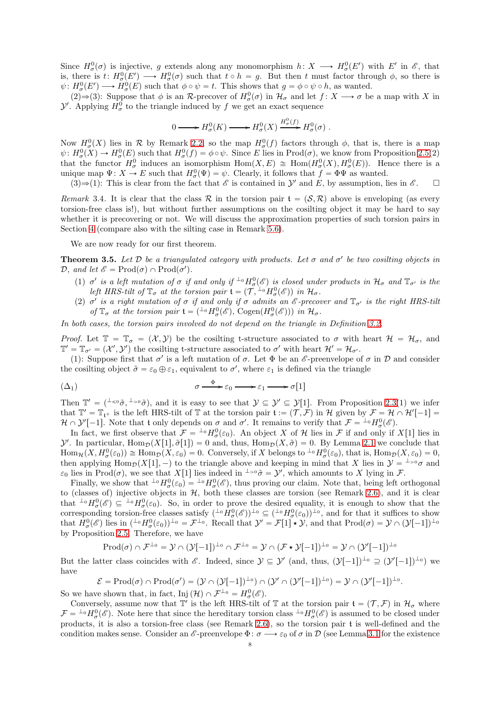Since  $H^0_\sigma(\sigma)$  is injective, g extends along any monomorphism  $h: X \longrightarrow H^0_\sigma(E')$  with E' in  $\mathscr{E}$ , that is, there is  $t: H^0_\sigma(E') \longrightarrow H^0_\sigma(\sigma)$  such that  $t \circ h = g$ . But then t must factor through  $\phi$ , so there is  $\psi: H^0_{\sigma}(E') \longrightarrow H^0_{\sigma}(E)$  such that  $\phi \circ \psi = t$ . This shows that  $g = \phi \circ \psi \circ h$ , as wanted.

(2)  $\Rightarrow$  (3): Suppose that  $\phi$  is an R-precover of  $H^0_\sigma(\sigma)$  in  $\mathcal{H}_\sigma$  and let  $f : X \longrightarrow \sigma$  be a map with X in  $\mathcal{Y}'$ . Applying  $H^0_\sigma$  to the triangle induced by f we get an exact sequence

$$
0 \longrightarrow H^0_{\sigma}(K) \longrightarrow H^0_{\sigma}(X) \xrightarrow{H^0_{\sigma}(f)} H^0_{\sigma}(\sigma) .
$$

Now  $H^0_{\sigma}(X)$  lies in R by Remark [2.2,](#page-4-2) so the map  $H^0_{\sigma}(f)$  factors through  $\phi$ , that is, there is a map  $\psi: H^0_{\sigma}(X) \to H^0_{\sigma}(E)$  such that  $H^0_{\sigma}(f) = \phi \circ \psi$ . Since E lies in Prod( $\sigma$ ), we know from Proposition [2.5\(](#page-4-1)2) that the functor  $H^0_\sigma$  induces an isomorphism  $\text{Hom}(X, E) \cong \text{Hom}(H^0_\sigma(X), H^0_\sigma(E))$ . Hence there is a unique map  $\Psi: X \to E$  such that  $H^0_{\sigma}(\Psi) = \psi$ . Clearly, it follows that  $f = \Phi \Psi$  as wanted.

 $(3) \Rightarrow (1)$ : This is clear from the fact that  $\mathscr E$  is contained in  $\mathcal Y'$  and E, by assumption, lies in  $\mathscr E$ .  $\Box$ 

*Remark* 3.4. It is clear that the class R in the torsion pair  $f = (S, R)$  above is enveloping (as every torsion-free class is!), but without further assumptions on the cosilting object it may be hard to say whether it is precovering or not. We will discuss the approximation properties of such torsion pairs in Section [4](#page-10-0) (compare also with the silting case in Remark [5.6\)](#page-17-1).

We are now ready for our first theorem.

<span id="page-7-0"></span>**Theorem 3.5.** Let  $D$  be a triangulated category with products. Let  $\sigma$  and  $\sigma'$  be two cosilting objects in  $\mathcal{D}$ *, and let*  $\mathscr{E} = \text{Prod}(\sigma) \cap \text{Prod}(\sigma')$ *.* 

- (1)  $\sigma'$  is a left mutation of  $\sigma$  if and only if  ${}^{\perp_0}H^0_{\sigma}(\mathscr{E})$  is closed under products in  $\mathcal{H}_{\sigma}$  and  $\mathbb{T}_{\sigma'}$  is the *left HRS-tilt of*  $\mathbb{T}_{\sigma}$  *at the torsion pair*  $\mathfrak{t} = (\mathcal{T},{}^{\perp_0}H^0_{\sigma}(\mathscr{E}))$  *in*  $\mathcal{H}_{\sigma}$ .
- (2)  $\sigma'$  *is a right mutation of*  $\sigma$  *if and only if*  $\sigma$  *admits an*  $\mathscr E$ -precover and  $\mathbb T_{\sigma'}$  *is the right HRS-tilt of*  $\mathbb{T}_{\sigma}$  *at the torsion pair*  $\mathfrak{t} = (\perp^0 H^0_{\sigma}(\mathscr{E}), \text{Cogen}(H^0_{\sigma}(\mathscr{E})))$  *in*  $\mathcal{H}_{\sigma}$ *.*

*In both cases, the torsion pairs involved do not depend on the triangle in Definition [3.2.](#page-6-1)*

*Proof.* Let  $\mathbb{T} = \mathbb{T}_{\sigma} = (X, Y)$  be the cosilting t-structure associated to  $\sigma$  with heart  $\mathcal{H} = \mathcal{H}_{\sigma}$ , and  $\mathbb{T}' = \mathbb{T}_{\sigma'} = (\mathcal{X}', \mathcal{Y}')$  the cosilting t-structure associated to  $\sigma'$  with heart  $\mathcal{H}' = \mathcal{H}_{\sigma'}$ .

(1): Suppose first that  $\sigma'$  is a left mutation of  $\sigma$ . Let  $\Phi$  be an  $\mathscr E$ -preenvelope of  $\sigma$  in  $\mathcal D$  and consider the cosilting object  $\tilde{\sigma} = \varepsilon_0 \oplus \varepsilon_1$ , equivalent to  $\sigma'$ , where  $\varepsilon_1$  is defined via the triangle

<span id="page-7-1"></span>
$$
(\Delta_1) \qquad \sigma \xrightarrow{\Phi} \varepsilon_0 \longrightarrow \varepsilon_1 \longrightarrow \sigma[1]
$$

Then  $\mathbb{T}' = (I_{\leq \mathfrak{O}} \tilde{\sigma}, I_{\geq \mathfrak{O}} \tilde{\sigma})$ , and it is easy to see that  $\mathcal{Y} \subseteq \mathcal{Y}' \subseteq \mathcal{Y}[1]$ . From Proposition [2.3\(](#page-4-3)1) we infer that  $\mathbb{T}' = \mathbb{T}_{\mathfrak{t}^+}$  is the left HRS-tilt of  $\mathbb{T}$  at the torsion pair  $\mathfrak{t} := (\mathcal{T}, \mathcal{F})$  in H given by  $\mathcal{F} = \mathcal{H} \cap \mathcal{H}'[-1] =$  $\mathcal{H} \cap \mathcal{Y}'[-1]$ . Note that t only depends on  $\sigma$  and  $\sigma'$ . It remains to verify that  $\mathcal{F} = {}^{\perp_0}H^0_{\sigma}(\mathscr{E})$ .

In fact, we first observe that  $\mathcal{F} = {}^{\perp_0} H^0_\sigma(\varepsilon_0)$ . An object X of H lies in F if and only if X[1] lies in  $\mathcal{Y}'$ . In particular, Hom $\mathcal{D}(X[1], \tilde{\sigma}[1]) = 0$  and, thus,  $\text{Hom}_{\mathcal{D}}(X, \tilde{\sigma}) = 0$ . By Lemma [2.1](#page-3-3) we conclude that  $\text{Hom}_{\mathcal{H}}(X, H^0_\sigma(\varepsilon_0)) \cong \text{Hom}_{\mathcal{D}}(X, \varepsilon_0) = 0.$  Conversely, if X belongs to  ${}^{\perp_0}H^0_\sigma(\varepsilon_0)$ , that is,  $\text{Hom}_{\mathcal{D}}(X, \varepsilon_0) = 0$ , then applying Hom $\mathcal{D}(X[1], -)$  to the triangle above and keeping in mind that X lies in  $\mathcal{Y} = \perp_{\geq 0} \sigma$  and  $\varepsilon_0$  lies in Prod( $\sigma$ ), we see that X[1] lies indeed in  $\perp >0 \tilde{\sigma} = \mathcal{Y}'$ , which amounts to X lying in F.

Finally, we show that  ${}^{\perp_0}H^0_\sigma(\varepsilon_0) = {}^{\perp_0}H^0_\sigma(\mathscr{E})$ , thus proving our claim. Note that, being left orthogonal to (classes of) injective objects in  $H$ , both these classes are torsion (see Remark [2.6\)](#page-5-1), and it is clear that  $\pm \{0,1\}$   $\leq \pm \{0,1\}$   $\leq \pm \{0,1\}$  So, in order to prove the desired equality, it is enough to show that the corresponding torsion-free classes satisfy  $({}^{\perp_0}H^0_\sigma(\mathscr{E}))^{\perp_0} \subseteq ({}^{\perp_0}H^0_\sigma(\varepsilon_0))^{\perp_0}$ , and for that it suffices to show<br>corresponding torsion-free classes satisfy  $({}^{\perp_0}H^0_\sigma(\mathscr{E}))^{\perp_0} \subseteq ({}^{\perp_0}H^0$ that  $H^0_\sigma(\mathscr{E})$  lies in  $({}^{\perp_0}H^0_\sigma(\varepsilon_0))^{\perp_0} = \mathcal{F}^{\perp_0}$ . Recall that  $\mathcal{Y}' = \mathcal{F}[1] \star \mathcal{Y}$ , and that  $\text{Prod}(\sigma) = \mathcal{Y} \cap (\mathcal{Y}[-1])^{\perp_0}$ by Proposition [2.5.](#page-4-1) Therefore, we have

$$
\mathrm{Prod}(\sigma) \cap \mathcal{F}^{\perp_0} = \mathcal{Y} \cap (\mathcal{Y}[-1])^{\perp_0} \cap \mathcal{F}^{\perp_0} = \mathcal{Y} \cap (\mathcal{F} \star \mathcal{Y}[-1])^{\perp_0} = \mathcal{Y} \cap (\mathcal{Y}'[-1])^{\perp_0}
$$

But the latter class coincides with  $\mathscr{E}$ . Indeed, since  $\mathcal{Y} \subseteq \mathcal{Y}'$  (and, thus,  $(\mathcal{Y}[-1])^{\perp_0} \supseteq (\mathcal{Y}'[-1])^{\perp_0}$ ) we have

$$
\mathcal{E} = \mathrm{Prod}(\sigma) \cap \mathrm{Prod}(\sigma') = (\mathcal{Y} \cap (\mathcal{Y}[-1])^{\perp_0}) \cap (\mathcal{Y}' \cap (\mathcal{Y}'[-1])^{\perp_0}) = \mathcal{Y} \cap (\mathcal{Y}'[-1])^{\perp_0}
$$

.

So we have shown that, in fact, Inj $(\mathcal{H}) \cap \mathcal{F}^{\perp_0} = H^0_{\sigma}(\mathscr{E})$ .

Conversely, assume now that  $\mathbb{T}'$  is the left HRS-tilt of  $\mathbb T$  at the torsion pair  $\mathfrak{t} = (\mathcal{T}, \mathcal{F})$  in  $\mathcal{H}_{\sigma}$  where  $\mathcal{F} = {}^{\perp_0}H^0_\sigma(\mathscr{E})$ . Note here that since the hereditary torsion class  ${}^{\perp_0}H^0_\sigma(\mathscr{E})$  is assumed to be closed under products, it is also a torsion-free class (see Remark [2.6\)](#page-5-1), so the torsion pair t is well-defined and the condition makes sense. Consider an  $\mathscr{E}\text{-preenvelope}\ \Phi: \sigma \longrightarrow \varepsilon_0$  of  $\sigma$  in D (see Lemma [3.1](#page-6-2) for the existence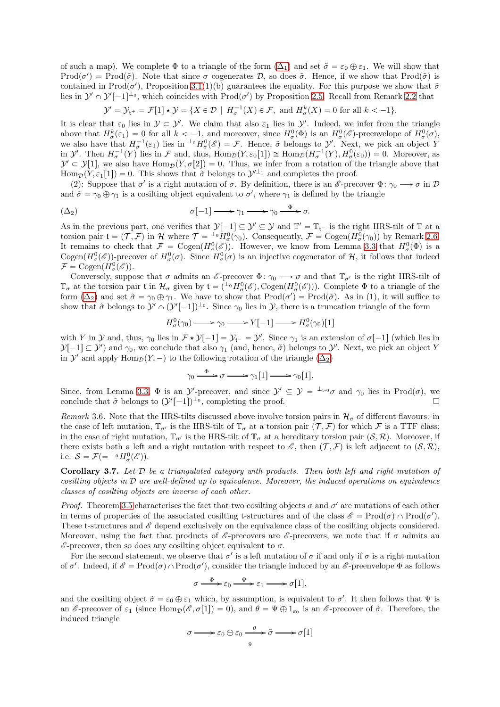of such a map). We complete  $\Phi$  to a triangle of the form  $(\Delta_1)$  and set  $\tilde{\sigma} = \varepsilon_0 \oplus \varepsilon_1$ . We will show that Prod $(\sigma') = \text{Prod}(\tilde{\sigma})$ . Note that since  $\sigma$  cogenerates D, so does  $\tilde{\sigma}$ . Hence, if we show that Prod $(\tilde{\sigma})$  is contained in  $\text{Prod}(\sigma')$ , Proposition [3.1\(](#page-6-2)1)(b) guarantees the equality. For this purpose we show that  $\tilde{\sigma}$ lies in  $\mathcal{Y}' \cap \mathcal{Y}'[-1]^{L_0}$ , which coincides with  $\text{Prod}(\sigma')$  by Proposition [2.5.](#page-4-1) Recall from Remark [2.2](#page-4-2) that

$$
\mathcal{Y}' = \mathcal{Y}_{\mathfrak{t}^+} = \mathcal{F}[1] \star \mathcal{Y} = \{ X \in \mathcal{D} \mid H_{\sigma}^{-1}(X) \in \mathcal{F}, \text{ and } H_{\sigma}^k(X) = 0 \text{ for all } k < -1 \}.
$$

It is clear that  $\varepsilon_0$  lies in  $\mathcal{Y} \subset \mathcal{Y}'$ . We claim that also  $\varepsilon_1$  lies in  $\mathcal{Y}'$ . Indeed, we infer from the triangle above that  $H^k_\sigma(\varepsilon_1) = 0$  for all  $k < -1$ , and moreover, since  $H^0_\sigma(\Phi)$  is an  $H^0_\sigma(\mathscr{E})$ -preenvelope of  $H^0_\sigma(\sigma)$ , we also have that  $H_{\sigma}^{-1}(\varepsilon_1)$  lies in  ${}^{\perp_0}H_{\sigma}^0(\mathscr{E}) = \mathcal{F}$ . Hence,  $\tilde{\sigma}$  belongs to  $\mathcal{Y}'$ . Next, we pick an object Y in  $\mathcal{Y}'$ . Then  $H_{\sigma}^{-1}(Y)$  lies in  $\mathcal F$  and, thus,  $\text{Hom}_{\mathcal{D}}(Y, \varepsilon_0[1]) \cong \text{Hom}_{\mathcal{D}}(H_{\sigma}^{-1}(Y), H_{\sigma}^0(\varepsilon_0)) = 0$ . Moreover, as  $\mathcal{Y}' \subset \mathcal{Y}[1]$ , we also have  $\text{Hom}_{\mathcal{D}}(Y, \sigma[2]) = 0$ . Thus, we infer from a rotation of the triangle above that  $\text{Hom}_{\mathcal{D}}(Y, \varepsilon_1[1]) = 0$ . This shows that  $\tilde{\sigma}$  belongs to  $\mathcal{Y}^{\perp_1}$  and completes the proof.

(2): Suppose that  $\sigma'$  is a right mutation of  $\sigma$ . By definition, there is an  $\mathscr{E}\text{-precover } \Phi: \gamma_0 \longrightarrow \sigma$  in  $\mathcal{D}$ and  $\tilde{\sigma} = \gamma_0 \oplus \gamma_1$  is a cosilting object equivalent to  $\sigma'$ , where  $\gamma_1$  is defined by the triangle

<span id="page-8-0"></span>
$$
\sigma[-1] \longrightarrow \gamma_1 \longrightarrow \gamma_0 \stackrel{\Phi}{\longrightarrow} \sigma.
$$

As in the previous part, one verifies that  $\mathcal{Y}[-1] \subseteq \mathcal{Y}' \subseteq \mathcal{Y}$  and  $\mathbb{T}' = \mathbb{T}_{t^-}$  is the right HRS-tilt of  $\mathbb{T}$  at a torsion pair  $\mathfrak{t} = (\mathcal{T}, \mathcal{F})$  in H where  $\mathcal{T} = \frac{1}{\rho} H_{\sigma}^0(\gamma_0)$ . Consequently,  $\mathcal{F} = \text{Cogen}(H_{\sigma}^0(\gamma_0))$  by Remark [2.6.](#page-5-1) It remains to check that  $\mathcal{F} = \text{Cogen}(H^0_\sigma(\mathscr{E}))$ . However, we know from Lemma [3.3](#page-6-3) that  $H^0_\sigma(\Phi)$  is a Cogen $(H^0_\sigma(\mathscr{E}))$ -precover of  $H^0_\sigma(\sigma)$ . Since  $H^0_\sigma(\sigma)$  is an injective cogenerator of H, it follows that indeed  $\mathcal{F} = \text{Cogen}(H^0_{\sigma}(\mathscr{E}))$ .

Conversely, suppose that  $\sigma$  admits an  $\mathscr{E}$ -precover  $\Phi: \gamma_0 \longrightarrow \sigma$  and that  $\mathbb{T}_{\sigma'}$  is the right HRS-tilt of  $\mathbb{T}_{\sigma}$  at the torsion pair t in  $\mathcal{H}_{\sigma}$  given by  $\mathfrak{t} = (\perp^0 H^0_{\sigma}(\mathscr{E}), \text{Cogen}(H^0_{\sigma}(\mathscr{E})))$ . Complete  $\Phi$  to a triangle of the form  $(\Delta_2)$  and set  $\tilde{\sigma} = \gamma_0 \oplus \gamma_1$ . We have to show that  $\text{Prod}(\sigma') = \text{Prod}(\tilde{\sigma})$ . As in (1), it will suffice to show that  $\tilde{\sigma}$  belongs to  $\mathcal{Y}' \cap (\mathcal{Y}'[-1])^{\perp_0}$ . Since  $\gamma_0$  lies in  $\mathcal{Y}$ , there is a truncation triangle of the form

$$
H^0_{\sigma}(\gamma_0) \longrightarrow \gamma_0 \longrightarrow Y[-1] \longrightarrow H^0_{\sigma}(\gamma_0)[1]
$$

with Y in Y and, thus,  $\gamma_0$  lies in  $\mathcal{F} \star \mathcal{Y}[-1] = \mathcal{Y}_{t^-} = \mathcal{Y}'$ . Since  $\gamma_1$  is an extension of  $\sigma[-1]$  (which lies in  $\mathcal{Y}[-1] \subseteq \mathcal{Y}'$  and  $\gamma_0$ , we conclude that also  $\gamma_1$  (and, hence,  $\tilde{\sigma}$ ) belongs to  $\mathcal{Y}'$ . Next, we pick an object Y in Y' and apply  $\text{Hom}_{\mathcal{D}}(Y, -)$  to the following rotation of the triangle  $(\Delta_2)$ 

$$
\gamma_0 \xrightarrow{\Phi} \sigma \longrightarrow \gamma_1[1] \longrightarrow \gamma_0[1].
$$

Since, from Lemma [3.3,](#page-6-3)  $\Phi$  is an  $\mathcal{Y}'$ -precover, and since  $\mathcal{Y}' \subseteq \mathcal{Y} = {}^{\perp_{>0}}\sigma$  and  $\gamma_0$  lies in Prod( $\sigma$ ), we conclude that  $\tilde{\sigma}$  belongs to  $(\mathcal{Y}'[-1])^{\perp_0}$ , completing the proof.

<span id="page-8-2"></span>*Remark* 3.6. Note that the HRS-tilts discussed above involve torsion pairs in  $\mathcal{H}_{\sigma}$  of different flavours: in the case of left mutation,  $\mathbb{T}_{\sigma'}$  is the HRS-tilt of  $\mathbb{T}_{\sigma}$  at a torsion pair  $(\mathcal{T}, \mathcal{F})$  for which  $\mathcal F$  is a TTF class; in the case of right mutation,  $\mathbb{T}_{\sigma'}$  is the HRS-tilt of  $\mathbb{T}_{\sigma}$  at a hereditary torsion pair  $(S, \mathcal{R})$ . Moreover, if there exists both a left and a right mutation with respect to  $\mathscr{E}$ , then  $(\mathcal{T}, \mathcal{F})$  is left adjacent to  $(\mathcal{S}, \mathcal{R})$ , i.e.  $S = \mathcal{F} (= {}^{\perp_0} H^0_{\sigma}(\mathscr{E}))$ .

<span id="page-8-1"></span>Corollary 3.7. *Let* D *be a triangulated category with products. Then both left and right mutation of cosilting objects in* D *are well-defined up to equivalence. Moreover, the induced operations on equivalence classes of cosilting objects are inverse of each other.*

*Proof.* Theorem [3.5](#page-7-0) characterises the fact that two cosilting objects  $\sigma$  and  $\sigma'$  are mutations of each other in terms of properties of the associated cosilting t-structures and of the class  $\mathscr{E} = \text{Prod}(\sigma) \cap \text{Prod}(\sigma')$ . These t-structures and  $\mathscr E$  depend exclusively on the equivalence class of the cosilting objects considered. Moreover, using the fact that products of  $\mathscr{E}$ -precovers are  $\mathscr{E}$ -precovers, we note that if  $\sigma$  admits an  $\mathscr{E}\text{-precover}$ , then so does any cosilting object equivalent to  $\sigma$ .

For the second statement, we observe that  $\sigma'$  is a left mutation of  $\sigma$  if and only if  $\sigma$  is a right mutation of  $\sigma'$ . Indeed, if  $\mathscr{E} = \text{Prod}(\sigma) \cap \text{Prod}(\sigma')$ , consider the triangle induced by an  $\mathscr{E}$ -preenvelope  $\Phi$  as follows

$$
\sigma \xrightarrow{\Phi} \varepsilon_0 \xrightarrow{\Psi} \varepsilon_1 \longrightarrow \sigma[1],
$$

and the cosilting object  $\tilde{\sigma} = \varepsilon_0 \oplus \varepsilon_1$  which, by assumption, is equivalent to  $\sigma'$ . It then follows that  $\Psi$  is an  $\mathscr{E}\text{-precover of }\varepsilon_1$  (since  $\text{Hom}_{\mathcal{D}}(\mathscr{E}, \sigma[1]) = 0$ ), and  $\theta = \Psi \oplus 1_{\varepsilon_0}$  is an  $\mathscr{E}\text{-precover of }\tilde{\sigma}$ . Therefore, the induced triangle

$$
\sigma \longrightarrow \varepsilon_0 \oplus \varepsilon_0 \xrightarrow{\theta} \tilde{\sigma} \longrightarrow \tilde{\sigma}[1]
$$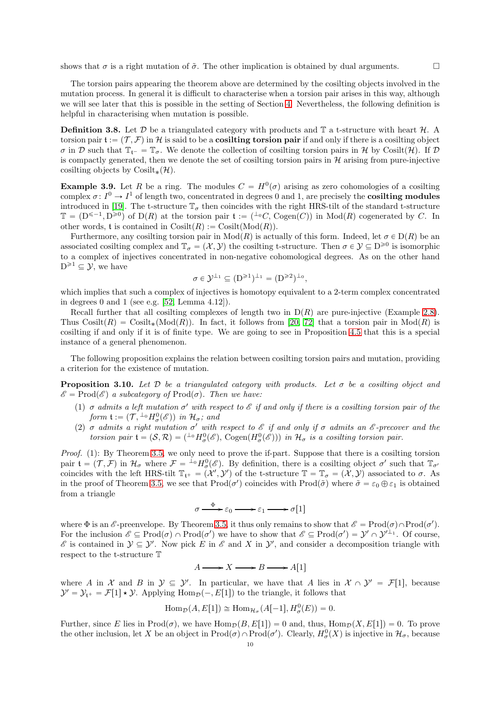shows that  $\sigma$  is a right mutation of  $\tilde{\sigma}$ . The other implication is obtained by dual arguments.

The torsion pairs appearing the theorem above are determined by the cosilting objects involved in the mutation process. In general it is difficult to characterise when a torsion pair arises in this way, although we will see later that this is possible in the setting of Section [4.](#page-10-0) Nevertheless, the following definition is helpful in characterising when mutation is possible.

<span id="page-9-2"></span>**Definition 3.8.** Let  $\mathcal{D}$  be a triangulated category with products and  $\mathbb{T}$  a t-structure with heart  $\mathcal{H}$ . A torsion pair  $\mathfrak{t} := (\mathcal{T}, \mathcal{F})$  in H is said to be a **cosilting torsion pair** if and only if there is a cosilting object  $\sigma$  in D such that  $\mathbb{T}_{t^-} = \mathbb{T}_{\sigma}$ . We denote the collection of cosilting torsion pairs in H by Cosilt(H). If D is compactly generated, then we denote the set of cosilting torsion pairs in  $H$  arising from pure-injective cosilting objects by Cosilt $_{*}(\mathcal{H})$ .

<span id="page-9-1"></span>**Example 3.9.** Let R be a ring. The modules  $C = H^0(\sigma)$  arising as zero cohomologies of a cosilting complex  $\sigma: I^0 \to I^1$  of length two, concentrated in degrees 0 and 1, are precisely the **cosilting modules** introduced in [\[19\]](#page-35-21). The t-structure  $\mathbb{T}_{\sigma}$  then coincides with the right HRS-tilt of the standard t-structure  $\mathbb{T} = (D^{\leq -1}, D^{\geq 0})$  of  $D(R)$  at the torsion pair  $\mathfrak{t} := {^{\perp_0}C, \, \text{Cogen}(C)}$  in  $\text{Mod}(R)$  cogenerated by C. In other words, t is contained in  $\text{Cosilt}(R) := \text{Cosilt}(\text{Mod}(R)).$ 

Furthermore, any cosilting torsion pair in  $Mod(R)$  is actually of this form. Indeed, let  $\sigma \in D(R)$  be an associated cosilting complex and  $\mathbb{T}_{\sigma} = (\mathcal{X}, \mathcal{Y})$  the cosilting t-structure. Then  $\sigma \in \mathcal{Y} \subseteq D^{\geq 0}$  is isomorphic to a complex of injectives concentrated in non-negative cohomological degrees. As on the other hand  $D^{\geq 1} \subseteq \mathcal{Y}$ , we have

$$
\sigma \in \mathcal{Y}^{\perp_1} \subseteq (D^{\geq 1})^{\perp_1} = (D^{\geq 2})^{\perp_0},
$$

which implies that such a complex of injectives is homotopy equivalent to a 2-term complex concentrated in degrees 0 and 1 (see e.g. [\[52,](#page-36-12) Lemma 4.12]).

Recall further that all cosilting complexes of length two in  $D(R)$  are pure-injective (Example [2.8\)](#page-5-0). Thus  $\text{Cosilt}(R) = \text{Cosilt}_*(\text{Mod}(R))$ . In fact, it follows from [\[20,](#page-35-10) [72\]](#page-36-4) that a torsion pair in  $\text{Mod}(R)$  is cosilting if and only if it is of finite type. We are going to see in Proposition [4.5](#page-13-0) that this is a special instance of a general phenomenon.

The following proposition explains the relation between cosilting torsion pairs and mutation, providing a criterion for the existence of mutation.

<span id="page-9-0"></span>**Proposition 3.10.** Let  $D$  be a triangulated category with products. Let  $\sigma$  be a cosilting object and  $\mathscr{E} = \text{Prod}(\mathscr{E})$  *a subcategory of*  $\text{Prod}(\sigma)$ *. Then we have:* 

- (1)  $\sigma$  *admits a left mutation*  $\sigma'$  *with respect to*  $\mathscr E$  *if and only if there is a cosilting torsion pair of the*  $\mathit{form}\; \mathfrak{t} := (\mathcal{T},{}^{\bot_0}H^0_\sigma(\mathscr{E}))\; \mathit{in}\; \mathcal{H}_\sigma\text{; and}$
- (2)  $\sigma$  *admits* a right mutation  $\sigma'$  with respect to  $\mathscr E$  if and only if  $\sigma$  admits an  $\mathscr E$ -precover and the *torsion pair*  $\mathfrak{t} = (\mathcal{S}, \mathcal{R}) = ({}^{\perp_0} H^0_\sigma(\mathscr{E}), \text{Cogen}(H^0_\sigma(\mathscr{E})))$  in  $\mathcal{H}_\sigma$  is a cosilting torsion pair.

*Proof.* (1): By Theorem [3.5,](#page-7-0) we only need to prove the if-part. Suppose that there is a cosilting torsion pair  $\mathfrak{t} = (\mathcal{T}, \mathcal{F})$  in  $\mathcal{H}_{\sigma}$  where  $\mathcal{F} = {}^{\perp_0}H^0_{\sigma}(\mathscr{E})$ . By definition, there is a cosilting object  $\sigma'$  such that  $\mathbb{T}_{\sigma'}$ coincides with the left HRS-tilt  $\mathbb{T}_{t^+} = (\mathcal{X}', \mathcal{Y}')$  of the t-structure  $\mathbb{T} = \mathbb{T}_{\sigma} = (\mathcal{X}, \mathcal{Y})$  associated to  $\sigma$ . As in the proof of Theorem [3.5,](#page-7-0) we see that  $\text{Prod}(\sigma')$  coincides with  $\text{Prod}(\tilde{\sigma})$  where  $\tilde{\sigma} = \varepsilon_0 \oplus \varepsilon_1$  is obtained from a triangle

$$
\sigma \xrightarrow{\Phi} \varepsilon_0 \longrightarrow \varepsilon_1 \longrightarrow \sigma[1]
$$

where  $\Phi$  is an  $\mathscr{E}\text{-preenvelope}$ . By Theorem [3.5,](#page-7-0) it thus only remains to show that  $\mathscr{E} = \text{Prod}(\sigma) \cap \text{Prod}(\sigma')$ . For the inclusion  $\mathscr{E} \subseteq \text{Prod}(\sigma) \cap \text{Prod}(\sigma')$  we have to show that  $\mathscr{E} \subseteq \text{Prod}(\sigma') = \mathcal{Y}' \cap \mathcal{Y}'^{\perp_1}$ . Of course,  $\mathscr E$  is contained in  $\mathcal Y \subseteq \mathcal Y'$ . Now pick E in  $\mathscr E$  and X in  $\mathcal Y'$ , and consider a decomposition triangle with respect to the t-structure T

$$
A \longrightarrow X \longrightarrow B \longrightarrow A[1]
$$

where A in X and B in  $\mathcal{Y} \subseteq \mathcal{Y}'$ . In particular, we have that A lies in  $\mathcal{X} \cap \mathcal{Y}' = \mathcal{F}[1]$ , because  $\mathcal{Y}' = \mathcal{Y}_{t^+} = \mathcal{F}[1] \star \mathcal{Y}$ . Applying Hom $\mathcal{D}(-, E[1])$  to the triangle, it follows that

$$
\operatorname{Hom}_{\mathcal{D}}(A, E[1]) \cong \operatorname{Hom}_{\mathcal{H}_{\sigma}}(A[-1], H_{\sigma}^{0}(E)) = 0.
$$

Further, since E lies in  $\text{Prod}(\sigma)$ , we have  $\text{Hom}_{\mathcal{D}}(B, E[1]) = 0$  and, thus,  $\text{Hom}_{\mathcal{D}}(X, E[1]) = 0$ . To prove the other inclusion, let X be an object in  $\text{Prod}(\sigma) \cap \text{Prod}(\sigma')$ . Clearly,  $H^0_\sigma(X)$  is injective in  $\mathcal{H}_\sigma$ , because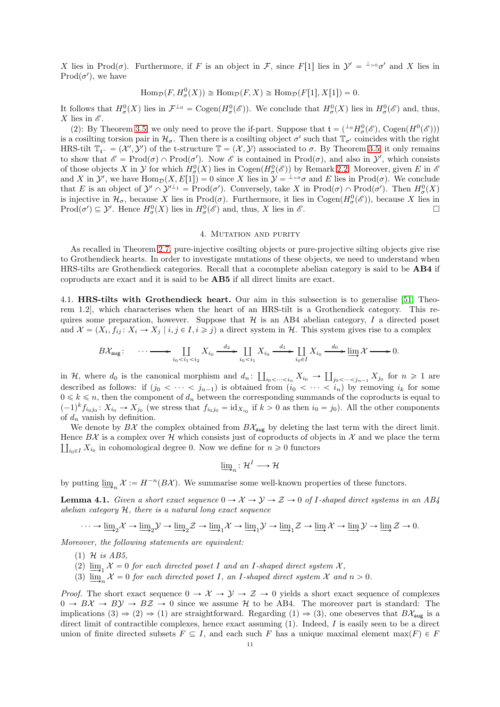X lies in Prod( $\sigma$ ). Furthermore, if F is an object in F, since F[1] lies in  $\mathcal{Y}' = {}^{\perp_{>0}}\sigma'$  and X lies in  $\text{Prod}(\sigma')$ , we have

$$
\operatorname{Hom}_{\mathcal{D}}(F, H^0_{\sigma}(X)) \cong \operatorname{Hom}_{\mathcal{D}}(F, X) \cong \operatorname{Hom}_{\mathcal{D}}(F[1], X[1]) = 0.
$$

It follows that  $H^0_\sigma(X)$  lies in  $\mathcal{F}^{\perp_0} = \text{Cogen}(H^0_\sigma(\mathscr{E}))$ . We conclude that  $H^0_\sigma(X)$  lies in  $H^0_\sigma(\mathscr{E})$  and, thus, X lies in  $\mathscr E$ .

(2): By Theorem [3.5,](#page-7-0) we only need to prove the if-part. Suppose that  $\mathfrak{t} = (\perp_0 H^0_{\sigma}(\mathscr{E}), \text{Cogen}(H^0(\mathscr{E})))$ is a cosilting torsion pair in  $\mathcal{H}_{\sigma}$ . Then there is a cosilting object  $\sigma'$  such that  $\mathbb{T}_{\sigma'}$  coincides with the right HRS-tilt  $\mathbb{T}_{\mathfrak{t}^-} = (\mathcal{X}', \mathcal{Y}')$  of the t-structure  $\mathbb{T} = (\mathcal{X}, \mathcal{Y})$  associated to  $\sigma$ . By Theorem [3.5,](#page-7-0) it only remains to show that  $\mathscr{E} = \text{Prod}(\sigma) \cap \text{Prod}(\sigma')$ . Now  $\mathscr{E}$  is contained in  $\text{Prod}(\sigma)$ , and also in  $\mathcal{Y}'$ , which consists of those objects X in  $\mathcal Y$  for which  $H^0_\sigma(X)$  lies in Cogen $(H^0_\sigma(\mathscr{E}))$  by Remark [2.2.](#page-4-2) Moreover, given E in  $\mathscr E$ and X in  $\mathcal{Y}'$ , we have  $\text{Hom}_{\mathcal{D}}(X, E[1]) = 0$  since X lies in  $\mathcal{Y} = {}^{\perp_{>0}}\sigma$  and E lies in  $\text{Prod}(\sigma)$ . We conclude that E is an object of  $\mathcal{Y}' \cap \mathcal{Y}'^{\perp_1} = \text{Prod}(\sigma')$ . Conversely, take X in  $\text{Prod}(\sigma) \cap \text{Prod}(\sigma')$ . Then  $H^0_\sigma(X)$ is injective in  $\mathcal{H}_{\sigma}$ , because X lies in Prod $(\sigma)$ . Furthermore, it lies in Cogen $(H_{\sigma}^0(\mathscr{E}))$ , because X lies in  $\text{Prod}(\sigma') \subseteq \mathcal{Y}'$ . Hence  $H^0_{\sigma}(X)$  lies in  $H^0_{\sigma}(\mathcal{E})$  and, thus, X lies in  $\mathcal{E}$ .

## 4. MUTATION AND PURITY

<span id="page-10-0"></span>As recalled in Theorem [2.7,](#page-5-2) pure-injective cosilting objects or pure-projective silting objects give rise to Grothendieck hearts. In order to investigate mutations of these objects, we need to understand when HRS-tilts are Grothendieck categories. Recall that a cocomplete abelian category is said to be AB4 if coproducts are exact and it is said to be AB5 if all direct limits are exact.

<span id="page-10-1"></span>4.1. HRS-tilts with Grothendieck heart. Our aim in this subsection is to generalise [\[51,](#page-36-13) Theorem 1.2], which characterises when the heart of an HRS-tilt is a Grothendieck category. This requires some preparation, however. Suppose that  $H$  is an AB4 abelian category, I a directed poset and  $\mathcal{X} = (X_i, f_{ij} : X_i \to X_j \mid i, j \in I, i \geq j)$  a direct system in H. This system gives rise to a complex

$$
B\mathcal{X}_{\text{aug}}:\quad \cdots \longrightarrow \coprod_{i_0
$$

in H, where  $d_0$  is the canonical morphism and  $d_n: \coprod_{i_0 < \dots < i_n} X_{i_0} \to \coprod_{j_0 < \dots < j_{n-1}} X_{j_0}$  for  $n \geq 1$  are described as follows: if  $(j_0 < \cdots < j_{n-1})$  is obtained from  $(i_0 < \cdots < i_n)$  by removing  $i_k$  for some  $0 \leq k \leq n$ , then the component of  $d_n$  between the corresponding summands of the coproducts is equal to  $(-1)^k f_{i_0j_0}$ :  $X_{i_0} \to X_{j_0}$  (we stress that  $f_{i_0j_0} = id_{X_{i_0}}$  if  $k > 0$  as then  $i_0 = j_0$ ). All the other components of  $d_n$  vanish by definition.

We denote by  $B\mathcal{X}$  the complex obtained from  $B\mathcal{X}_{\text{aug}}$  by deleting the last term with the direct limit. Hence  $B\mathcal{X}$  is a complex over  $\mathcal{H}$  which consists just of coproducts of objects in  $\mathcal{X}$  and we place the term  $\prod_{i_0 \in I} X_{i_0}$  in cohomological degree 0. Now we define for  $n \geq 0$  functors

$$
\mathop{\underline{\lim}}_{n} : \mathcal{H}^{I} \longrightarrow \mathcal{H}
$$

by putting  $\underline{\lim}_{n} \mathcal{X} := H^{-n}(B\mathcal{X})$ . We summarise some well-known properties of these functors.

<span id="page-10-2"></span>**Lemma 4.1.** *Given a short exact sequence*  $0 \to \mathcal{X} \to \mathcal{Y} \to \mathcal{Z} \to 0$  *of I*-shaped direct systems in an AB4 *abelian category* H*, there is a natural long exact sequence*

$$
\cdots \rightarrow \underline{\lim}_{2} \mathcal{X} \rightarrow \underline{\lim}_{2} \mathcal{Y} \rightarrow \underline{\lim}_{2} \mathcal{Z} \rightarrow \underline{\lim}_{1} \mathcal{X} \rightarrow \underline{\lim}_{1} \mathcal{Y} \rightarrow \underline{\lim}_{1} \mathcal{Z} \rightarrow \underline{\lim}_{1} \mathcal{X} \rightarrow \underline{\lim}_{1} \mathcal{Y} \rightarrow \underline{\lim}_{1} \mathcal{Y} \rightarrow \underline{\lim}_{1} \mathcal{Z} \rightarrow 0.
$$

*Moreover, the following statements are equivalent:*

(1) H *is AB5,*

- (2)  $\lim_{\epsilon \to 0} \mathcal{X} = 0$  *for each directed poset* I *and an* I-shaped direct system X,
- (3)  $\lim_{n \to \infty} X = 0$  *for each directed poset I*, an *I*-shaped direct system X and  $n > 0$ .

*Proof.* The short exact sequence  $0 \to \mathcal{X} \to \mathcal{Y} \to \mathcal{Z} \to 0$  yields a short exact sequence of complexes  $0 \to B\mathcal{X} \to B\mathcal{Y} \to B\mathcal{Z} \to 0$  since we assume H to be AB4. The moreover part is standard: The implications (3)  $\Rightarrow$  (2)  $\Rightarrow$  (1) are straightforward. Regarding (1)  $\Rightarrow$  (3), one obeserves that BX<sub>aug</sub> is a direct limit of contractible complexes, hence exact assuming  $(1)$ . Indeed, I is easily seen to be a direct union of finite directed subsets  $F \subseteq I$ , and each such F has a unique maximal element max $(F) \in F$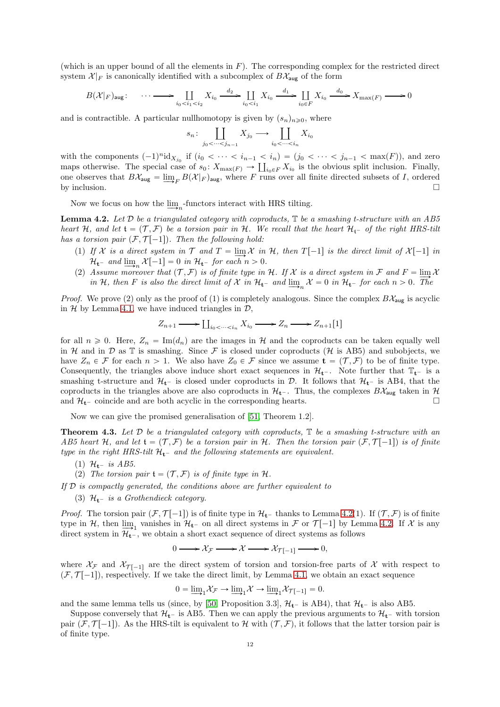(which is an upper bound of all the elements in  $F$ ). The corresponding complex for the restricted direct system  $\mathcal{X}|_F$  is canonically identified with a subcomplex of  $B\mathcal{X}_{\text{aug}}$  of the form

$$
B(\mathcal{X}|_F)_{\text{aug}}: \quad \cdots \longrightarrow \coprod_{i_0 < i_1 < i_2} X_{i_0} \xrightarrow{d_2} \coprod_{i_0 < i_1} X_{i_0} \xrightarrow{d_1} \coprod_{i_0 \in F} X_{i_0} \xrightarrow{d_0} X_{\max(F)} \longrightarrow 0
$$

and is contractible. A particular nullhomotopy is given by  $(s_n)_{n\geq 0}$ , where

$$
s_n\colon \coprod_{j_0<\cdots< j_{n-1}} X_{j_0} \longrightarrow \coprod_{i_0<\cdots< i_n} X_{i_0}
$$

with the components  $(-1)^n \mathrm{id}_{X_{j_0}}$  if  $(i_0 < \cdots < i_{n-1} < i_n) = (j_0 < \cdots < j_{n-1} < \max(F))$ , and zero maps otherwise. The special case of  $s_0: X_{\max(F)} \to \coprod_{i_0 \in F} X_{i_0}$  is the obvious split inclusion. Finally, one observes that  $B\mathcal{X}_{\text{aug}} = \varinjlim_{F} B(\mathcal{X}|_{F})_{\text{aug}}$ , where F runs over all finite directed subsets of I, ordered by inclusion.  $\square$ 

Now we focus on how the  $\varinjlim_n$ -functors interact with HRS tilting.

<span id="page-11-0"></span>Lemma 4.2. *Let* D *be a triangulated category with coproducts,* T *be a smashing t-structure with an AB5 heart* H, and let  $\mathfrak{t} = (\mathcal{T}, \mathcal{F})$  be a torsion pair in H. We recall that the heart  $\mathcal{H}_{\mathfrak{t}}$  of the right HRS-tilt *has a torsion pair*  $(F, \mathcal{T}[-1])$ *. Then the following hold:* 

- (1) If X is a direct system in  $\mathcal{T}$  and  $T = \lim_{n \to \infty} \mathcal{X}$  in  $\mathcal{H}$ , then  $T[-1]$  is the direct limit of  $\mathcal{X}[-1]$  in  $\mathcal{H}_{t^-}$  and  $\underline{\lim}_n \mathcal{X}[-1] = 0$  in  $\mathcal{H}_{t^-}$  for each  $n > 0$ .
- (2) Assume moreover that  $(T, \mathcal{F})$  is of finite type in H. If X is a direct system in  $\mathcal{F}$  and  $F = \lim_{\Delta} X$ *in* H, then F *is also the direct limit of*  $\mathcal{X}$  *in*  $\mathcal{H}_{t-}$  *and*  $\lim_{n \to \infty} \mathcal{X} = 0$  *in*  $\mathcal{H}_{t-}$  *for each*  $n > 0$ *. The*

*Proof.* We prove (2) only as the proof of (1) is completely analogous. Since the complex  $B\mathcal{X}_{\text{aug}}$  is acyclic in  $H$  by Lemma [4.1,](#page-10-2) we have induced triangles in  $D$ ,

$$
Z_{n+1} \longrightarrow \coprod_{i_0 < \cdots < i_n} X_{i_0} \longrightarrow Z_n \longrightarrow Z_{n+1}[1]
$$

for all  $n \geq 0$ . Here,  $Z_n = \text{Im}(d_n)$  are the images in H and the coproducts can be taken equally well in H and in D as  $\mathbb T$  is smashing. Since F is closed under coproducts (H is AB5) and subobjects, we have  $Z_n \in \mathcal{F}$  for each  $n > 1$ . We also have  $Z_0 \in \mathcal{F}$  since we assume  $\mathbf{t} = (\mathcal{T}, \mathcal{F})$  to be of finite type. Consequently, the triangles above induce short exact sequences in  $\mathcal{H}_{t}$ . Note further that  $T_{t}$  is a smashing t-structure and  $H_{t-}$  is closed under coproducts in D. It follows that  $H_{t-}$  is AB4, that the coproducts in the triangles above are also coproducts in  $\mathcal{H}_{t}$ . Thus, the complexes  $B\mathcal{X}_{\text{aug}}$  taken in  $\mathcal{H}$ and  $\mathcal{H}_{t^-}$  coincide and are both acyclic in the corresponding hearts.

Now we can give the promised generalisation of [\[51,](#page-36-13) Theorem 1.2].

<span id="page-11-1"></span>Theorem 4.3. *Let* D *be a triangulated category with coproducts,* T *be a smashing t-structure with an AB5 heart* H, and let  $\mathfrak{t} = (\mathcal{T}, \mathcal{F})$  be a torsion pair in H. Then the torsion pair  $(\mathcal{F}, \mathcal{T}[-1])$  is of finite *type in the right HRS-tilt*  $H_t$ - *and the following statements are equivalent.* 

- (1)  $\mathcal{H}_{t}$  *is AB5.*
- (2) The torsion pair  $\mathfrak{t} = (\mathcal{T}, \mathcal{F})$  is of finite type in H.

*If* D *is compactly generated, the conditions above are further equivalent to*

(3)  $\mathcal{H}_{t}$  *is a Grothendieck category.* 

*Proof.* The torsion pair  $(F, \mathcal{T}[-1])$  is of finite type in  $\mathcal{H}_{t-}$  thanks to Lemma [4.2\(](#page-11-0)1). If  $(\mathcal{T}, \mathcal{F})$  is of finite type in H, then  $\lim_{\Delta t \to 1}$  vanishes in  $\mathcal{H}_{t}$  on all direct systems in F or  $\mathcal{T}[-1]$  by Lemma [4.2.](#page-11-0) If X is any direct system in  $\mathcal{H}_{t}^-$ , we obtain a short exact sequence of direct systems as follows

$$
0 \longrightarrow \mathcal{X}_{\mathcal{F}} \longrightarrow \mathcal{X} \longrightarrow \mathcal{X}_{\mathcal{T}[-1]} \longrightarrow 0,
$$

where  $\mathcal{X}_{\mathcal{T}}$  and  $\mathcal{X}_{\mathcal{T}[-1]}$  are the direct system of torsion and torsion-free parts of X with respect to  $(F, \mathcal{T}[-1])$ , respectively. If we take the direct limit, by Lemma [4.1,](#page-10-2) we obtain an exact sequence

$$
0 = \underline{\lim}_{1} \mathcal{X}_{\mathcal{F}} \to \underline{\lim}_{1} \mathcal{X} \to \underline{\lim}_{1} \mathcal{X}_{\mathcal{T}[-1]} = 0.
$$

and the same lemma tells us (since, by [\[50,](#page-36-9) Proposition 3.3],  $\mathcal{H}_{t-}$  is AB4), that  $\mathcal{H}_{t-}$  is also AB5.

Suppose conversely that  $\mathcal{H}_{t-}$  is AB5. Then we can apply the previous arguments to  $\mathcal{H}_{t-}$  with torsion pair  $(F, \mathcal{T}[-1])$ . As the HRS-tilt is equivalent to H with  $(\mathcal{T}, \mathcal{F})$ , it follows that the latter torsion pair is of finite type.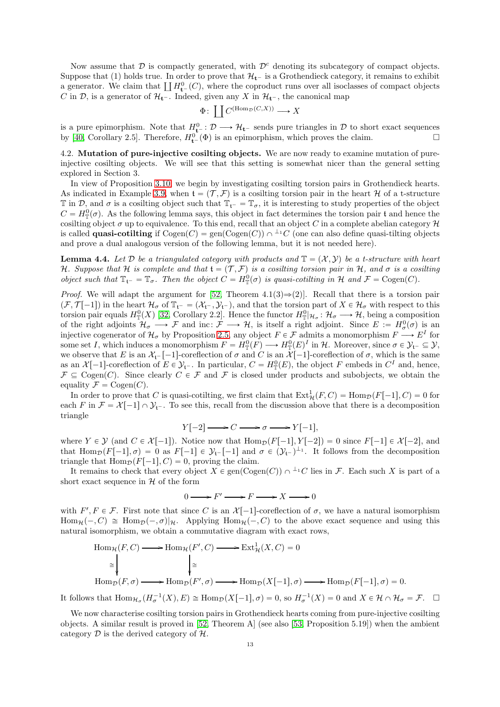Now assume that  $\mathcal D$  is compactly generated, with  $\mathcal D^c$  denoting its subcategory of compact objects. Suppose that (1) holds true. In order to prove that  $\mathcal{H}_{t-}$  is a Grothendieck category, it remains to exhibit a generator. We claim that  $\coprod H_{t-}^0(C)$ , where the coproduct runs over all isoclasses of compact objects C in D, is a generator of  $\mathcal{H}_{t-}$ . Indeed, given any X in  $\mathcal{H}_{t-}$ , the canonical map

$$
\Phi\colon \coprod C^{(\text{Hom}_{\mathcal{D}}(C,X))} \longrightarrow X
$$

is a pure epimorphism. Note that  $H_{t-}^0 : \mathcal{D} \longrightarrow \mathcal{H}_{t-}$  sends pure triangles in  $\mathcal D$  to short exact sequences by [\[40,](#page-35-22) Corollary 2.5]. Therefore,  $H_{t-}^{0}(\Phi)$  is an epimorphism, which proves the claim.

<span id="page-12-0"></span>4.2. Mutation of pure-injective cosilting objects. We are now ready to examine mutation of pureinjective cosilting objects. We will see that this setting is somewhat nicer than the general setting explored in Section 3.

In view of Proposition [3.10,](#page-9-0) we begin by investigating cosilting torsion pairs in Grothendieck hearts. As indicated in Example [3.9,](#page-9-1) when  $\mathfrak{t} = (\mathcal{T}, \mathcal{F})$  is a cosilting torsion pair in the heart H of a t-structure  $\mathbb T$  in  $\mathcal D$ , and  $\sigma$  is a cosilting object such that  $\mathbb T_{\mathfrak t}$  =  $\mathbb T_{\sigma}$ , it is interesting to study properties of the object  $C = H_{\mathbb{T}}^0(\sigma)$ . As the following lemma says, this object in fact determines the torsion pair t and hence the cosilting object  $\sigma$  up to equivalence. To this end, recall that an object C in a complete abelian category  $\mathcal H$ is called **quasi-cotilting** if  $Cogen(C)$  = gen( $Cogen(C)$ )  $\cap$  <sup> $\perp$ </sup> C (one can also define quasi-tilting objects and prove a dual analogous version of the following lemma, but it is not needed here).

<span id="page-12-1"></span>**Lemma 4.4.** Let D be a triangulated category with products and  $\mathbb{T} = (\mathcal{X}, \mathcal{Y})$  be a t-structure with heart H. Suppose that H is complete and that  $\mathfrak{t} = (\mathcal{T}, \mathcal{F})$  *is a cosilting torsion pair in* H, and  $\sigma$  *is a cosilting object such that*  $\mathbb{T}_{t^-} = \mathbb{T}_{\sigma}$ . Then the object  $C = H^0(\sigma)$  is quasi-cotilting in H and  $\mathcal{F} = \text{Cogen}(C)$ .

*Proof.* We will adapt the argument for [\[52,](#page-36-12) Theorem 4.1(3) $\Rightarrow$ (2)]. Recall that there is a torsion pair  $(\mathcal{F}, \mathcal{T}[-1])$  in the heart  $\mathcal{H}_{\sigma}$  of  $\mathbb{T}_{t^-} = (\mathcal{X}_{t^-}, \mathcal{Y}_{t^-})$ , and that the torsion part of  $X \in \mathcal{H}_{\sigma}$  with respect to this torsion pair equals  $H_{\mathbb{T}}^0(X)$  [\[32,](#page-35-17) Corollary 2.2]. Hence the functor  $H_{\mathbb{T}}^0|_{\mathcal{H}_{\sigma}}: \mathcal{H}_{\sigma} \longrightarrow \mathcal{H}$ , being a composition of the right adjoints  $\mathcal{H}_{\sigma} \longrightarrow \mathcal{F}$  and inc:  $\mathcal{F} \longrightarrow \mathcal{H}$ , is itself a right adjoint. Since  $E := H_{\sigma}^0(\sigma)$  is an injective cogenerator of  $\mathcal{H}_{\sigma}$  by Proposition [2.5,](#page-4-1) any object  $F \in \mathcal{F}$  admits a monomorphism  $F \longrightarrow E^{I}$  for some set I, which induces a monomorphism  $F = H_{\mathbb{T}}^0(F) \longrightarrow H_{\mathbb{T}}^0(E)^I$  in H. Moreover, since  $\sigma \in \mathcal{Y}_{t^-} \subseteq \mathcal{Y}$ , we observe that E is an  $\mathcal{X}_{t-}[-1]$ -coreflection of  $\sigma$  and C is an  $\mathcal{X}[-1]$ -coreflection of  $\sigma$ , which is the same as an  $\mathcal{X}[-1]$ -coreflection of  $E \in \mathcal{Y}_{t-}$ . In particular,  $C = H_{\mathbb{T}}^0(E)$ , the object F embeds in  $C^I$  and, hence,  $\mathcal{F} \subseteq \text{Cogen}(C)$ . Since clearly  $C \in \mathcal{F}$  and  $\mathcal{F}$  is closed under products and subobjects, we obtain the equality  $\mathcal{F} = \text{Cogen}(C)$ .

In order to prove that C is quasi-cotilting, we first claim that  $\text{Ext}^1_{\mathcal{H}}(F, C) = \text{Hom}_{\mathcal{D}}(F[-1], C) = 0$  for each F in  $\mathcal{F} = \mathcal{X}[-1] \cap \mathcal{Y}_{t}$ . To see this, recall from the discussion above that there is a decomposition triangle

$$
Y[-2] \longrightarrow C \longrightarrow \sigma \longrightarrow Y[-1],
$$

where  $Y \in \mathcal{Y}$  (and  $C \in \mathcal{X}[-1]$ ). Notice now that  $\text{Hom}_{\mathcal{D}}(F[-1], Y[-2]) = 0$  since  $F[-1] \in \mathcal{X}[-2]$ , and that  $\text{Hom}_{\mathcal{D}}(F[-1], \sigma) = 0$  as  $F[-1] \in \mathcal{Y}_{t}$   $[-1]$  and  $\sigma \in (\mathcal{Y}_{t-})^{\perp_1}$ . It follows from the decomposition triangle that  $\text{Hom}_{\mathcal{D}}(F[-1], C) = 0$ , proving the claim.

It remains to check that every object  $X \in \text{gen}(\text{Cogen}(C)) \cap {}^{\perp_1}C$  lies in F. Each such X is part of a short exact sequence in  $H$  of the form

$$
0 \longrightarrow F' \longrightarrow F \longrightarrow X \longrightarrow 0
$$

with  $F', F \in \mathcal{F}$ . First note that since C is an  $\mathcal{X}[-1]$ -coreflection of  $\sigma$ , we have a natural isomorphism  $\text{Hom}_{\mathcal{H}}(-, C) \cong \text{Hom}_{\mathcal{D}}(-, \sigma)|_{\mathcal{H}}$ . Applying  $\text{Hom}_{\mathcal{H}}(-, C)$  to the above exact sequence and using this natural isomorphism, we obtain a commutative diagram with exact rows,

$$
\text{Hom}_{\mathcal{H}}(F, C) \longrightarrow \text{Hom}_{\mathcal{H}}(F', C) \longrightarrow \text{Ext}^1_{\mathcal{H}}(X, C) = 0
$$
\n
$$
\cong \qquad \qquad \downarrow \cong
$$
\n
$$
\text{Hom}_{\mathcal{D}}(F, \sigma) \longrightarrow \text{Hom}_{\mathcal{D}}(F', \sigma) \longrightarrow \text{Hom}_{\mathcal{D}}(X[-1], \sigma) \longrightarrow \text{Hom}_{\mathcal{D}}(F[-1], \sigma) = 0.
$$

It follows that  $\text{Hom}_{\mathcal{H}_\sigma}(H_\sigma^{-1}(X), E) \cong \text{Hom}_{\mathcal{D}}(X[-1], \sigma) = 0$ , so  $H_\sigma^{-1}(X) = 0$  and  $X \in \mathcal{H} \cap \mathcal{H}_\sigma = \mathcal{F}$ .  $\Box$ 

We now characterise cosilting torsion pairs in Grothendieck hearts coming from pure-injective cosilting objects. A similar result is proved in [\[52,](#page-36-12) Theorem A] (see also [\[53,](#page-36-14) Proposition 5.19]) when the ambient category  $\mathcal D$  is the derived category of  $\mathcal H$ .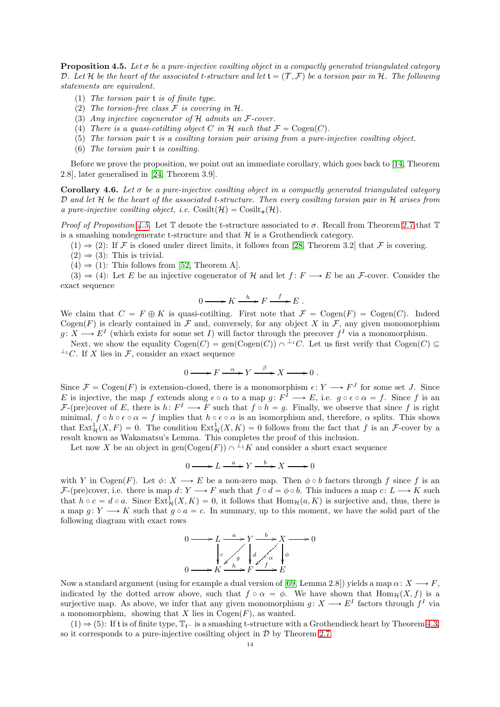<span id="page-13-0"></span>Proposition 4.5. *Let* σ *be a pure-injective cosilting object in a compactly generated triangulated category* D. Let H be the heart of the associated t-structure and let  $\mathfrak{t} = (\mathcal{T}, \mathcal{F})$  be a torsion pair in H. The following *statements are equivalent.*

- (1) *The torsion pair* t *is of finite type.*
- (2) The torsion-free class  $\mathcal F$  is covering in  $\mathcal H$ .
- (3) *Any injective cogenerator of* H *admits an* F*-cover.*
- (4) *There is a quasi-cotilting object* C in H *such that*  $\mathcal{F} = \text{Cogen}(C)$ *.*
- (5) *The torsion pair* t *is a cosilting torsion pair arising from a pure-injective cosilting object.*
- (6) *The torsion pair* t *is cosilting.*

Before we prove the proposition, we point out an immediate corollary, which goes back to [\[14,](#page-35-23) Theorem 2.8], later generalised in [\[24,](#page-35-24) Theorem 3.9].

<span id="page-13-1"></span>Corollary 4.6. Let  $\sigma$  be a pure-injective cosilting object in a compactly generated triangulated category D *and let* H *be the heart of the associated t-structure. Then every cosilting torsion pair in* H *arises from a pure-injective cosilting object, i.e.*  $\text{Cosilt}(\mathcal{H}) = \text{Cosilt}_{*}(\mathcal{H})$ .

*Proof of Proposition* [4.5.](#page-13-0) Let  $\mathbb T$  denote the t-structure associated to  $\sigma$ . Recall from Theorem [2.7](#page-5-2) that  $\mathbb T$ is a smashing nondegenerate t-structure and that  $\mathcal{H}$  is a Grothendieck category.

- $(1) \Rightarrow (2)$ : If F is closed under direct limits, it follows from [\[28,](#page-35-25) Theorem 3.2] that F is covering.
- $(2) \Rightarrow (3)$ : This is trivial.
- $(4) \Rightarrow (1)$ : This follows from [\[52,](#page-36-12) Theorem A].

 $(3) \Rightarrow (4)$ : Let E be an injective cogenerator of H and let  $f: F \longrightarrow E$  be an F-cover. Consider the exact sequence

$$
0 \longrightarrow K \xrightarrow{h} F \xrightarrow{f} E .
$$

We claim that  $C = F \oplus K$  is quasi-cotilting. First note that  $\mathcal{F} = \text{Cogen}(F) = \text{Cogen}(C)$ . Indeed Cogen(F) is clearly contained in F and, conversely, for any object X in F, any given monomorphism  $g: X \longrightarrow E^I$  (which exists for some set I) will factor through the precover  $f^I$  via a monomorphism.

Next, we show the equality  $Cogen(C)$  = gen( $Cogen(C)$ )  $\cap$  <sup>1</sup>+C. Let us first verify that  $Cogen(C)$  $\perp$ <sup>1</sup>C. If X lies in F, consider an exact sequence

$$
0 \longrightarrow F \xrightarrow{\alpha} Y \xrightarrow{\beta} X \longrightarrow 0 .
$$

Since  $\mathcal{F} = \text{Cogen}(F)$  is extension-closed, there is a monomorphism  $\epsilon \colon Y \longrightarrow F^J$  for some set J. Since E is injective, the map f extends along  $\epsilon \circ \alpha$  to a map  $g \colon F^I \longrightarrow E$ , i.e.  $g \circ \epsilon \circ \alpha = f$ . Since f is an F-(pre)cover of E, there is  $h: F^I \longrightarrow F$  such that  $f \circ h = g$ . Finally, we observe that since f is right minimal,  $f \circ h \circ \epsilon \circ \alpha = f$  implies that  $h \circ \epsilon \circ \alpha$  is an isomorphism and, therefore,  $\alpha$  splits. This shows that  $\text{Ext}^1_{\mathcal{H}}(X, F) = 0$ . The condition  $\text{Ext}^1_{\mathcal{H}}(X, K) = 0$  follows from the fact that f is an F-cover by a result known as Wakamatsu's Lemma. This completes the proof of this inclusion.

Let now X be an object in gen(Cogen(F))  $\cap$  <sup> $\perp$ </sup> K and consider a short exact sequence

$$
0 \longrightarrow L \xrightarrow{a} Y \xrightarrow{b} X \longrightarrow 0
$$

with Y in Cogen(F). Let  $\phi: X \longrightarrow E$  be a non-zero map. Then  $\phi \circ b$  factors through f since f is an  $\mathcal{F}\text{-}\text{(pre)cover, i.e. there is map } d: Y \longrightarrow F \text{ such that } f \circ d = \phi \circ b.$  This induces a map  $c: L \longrightarrow K$  such that  $h \circ c = d \circ a$ . Since  $\text{Ext}^1_{\mathcal{H}}(X, K) = 0$ , it follows that  $\text{Hom}_{\mathcal{H}}(a, K)$  is surjective and, thus, there is a map  $g: Y \longrightarrow K$  such that  $g \circ a = c$ . In summary, up to this moment, we have the solid part of the following diagram with exact rows

$$
0 \longrightarrow L \xrightarrow{a} Y \xrightarrow{b} X \longrightarrow 0
$$
  

$$
\downarrow c \xrightarrow{g} \downarrow d \xrightarrow{a} \downarrow \downarrow
$$
  

$$
0 \longrightarrow K \xrightarrow{h} F \xrightarrow{f} E
$$

Now a standard argument (using for example a dual version of [\[69,](#page-36-15) Lemma 2.8]) yields a map  $\alpha: X \longrightarrow F$ , indicated by the dotted arrow above, such that  $f \circ \alpha = \phi$ . We have shown that  $\text{Hom}_{\mathcal{H}}(X, f)$  is a surjective map. As above, we infer that any given monomorphism  $g: X \longrightarrow E^I$  factors through  $f^I$  via a monomorphism, showing that X lies in  $Cogen(F)$ , as wanted.

 $(1) \Rightarrow (5)$ : If t is of finite type,  $T_{t-}$  is a smashing t-structure with a Grothendieck heart by Theorem [4.3,](#page-11-1) so it corresponds to a pure-injective cosilting object in  $D$  by Theorem [2.7.](#page-5-2)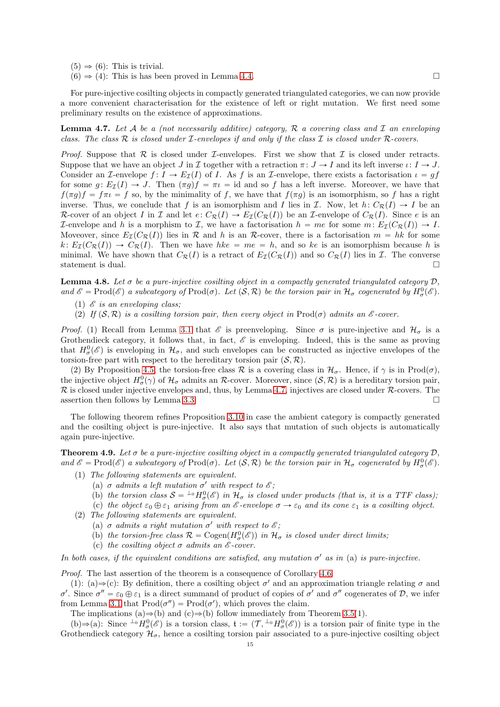- $(5) \Rightarrow (6)$ : This is trivial.
- $(6) \Rightarrow (4)$ : This is has been proved in Lemma [4.4.](#page-12-1)

For pure-injective cosilting objects in compactly generated triangulated categories, we can now provide a more convenient characterisation for the existence of left or right mutation. We first need some preliminary results on the existence of approximations.

<span id="page-14-1"></span>Lemma 4.7. *Let* A *be a (not necessarily additive) category,* R *a covering class and* I *an enveloping class. The class* R *is closed under* I*-envelopes if and only if the class* I *is closed under* R*-covers.*

*Proof.* Suppose that  $\mathcal R$  is closed under  $\mathcal I$ -envelopes. First we show that  $\mathcal I$  is closed under retracts. Suppose that we have an object  $J$  in  $\mathcal I$  together with a retraction  $\pi: J \to I$  and its left inverse  $\iota: I \to J$ . Consider an I-envelope  $f: I \to E_{\mathcal{I}}(I)$  of I. As f is an I-envelope, there exists a factorisation  $\iota = gf$ for some g:  $E_{\mathcal{I}}(I) \to J$ . Then  $(\pi g)f = \pi \iota = id$  and so f has a left inverse. Moreover, we have that  $f(\pi g)f = f\pi \iota = f$  so, by the minimality of f, we have that  $f(\pi g)$  is an isomorphism, so f has a right inverse. Thus, we conclude that f is an isomorphism and I lies in I. Now, let  $h: C_{\mathcal{R}}(I) \to I$  be an R-cover of an object I in I and let  $e: C_{\mathcal{R}}(I) \to E_{\mathcal{I}}(C_{\mathcal{R}}(I))$  be an I-envelope of  $C_{\mathcal{R}}(I)$ . Since e is an L-envelope and h is a morphism to L, we have a factorisation  $h = me$  for some  $m \nvert E_{\mathcal{I}}(C_{\mathcal{R}}(I)) \to I$ . Moveover, since  $E_T(C_R(I))$  lies in R and h is an R-cover, there is a factorisation  $m = hk$  for some  $k: E_{\mathcal{I}}(C_{\mathcal{R}}(I)) \to C_{\mathcal{R}}(I)$ . Then we have  $hke = me = h$ , and so ke is an isomorphism because h is minimal. We have shown that  $C_{\mathcal{R}}(I)$  is a retract of  $E_{\mathcal{I}}(C_{\mathcal{R}}(I))$  and so  $C_{\mathcal{R}}(I)$  lies in  $\mathcal{I}$ . The converse statement is dual.

<span id="page-14-2"></span>**Lemma 4.8.** Let  $\sigma$  be a pure-injective cosilting object in a compactly generated triangulated category  $D$ ,  $\text{and } \mathscr{E} = \text{Prod}(\mathscr{E})$  a subcategory of  $\text{Prod}(\sigma)$ . Let  $(\mathcal{S}, \mathcal{R})$  be the torsion pair in  $\mathcal{H}_{\sigma}$  cogenerated by  $H_{\sigma}^{0}(\mathscr{E})$ .

- (1) E *is an enveloping class;*
- (2) *If*  $(S, \mathcal{R})$  *is a cosilting torsion pair, then every object in* Prod $(\sigma)$  *admits an*  $\mathcal{E}$ -cover.

*Proof.* (1) Recall from Lemma [3.1](#page-6-2) that  $\mathscr E$  is preenveloping. Since  $\sigma$  is pure-injective and  $\mathcal H_{\sigma}$  is a Grothendieck category, it follows that, in fact,  $\mathscr E$  is enveloping. Indeed, this is the same as proving that  $H^0_\sigma(\mathscr{E})$  is enveloping in  $\mathcal{H}_\sigma$ , and such envelopes can be constructed as injective envelopes of the torsion-free part with respect to the hereditary torsion pair  $(S, \mathcal{R})$ .

(2) By Proposition [4.5,](#page-13-0) the torsion-free class  $\mathcal R$  is a covering class in  $\mathcal H_{\sigma}$ . Hence, if  $\gamma$  is in Prod $(\sigma)$ , the injective object  $H^0_\sigma(\gamma)$  of  $\mathcal{H}_\sigma$  admits an  $\mathcal{R}$ -cover. Moreover, since  $(\mathcal{S}, \mathcal{R})$  is a hereditary torsion pair,  $\mathcal R$  is closed under injective envelopes and, thus, by Lemma [4.7,](#page-14-1) injectives are closed under  $\mathcal R$ -covers. The assertion then follows by Lemma [3.3.](#page-6-3)

The following theorem refines Proposition [3.10](#page-9-0) in case the ambient category is compactly generated and the cosilting object is pure-injective. It also says that mutation of such objects is automatically again pure-injective.

<span id="page-14-0"></span>Theorem 4.9. *Let* σ *be a pure-injective cosilting object in a compactly generated triangulated category* D*,* and  $\mathscr{E} = \text{Prod}(\mathscr{E})$  a subcategory of  $\text{Prod}(\sigma)$ . Let  $(S, \mathcal{R})$  be the torsion pair in  $\mathcal{H}_{\sigma}$  cogenerated by  $H_{\sigma}^{0}(\mathscr{E})$ .

- (1) *The following statements are equivalent.*
	- (a)  $\sigma$  *admits a left mutation*  $\sigma'$  *with respect to*  $\mathscr{E}$ ;
	- (b) the torsion class  $S = {}^{\perp_0} H^0_\sigma(\mathscr{E})$  in  $\mathcal{H}_\sigma$  is closed under products (that is, it is a TTF class);
	- (c) the object  $\varepsilon_0 \oplus \varepsilon_1$  arising from an  $\varepsilon$ -envelope  $\sigma \to \varepsilon_0$  and its cone  $\varepsilon_1$  is a cosilting object.
- (2) *The following statements are equivalent.*
	- (a)  $\sigma$  *admits* a right mutation  $\sigma'$  with respect to  $\mathscr{E}$ ;
	- (b) the torsion-free class  $\mathcal{R} = \text{Cogen}(H^0_\sigma(\mathscr{E}))$  in  $\mathcal{H}_\sigma$  is closed under direct limits;
	- (c) *the cosilting object*  $\sigma$  *admits an*  $\mathscr{E}\text{-cover.}$

*In both cases, if the equivalent conditions are satisfied, any mutation*  $\sigma'$  *as in* (a) *is pure-injective.* 

*Proof.* The last assertion of the theorem is a consequence of Corollary [4.6.](#page-13-1)

(1): (a) $\Rightarrow$ (c): By definition, there a cosilting object  $\sigma'$  and an approximation triangle relating  $\sigma$  and σ'. Since  $\sigma'' = \varepsilon_0 \oplus \varepsilon_1$  is a direct summand of product of copies of  $\sigma'$  and  $\sigma''$  cogenerates of D, we infer from Lemma [3.1](#page-6-2) that  $\text{Prod}(\sigma'') = \text{Prod}(\sigma')$ , which proves the claim.

The implications (a) $\Rightarrow$ (b) and (c) $\Rightarrow$ (b) follow immediately from Theorem [3.5\(](#page-7-0)1).

(b)  $\Rightarrow$  (a): Since  $\perp^0 H^0_\sigma(\mathscr{E})$  is a torsion class,  $\mathfrak{t} := (\mathcal{T}, \perp^0 H^0_\sigma(\mathscr{E}))$  is a torsion pair of finite type in the Grothendieck category  $\mathcal{H}_{\sigma}$ , hence a cosilting torsion pair associated to a pure-injective cosilting object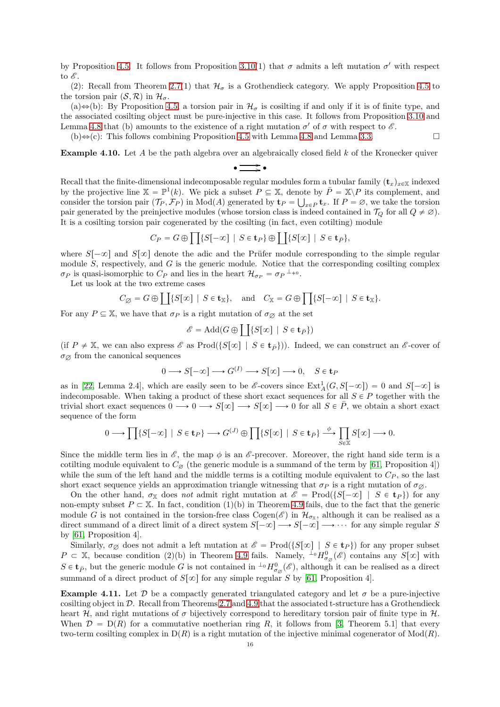by Proposition [4.5.](#page-13-0) It follows from Proposition [3.10\(](#page-9-0)1) that  $\sigma$  admits a left mutation  $\sigma'$  with respect to  $\mathscr{E}.$ 

(2): Recall from Theorem [2.7\(](#page-5-2)1) that  $\mathcal{H}_{\sigma}$  is a Grothendieck category. We apply Proposition [4.5](#page-13-0) to the torsion pair  $(S, \mathcal{R})$  in  $\mathcal{H}_{\sigma}$ .

(a) $\Leftrightarrow$ (b): By Proposition [4.5,](#page-13-0) a torsion pair in  $\mathcal{H}_{\sigma}$  is cosilting if and only if it is of finite type, and the associated cosilting object must be pure-injective in this case. It follows from Proposition [3.10](#page-9-0) and Lemma [4.8](#page-14-2) that (b) amounts to the existence of a right mutation  $\sigma'$  of  $\sigma$  with respect to  $\mathscr{E}$ .

 $(b) \Leftrightarrow (c)$ : This follows combining Proposition [4.5](#page-13-0) with Lemma [4.8](#page-14-2) and Lemma [3.3.](#page-6-3)

<span id="page-15-0"></span>Example 4.10. Let A be the path algebra over an algebraically closed field k of the Kronecker quiver  $\cdot \Longrightarrow$ 

Recall that the finite-dimensional indecomposable regular modules form a tubular family  $(\mathbf{t}_x)_{x\in\mathbb{X}}$  indexed by the projective line  $\mathbb{X} = \mathbb{P}^1(k)$ . We pick a subset  $P \subseteq \mathbb{X}$ , denote by  $\overline{P} = \mathbb{X} \backslash P$  its complement, and consider the torsion pair  $(\mathcal{T}_P, \mathcal{F}_P)$  in Mod(A) generated by  $\mathbf{t}_P = \bigcup_{x \in P} \mathbf{t}_x$ . If  $P = \emptyset$ , we take the torsion pair generated by the preinjective modules (whose torsion class is indeed contained in  $\mathcal{T}_Q$  for all  $Q \neq \emptyset$ ). It is a cosilting torsion pair cogenerated by the cosilting (in fact, even cotilting) module

$$
C_P = G \oplus \prod \{S[-\infty] \mid S \in \mathbf{t}_P\} \oplus \prod \{S[\infty] \mid S \in \mathbf{t}_{\bar{P}}\},\
$$

where  $S[-\infty]$  and  $S[\infty]$  denote the adic and the Prüfer module corresponding to the simple regular module  $S$ , respectively, and  $G$  is the generic module. Notice that the corresponding cosilting complex  $\sigma_P$  is quasi-isomorphic to  $C_P$  and lies in the heart  $\mathcal{H}_{\sigma_P} = \sigma_P^{-1}$ .

Let us look at the two extreme cases

$$
C_{\emptyset} = G \oplus \coprod \{ S[\infty] \mid S \in \mathbf{t}_{\mathbb{X}} \}, \quad \text{and} \quad C_{\mathbb{X}} = G \oplus \prod \{ S[-\infty] \mid S \in \mathbf{t}_{\mathbb{X}} \}.
$$

For any  $P \subseteq \mathbb{X}$ , we have that  $\sigma_P$  is a right mutation of  $\sigma_{\emptyset}$  at the set

$$
\mathscr{E} = \operatorname{Add}(G \oplus \coprod \{S[\infty] \ | \ S \in \mathbf{t}_{\bar{P}}\})
$$

(if  $P \neq \mathbb{X}$ , we can also express  $\mathscr{E}$  as Prod $(\{S[\infty] \mid S \in \mathbf{t}_{\bar{P}}\})$ ). Indeed, we can construct an  $\mathscr{E}$ -cover of  $\sigma_{\varnothing}$  from the canonical sequences

$$
0 \longrightarrow S[-\infty] \longrightarrow G^{(I)} \longrightarrow S[\infty] \longrightarrow 0, \quad S \in \mathbf{t}_P
$$

as in [\[22,](#page-35-26) Lemma 2.4], which are easily seen to be  $\mathscr{E}\text{-} \text{covers since } \text{Ext}^1_A(G, S[-\infty]) = 0$  and  $S[-\infty]$  is indecomposable. When taking a product of these short exact sequences for all  $S \in P$  together with the trivial short exact sequences  $0 \longrightarrow 0 \longrightarrow S[\infty] \longrightarrow S[\infty] \longrightarrow 0$  for all  $S \in \overline{P}$ , we obtain a short exact sequence of the form

$$
0 \longrightarrow \prod\{S[-\infty] \mid S \in \mathbf{t}_P\} \longrightarrow G^{(J)} \oplus \prod\{S[\infty] \mid S \in \mathbf{t}_P\} \stackrel{\phi}{\longrightarrow} \prod_{S \in \mathbb{X}} S[\infty] \longrightarrow 0.
$$

Since the middle term lies in  $\mathscr{E}$ , the map  $\phi$  is an  $\mathscr{E}$ -precover. Moreover, the right hand side term is a cotilting module equivalent to  $C_{\emptyset}$  (the generic module is a summand of the term by [\[61,](#page-36-16) Proposition 4]) while the sum of the left hand and the middle terms is a cotilting module equivalent to  $C_P$ , so the last short exact sequence yields an approximation triangle witnessing that  $\sigma_P$  is a right mutation of  $\sigma_{\varnothing}$ .

On the other hand,  $\sigma_{\mathbb{X}}$  does *not* admit right mutation at  $\mathscr{E} = \text{Prod}(\{S[-\infty] \mid S \in \mathbf{t}_P\})$  for any non-empty subset  $P \subset \mathbb{X}$ . In fact, condition (1)(b) in Theorem [4.9](#page-14-0) fails, due to the fact that the generic module G is not contained in the torsion-free class  $Cogen(\mathscr{E})$  in  $\mathcal{H}_{\sigma_{\mathbb{X}}}$ , although it can be realised as a direct summand of a direct limit of a direct system  $S[-\infty] \longrightarrow S[-\infty] \longrightarrow \cdots$  for any simple regular S by [\[61,](#page-36-16) Proposition 4].

Similarly,  $\sigma_{\emptyset}$  does not admit a left mutation at  $\mathscr{E} = \text{Prod}(\{S[\infty] \mid S \in \mathbf{t}_P\})$  for any proper subset  $P \subset \mathbb{X}$ , because condition (2)(b) in Theorem [4.9](#page-14-0) fails. Namely,  ${}^{L_0}H^0_{\sigma_{\varnothing}}(\mathscr{E})$  contains any  $S[\infty]$  with  $S \in \mathbf{t}_{\bar{P}}$ , but the generic module G is not contained in  ${}^{\perp_0}H_{\sigma_{\varnothing}}^0(\mathscr{E})$ , although it can be realised as a direct summand of a direct product of  $S[\infty]$  for any simple regular S by [\[61,](#page-36-16) Proposition 4].

**Example 4.11.** Let  $\mathcal{D}$  be a compactly generated triangulated category and let  $\sigma$  be a pure-injective cosilting object in D. Recall from Theorems [2.7](#page-5-2) and [4.9](#page-14-0) that the associated t-structure has a Grothendieck heart H, and right mutations of  $\sigma$  bijectively correspond to hereditary torsion pair of finite type in H. When  $\mathcal{D} = D(R)$  for a commutative noetherian ring R, it follows from [\[3,](#page-35-27) Theorem 5.1] that every two-term cosilting complex in  $D(R)$  is a right mutation of the injective minimal cogenerator of  $Mod(R)$ .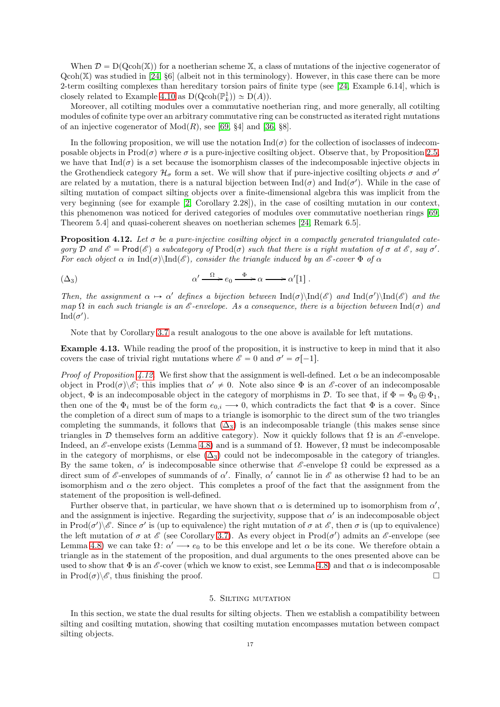When  $\mathcal{D} = D(Qcoh(X))$  for a noetherian scheme X, a class of mutations of the injective cogenerator of  $Qcoh(X)$  was studied in [\[24,](#page-35-24) §6] (albeit not in this terminology). However, in this case there can be more 2-term cosilting complexes than hereditary torsion pairs of finite type (see [\[24,](#page-35-24) Example 6.14], which is closely related to Example [4.10](#page-15-0) as  $D(Qcoh(\mathbb{P}^1_k)) \simeq D(A)$ .

Moreover, all cotilting modules over a commutative noetherian ring, and more generally, all cotilting modules of cofinite type over an arbitrary commutative ring can be constructed as iterated right mutations of an injective cogenerator of  $Mod(R)$ , see [\[69,](#page-36-15) §4] and [\[36,](#page-35-28) §8].

In the following proposition, we will use the notation  $\text{Ind}(\sigma)$  for the collection of isoclasses of indecomposable objects in  $\text{Prod}(\sigma)$  where  $\sigma$  is a pure-injective cosilting object. Observe that, by Proposition [2.5,](#page-4-1) we have that  $\text{Ind}(\sigma)$  is a set because the isomorphism classes of the indecomposable injective objects in the Grothendieck category  $\mathcal{H}_{\sigma}$  form a set. We will show that if pure-injective cosilting objects  $\sigma$  and  $\sigma'$ are related by a mutation, there is a natural bijection between  $\text{Ind}(\sigma)$  and  $\text{Ind}(\sigma')$ . While in the case of silting mutation of compact silting objects over a finite-dimensional algebra this was implicit from the very beginning (see for example [\[2,](#page-35-4) Corollary 2.28]), in the case of cosilting mutation in our context, this phenomenon was noticed for derived categories of modules over commutative noetherian rings [\[69,](#page-36-15) Theorem 5.4] and quasi-coherent sheaves on noetherian schemes [\[24,](#page-35-24) Remark 6.5].

<span id="page-16-1"></span>Proposition 4.12. *Let* σ *be a pure-injective cosilting object in a compactly generated triangulated cate* $gory \mathcal{D}$  *and*  $\mathscr{E} = \text{Prod}(\mathscr{E})$  *a subcategory of*  $\text{Prod}(\sigma)$  *such that there is a right mutation of*  $\sigma$  *at*  $\mathscr{E}$ *, say*  $\sigma'$ *. For each object*  $\alpha$  *in*  $\text{Ind}(\sigma)\text{Ind}(\mathscr{E})$ *, consider the triangle induced by an*  $\mathscr{E}$ -cover  $\Phi$  of  $\alpha$ 

<span id="page-16-2"></span>
$$
(\Delta_3) \qquad \alpha' \xrightarrow{\Omega} e_0 \xrightarrow{\Phi} \alpha \longrightarrow \alpha'[1].
$$

Then, the assignment  $\alpha \mapsto \alpha'$  defines a bijection between  $\text{Ind}(\sigma)\text{Ind}(\mathscr{E})$  and  $\text{Ind}(\mathscr{E})$  and the *map*  $\Omega$  *in each such triangle is an*  $\mathscr E$ -envelope. As a consequence, there is a bijection between Ind $(\sigma)$  and  $\text{Ind}(\sigma').$ 

Note that by Corollary [3.7](#page-8-1) a result analogous to the one above is available for left mutations.

Example 4.13. While reading the proof of the proposition, it is instructive to keep in mind that it also covers the case of trivial right mutations where  $\mathscr{E} = 0$  and  $\sigma' = \sigma[-1]$ .

*Proof of Proposition [4.12.](#page-16-1)* We first show that the assignment is well-defined. Let  $\alpha$  be an indecomposable object in  $\text{Prod}(\sigma)\&$ ; this implies that  $\alpha' \neq 0$ . Note also since  $\Phi$  is an  $\mathscr{E}\text{-cover}$  of an indecomposable object,  $\Phi$  is an indecomposable object in the category of morphisms in D. To see that, if  $\Phi = \Phi_0 \oplus \Phi_1$ , then one of the  $\Phi_i$  must be of the form  $e_{0,i} \longrightarrow 0$ , which contradicts the fact that  $\Phi$  is a cover. Since the completion of a direct sum of maps to a triangle is isomorphic to the direct sum of the two triangles completing the summands, it follows that  $(\Delta_3)$  is an indecomposable triangle (this makes sense since triangles in D themselves form an additive category). Now it quickly follows that  $\Omega$  is an  $\mathscr E$ -envelope. Indeed, an  $\mathcal{E}$ -envelope exists (Lemma [4.8\)](#page-14-2) and is a summand of  $\Omega$ . However,  $\Omega$  must be indecomposable in the category of morphisms, or else  $(\Delta_3)$  could not be indecomposable in the category of triangles. By the same token,  $\alpha'$  is indecomposable since otherwise that  $\mathscr E$ -envelope  $\Omega$  could be expressed as a direct sum of  $\mathscr E$ -envelopes of summands of  $\alpha'$ . Finally,  $\alpha'$  cannot lie in  $\mathscr E$  as otherwise  $\Omega$  had to be an isomorphism and  $\alpha$  the zero object. This completes a proof of the fact that the assignment from the statement of the proposition is well-defined.

Further observe that, in particular, we have shown that  $\alpha$  is determined up to isomorphism from  $\alpha'$ , and the assignment is injective. Regarding the surjectivity, suppose that  $\alpha'$  is an indecomposable object in Prod $(\sigma')\backslash \mathscr{E}$ . Since  $\sigma'$  is (up to equivalence) the right mutation of  $\sigma$  at  $\mathscr{E}$ , then  $\sigma$  is (up to equivalence) the left mutation of  $\sigma$  at  $\mathscr E$  (see Corollary [3.7\)](#page-8-1). As every object in Prod( $\sigma'$ ) admits an  $\mathscr E$ -envelope (see Lemma [4.8\)](#page-14-2) we can take  $\Omega: \alpha' \longrightarrow e_0$  to be this envelope and let  $\alpha$  be its cone. We therefore obtain a triangle as in the statement of the proposition, and dual arguments to the ones presented above can be used to show that  $\Phi$  is an  $\mathcal{E}$ -cover (which we know to exist, see Lemma [4.8\)](#page-14-2) and that  $\alpha$  is indecomposable in  $\text{Prod}(\sigma)\&$ , thus finishing the proof.

## 5. Silting mutation

<span id="page-16-0"></span>In this section, we state the dual results for silting objects. Then we establish a compatibility between silting and cosilting mutation, showing that cosilting mutation encompasses mutation between compact silting objects.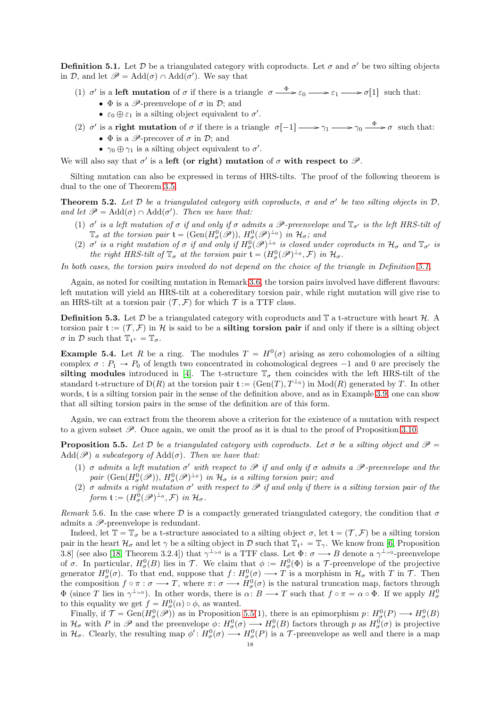<span id="page-17-0"></span>**Definition 5.1.** Let  $D$  be a triangulated category with coproducts. Let  $\sigma$  and  $\sigma'$  be two silting objects in  $\mathcal{D}$ , and let  $\mathscr{P} = \text{Add}(\sigma) \cap \text{Add}(\sigma')$ . We say that

- (1)  $\sigma'$  is a left mutation of  $\sigma$  if there is a triangle  $\sigma \xrightarrow{\Phi} \varepsilon_0 \longrightarrow \varepsilon_1 \longrightarrow \sigma[1]$  such that:
	- $\Phi$  is a  $\mathscr{P}$ -preenvelope of  $\sigma$  in  $\mathcal{D}$ ; and
	- $\varepsilon_0 \oplus \varepsilon_1$  is a silting object equivalent to  $\sigma'$ .
- (2)  $\sigma'$  is a **right mutation** of  $\sigma$  if there is a triangle  $\sigma[-1] \longrightarrow \gamma_1 \longrightarrow \gamma_0 \stackrel{\Phi}{\longrightarrow} \sigma$  such that:
	- $\Phi$  is a  $\mathscr{P}\text{-precover}$  of  $\sigma$  in  $\mathcal{D}$ ; and
	- $\gamma_0 \oplus \gamma_1$  is a silting object equivalent to  $\sigma'$ .

We will also say that  $\sigma'$  is a left (or right) mutation of  $\sigma$  with respect to  $\mathscr{P}$ .

Silting mutation can also be expressed in terms of HRS-tilts. The proof of the following theorem is dual to the one of Theorem [3.5.](#page-7-0)

<span id="page-17-3"></span>**Theorem 5.2.** Let  $D$  be a triangulated category with coproducts,  $\sigma$  and  $\sigma'$  be two silting objects in  $D$ , *and let*  $\mathscr{P} = \text{Add}(\sigma) \cap \text{Add}(\sigma')$ . Then we have that:

- (1)  $\sigma'$  *is a left mutation of*  $\sigma$  *if and only if*  $\sigma$  *admits a*  $\mathcal{P}$ -preenvelope and  $\mathbb{T}_{\sigma'}$  *is the left HRS-tilt of*  $\mathbb{T}_{\sigma}$  *at the torsion pair*  $\mathfrak{t} = (\text{Gen}(H_{\sigma}^0(\mathscr{P}))$ ,  $H_{\sigma}^0(\mathscr{P})^{\perp_0}$ ) in  $\mathcal{H}_{\sigma}$ ; and
- (2)  $\sigma'$  is a right mutation of  $\sigma$  if and only if  $H^0_\sigma(\mathscr{P})^{\perp_0}$  is closed under coproducts in  $\mathcal{H}_\sigma$  and  $\mathbb{T}_{\sigma'}$  is *the right HRS-tilt of*  $\mathbb{T}_{\sigma}$  *at the torsion pair*  $\mathfrak{t} = (H^0_{\sigma}(\mathscr{P})^{\perp_0}, \mathcal{F})$  *in*  $\mathcal{H}_{\sigma}$ .

*In both cases, the torsion pairs involved do not depend on the choice of the triangle in Definition [5.1.](#page-17-0)*

Again, as noted for cosilting mutation in Remark [3.6,](#page-8-2) the torsion pairs involved have different flavours: left mutation will yield an HRS-tilt at a cohereditary torsion pair, while right mutation will give rise to an HRS-tilt at a torsion pair  $(\mathcal{T}, \mathcal{F})$  for which  $\mathcal{T}$  is a TTF class.

**Definition 5.3.** Let  $\mathcal{D}$  be a triangulated category with coproducts and  $\mathbb{T}$  a t-structure with heart  $\mathcal{H}$ . A torsion pair  $\mathfrak{t} := (\mathcal{T}, \mathcal{F})$  in H is said to be a **silting torsion pair** if and only if there is a silting object  $\sigma$  in D such that  $\mathbb{T}_{\mathfrak{t}^+} = \mathbb{T}_{\sigma}$ .

**Example 5.4.** Let R be a ring. The modules  $T = H^0(\sigma)$  arising as zero cohomologies of a silting complex  $\sigma : P_1 \to P_0$  of length two concentrated in cohomological degrees  $-1$  and 0 are precisely the silting modules introduced in [\[4\]](#page-35-29). The t-structure  $\mathbb{T}_{\sigma}$  then coincides with the left HRS-tilt of the standard t-structure of  $D(R)$  at the torsion pair  $\mathfrak{t} := (\text{Gen}(T), T^{\perp_0})$  in  $\text{Mod}(R)$  generated by T. In other words, t is a silting torsion pair in the sense of the definition above, and as in Example [3.9,](#page-9-1) one can show that all silting torsion pairs in the sense of the definition are of this form.

Again, we can extract from the theorem above a criterion for the existence of a mutation with respect to a given subset  $\mathscr{P}$ . Once again, we omit the proof as it is dual to the proof of Proposition [3.10.](#page-9-0)

<span id="page-17-2"></span>**Proposition 5.5.** Let D *be a triangulated category with coproducts. Let*  $\sigma$  *be a silting object and*  $\mathscr{P}$  $Add(\mathscr{P})$  *a subcategory of*  $Add(\sigma)$ *. Then we have that:* 

- (1)  $\sigma$  *admits a left mutation*  $\sigma'$  *with respect to*  $\mathscr P$  *if and only if*  $\sigma$  *admits a*  $\mathscr P$ -preenvelope and the  $pair \; (\text{Gen}(H^0_\sigma(\mathscr{P})), H^0_\sigma(\mathscr{P})^{\perp_0}) \; in \; \mathcal{H}_\sigma \; \; is \; a \; silting \; torsion \; pair; \; and$
- (2)  $\sigma$  *admits a right mutation*  $\sigma'$  *with respect to*  $\mathscr P$  *if and only if there is a silting torsion pair of the form*  $\mathfrak{t} := (H^0_\sigma(\mathscr{P})^{\perp_0}, \mathcal{F})$  *in*  $\mathcal{H}_\sigma$ .

<span id="page-17-1"></span>*Remark* 5.6. In the case where  $\mathcal{D}$  is a compactly generated triangulated category, the condition that  $\sigma$ admits a  $\mathscr{P}$ -preenvelope is redundant.

Indeed, let  $\mathbb{T} = \mathbb{T}_{\sigma}$  be a t-structure associated to a silting object  $\sigma$ , let  $\mathfrak{t} = (\mathcal{T}, \mathcal{F})$  be a silting torsion pair in the heart  $\mathcal{H}_{\sigma}$  and let  $\gamma$  be a silting object in D such that  $\mathbb{T}_{t+} = \mathbb{T}_{\gamma}$ . We know from [\[6,](#page-35-30) Proposition 3.8] (see also [\[18,](#page-35-31) Theorem 3.2.4]) that  $\gamma^{\perp_{>0}}$  is a TTF class. Let  $\Phi: \sigma \longrightarrow B$  denote a  $\gamma^{\perp_{>0}}$ -preenvelope of  $\sigma$ . In particular,  $H^0_\sigma(B)$  lies in  $\mathcal{T}$ . We claim that  $\phi := H^0_\sigma(\Phi)$  is a  $\mathcal{T}$ -preenvelope of the projective generator  $H^0_\sigma(\sigma)$ . To that end, suppose that  $f: H^0_\sigma(\sigma) \longrightarrow T$  is a morphism in  $\mathcal{H}_\sigma$  with T in T. Then the composition  $f \circ \pi : \sigma \longrightarrow T$ , where  $\pi : \sigma \longrightarrow H^0_\sigma(\sigma)$  is the natural truncation map, factors through  $\Phi$  (since T lies in  $\gamma^{\perp_{>0}}$ ). In other words, there is  $\alpha: B \longrightarrow T$  such that  $f \circ \pi = \alpha \circ \Phi$ . If we apply  $H^0_\sigma$ to this equality we get  $f = H^0_\sigma(\alpha) \circ \phi$ , as wanted.

Finally, if  $\mathcal{T} = \text{Gen}(H^0_\sigma(\mathscr{P}))$  as in Proposition [5.5\(](#page-17-2)1), there is an epimorphism  $p: H^0_\sigma(P) \longrightarrow H^0_\sigma(B)$ in  $\mathcal{H}_{\sigma}$  with P in  $\mathscr{P}$  and the preenvelope  $\phi: H^0_{\sigma}(\sigma) \longrightarrow H^0_{\sigma}(B)$  factors through p as  $H^0_{\sigma}(\sigma)$  is projective in  $\mathcal{H}_{\sigma}$ . Clearly, the resulting map  $\phi' : H^0_{\sigma}(\sigma) \longrightarrow H^0_{\sigma}(P)$  is a T-preenvelope as well and there is a map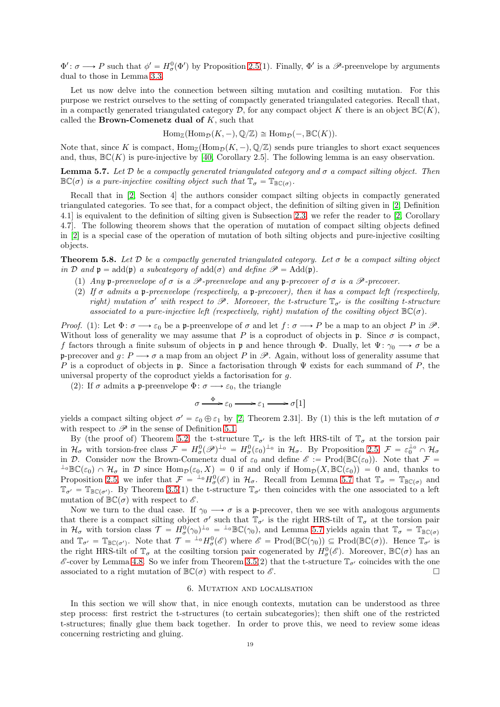$\Phi' : \sigma \longrightarrow P$  such that  $\phi' = H^0_{\sigma}(\Phi')$  by Proposition [2.5\(](#page-4-1)1). Finally,  $\Phi'$  is a  $\mathscr{P}$ -preenvelope by arguments dual to those in Lemma [3.3.](#page-6-3)

Let us now delve into the connection between silting mutation and cosilting mutation. For this purpose we restrict ourselves to the setting of compactly generated triangulated categories. Recall that, in a compactly generated triangulated category  $\mathcal{D}$ , for any compact object K there is an object  $\mathbb{BC}(K)$ , called the **Brown-Comenetz dual of**  $K$ , such that

$$
\text{Hom}_{\mathbb{Z}}(\text{Hom}_{\mathcal{D}}(K,-),\mathbb{Q}/\mathbb{Z})\cong \text{Hom}_{\mathcal{D}}(-,\mathbb{B}\mathbb{C}(K)).
$$

Note that, since K is compact,  $\text{Hom}_{\mathbb{Z}}(\text{Hom}_{\mathcal{D}}(K, -), \mathbb{Q}/\mathbb{Z})$  sends pure triangles to short exact sequences and, thus,  $\mathbb{BC}(K)$  is pure-injective by [\[40,](#page-35-22) Corollary 2.5]. The following lemma is an easy observation.

<span id="page-18-2"></span>Lemma 5.7. *Let* D *be a compactly generated triangulated category and* σ *a compact silting object. Then*  $\mathbb{BC}(\sigma)$  *is a pure-injective cosilting object such that*  $\mathbb{T}_{\sigma} = \mathbb{T}_{\mathbb{BC}(\sigma)}$ *.* 

Recall that in [\[2,](#page-35-4) Section 4] the authors consider compact silting objects in compactly generated triangulated categories. To see that, for a compact object, the definition of silting given in [\[2,](#page-35-4) Definition 4.1] is equivalent to the definition of silting given is Subsection [2.3,](#page-4-0) we refer the reader to [\[2,](#page-35-4) Corollary 4.7]. The following theorem shows that the operation of mutation of compact silting objects defined in [\[2\]](#page-35-4) is a special case of the operation of mutation of both silting objects and pure-injective cosilting objects.

<span id="page-18-1"></span>**Theorem 5.8.** Let  $\mathcal{D}$  be a compactly generated triangulated category. Let  $\sigma$  be a compact silting object *in* D *and*  $\mathfrak{p} = \text{add}(\mathfrak{p})$  *a subcategory of*  $\text{add}(\sigma)$  *and define*  $\mathscr{P} = \text{Add}(\mathfrak{p})$ *.* 

- (1) *Any* p-preenvelope of  $\sigma$  *is a*  $\mathscr P$ -preenvelope and any p-precover of  $\sigma$  *is a*  $\mathscr P$ -precover.
- (2) *If* σ *admits a* p*-preenvelope (respectively, a* p*-precover), then it has a compact left (respectively, right)* mutation  $\sigma'$  with respect to  $\mathscr P$ . Moreover, the t-structure  $\mathbb{T}_{\sigma'}$  is the cosilting t-structure *associated to a pure-injective left (respectively, right)* mutation of the cosilting object  $\mathbb{BC}(\sigma)$ .

*Proof.* (1): Let  $\Phi: \sigma \longrightarrow \varepsilon_0$  be a p-preenvelope of  $\sigma$  and let  $f: \sigma \longrightarrow P$  be a map to an object P in  $\mathscr{P}$ . Without loss of generality we may assume that P is a coproduct of objects in p. Since  $\sigma$  is compact, f factors through a finite subsum of objects in p and hence through  $\Phi$ . Dually, let  $\Psi$ :  $\gamma_0 \longrightarrow \sigma$  be a p-precover and  $g: P \longrightarrow \sigma$  a map from an object P in  $\mathscr{P}$ . Again, without loss of generality assume that P is a coproduct of objects in p. Since a factorisation through  $\Psi$  exists for each summand of P, the universal property of the coproduct yields a factorisation for g.

(2): If  $\sigma$  admits a p-preenvelope  $\Phi: \sigma \longrightarrow \varepsilon_0$ , the triangle

$$
\sigma \xrightarrow{\Phi} \varepsilon_0 \longrightarrow \varepsilon_1 \longrightarrow \sigma[1]
$$

yields a compact silting object  $\sigma' = \varepsilon_0 \oplus \varepsilon_1$  by [\[2,](#page-35-4) Theorem 2.31]. By (1) this is the left mutation of  $\sigma$ with respect to  $\mathscr P$  in the sense of Definition [5.1.](#page-17-0)

By (the proof of) Theorem [5.2,](#page-17-3) the t-structure  $\mathbb{T}_{\sigma'}$  is the left HRS-tilt of  $\mathbb{T}_{\sigma}$  at the torsion pair in  $\mathcal{H}_{\sigma}$  with torsion-free class  $\mathcal{F} = H_{\sigma}^{0}(\mathscr{P})^{\perp_{0}} = H_{\sigma}^{0}(\varepsilon_{0})^{\perp_{0}}$  in  $\mathcal{H}_{\sigma}$ . By Proposition [2.5,](#page-4-1)  $\mathcal{F} = \varepsilon_{0}^{\perp_{0}} \cap \mathcal{H}_{\sigma}$ in D. Consider now the Brown-Comenetz dual of  $\varepsilon_0$  and define  $\mathscr{E} := \text{Prod}(\mathbb{BC}(\varepsilon_0))$ . Note that  $\mathcal{F} =$  ${}^{\perp_0}\mathbb{BC}(\varepsilon_0)\cap\mathcal{H}_\sigma$  in D since  $\text{Hom}_{\mathcal{D}}(\varepsilon_0, X)=0$  if and only if  $\text{Hom}_{\mathcal{D}}(X,\mathbb{BC}(\varepsilon_0))=0$  and, thanks to Proposition [2.5,](#page-4-1) we infer that  $\mathcal{F} = {}^{\perp_0} H^0_\sigma(\mathscr{E})$  in  $\mathcal{H}_\sigma$ . Recall from Lemma [5.7](#page-18-2) that  $\mathbb{T}_\sigma = \mathbb{T}_{\mathbb{B}\mathbb{C}(\sigma)}$  and  $\mathbb{T}_{\sigma'} = \mathbb{T}_{\mathbb{BC}(\sigma')}$ . By Theorem [3.5\(](#page-7-0)1) the t-structure  $\mathbb{T}_{\sigma'}$  then coincides with the one associated to a left mutation of  $\mathbb{BC}(\sigma)$  with respect to  $\mathscr{E}$ .

Now we turn to the dual case. If  $\gamma_0 \longrightarrow \sigma$  is a p-precover, then we see with analogous arguments that there is a compact silting object  $\sigma'$  such that  $\mathbb{T}_{\sigma'}$  is the right HRS-tilt of  $\mathbb{T}_{\sigma}$  at the torsion pair in  $\mathcal{H}_{\sigma}$  with torsion class  $\mathcal{T} = H_{\sigma}^0(\gamma_0)^{\perp_0} = {}^{\perp_0}\mathbb{BC}(\gamma_0)$ , and Lemma [5.7](#page-18-2) yields again that  $\mathbb{T}_{\sigma} = \mathbb{T}_{\mathbb{BC}(\sigma)}$ and  $\mathbb{T}_{\sigma'} = \mathbb{T}_{\mathbb{BC}(\sigma')}$ . Note that  $\mathcal{T} = {}^{\perp_0}H^0_{\sigma}(\mathscr{E})$  where  $\mathscr{E} = \text{Prod}(\mathbb{BC}(\gamma_0)) \subseteq \text{Prod}(\mathbb{BC}(\sigma))$ . Hence  $\mathbb{T}_{\sigma'}$  is the right HRS-tilt of  $\mathbb{T}_{\sigma}$  at the cosilting torsion pair cogenerated by  $H^0_{\sigma}(\mathscr{E})$ . Moreover,  $\mathbb{BC}(\sigma)$  has an  $\mathscr E$ -cover by Lemma [4.8.](#page-14-2) So we infer from Theorem [3.5\(](#page-7-0)2) that the t-structure  $\mathbb T_{\sigma'}$  coincides with the one associated to a right mutation of  $\mathbb{BC}(\sigma)$  with respect to  $\mathscr{E}$ .

#### 6. Mutation and localisation

<span id="page-18-0"></span>In this section we will show that, in nice enough contexts, mutation can be understood as three step process: first restrict the t-structures (to certain subcategories); then shift one of the restricted t-structures; finally glue them back together. In order to prove this, we need to review some ideas concerning restricting and gluing.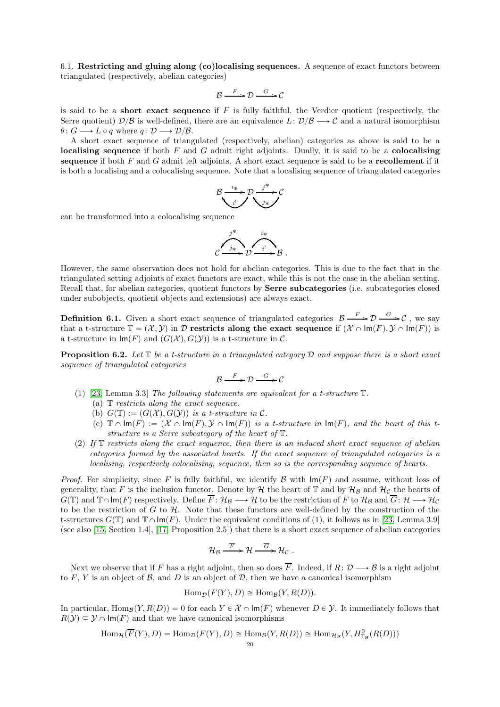<span id="page-19-0"></span>6.1. Restricting and gluing along (co)localising sequences. A sequence of exact functors between triangulated (respectively, abelian categories)

$$
\mathcal{B} \xrightarrow{F} \mathcal{D} \xrightarrow{G} \mathcal{C}
$$

is said to be a **short exact sequence** if  $F$  is fully faithful, the Verdier quotient (respectively, the Serre quotient)  $\mathcal{D}/\mathcal{B}$  is well-defined, there are an equivalence  $L: \mathcal{D}/\mathcal{B} \longrightarrow \mathcal{C}$  and a natural isomorphism  $\theta: G \longrightarrow L \circ q$  where  $q: \mathcal{D} \longrightarrow \mathcal{D}/\mathcal{B}$ .

A short exact sequence of triangulated (respectively, abelian) categories as above is said to be a localising sequence if both  $F$  and  $G$  admit right adjoints. Dually, it is said to be a colocalising sequence if both  $F$  and  $G$  admit left adjoints. A short exact sequence is said to be a recollement if it is both a localising and a colocalising sequence. Note that a localising sequence of triangulated categories

$$
\mathcal{B} \xrightarrow{i^*} \mathcal{D} \xrightarrow{j^*} \mathcal{C}
$$

can be transformed into a colocalising sequence



However, the same observation does not hold for abelian categories. This is due to the fact that in the triangulated setting adjoints of exact functors are exact, while this is not the case in the abelian setting. Recall that, for abelian categories, quotient functors by Serre subcategories (i.e. subcategories closed under subobjects, quotient objects and extensions) are always exact.

**Definition 6.1.** Given a short exact sequence of triangulated categories  $\mathcal{B} \xrightarrow{F} \mathcal{D} \xrightarrow{G} \mathcal{C}$ , we say that a t-structure  $\mathbb{T} = (\mathcal{X}, \mathcal{Y})$  in D restricts along the exact sequence if  $(\mathcal{X} \cap \text{Im}(F), \mathcal{Y} \cap \text{Im}(F))$  is a t-structure in  $\textsf{Im}(F)$  and  $(G(\mathcal{X}), G(\mathcal{Y}))$  is a t-structure in C.

<span id="page-19-1"></span>**Proposition 6.2.** Let  $\mathbb{T}$  be a t-structure in a triangulated category  $\mathcal{D}$  and suppose there is a short exact *sequence of triangulated categories*

$$
\mathcal{B} \xrightarrow{F} \mathcal{D} \xrightarrow{G} \mathcal{C}
$$

- (1) [\[23,](#page-35-32) Lemma 3.3] *The following statements are equivalent for a t-structure* T*.*
	- (a) T *restricts along the exact sequence.*
	- (b)  $G(\mathbb{T}) := (G(\mathcal{X}), G(\mathcal{Y}))$  is a t-structure in C.
	- (c)  $\mathbb{T} \cap \text{Im}(F) := (\mathcal{X} \cap \text{Im}(F), \mathcal{Y} \cap \text{Im}(F))$  is a *t-structure in*  $\text{Im}(F)$ *, and the heart of this tstructure is a Serre subcategory of the heart of* T*.*
- (2) *If* T *restricts along the exact sequence, then there is an induced short exact sequence of abelian categories formed by the associated hearts. If the exact sequence of triangulated categories is a localising, respectively colocalising, sequence, then so is the corresponding sequence of hearts.*

*Proof.* For simplicity, since F is fully faithful, we identify B with  $\text{Im}(F)$  and assume, without loss of generality, that F is the inclusion functor. Denote by  $H$  the heart of T and by  $H_B$  and  $H_C$  the hearts of  $G(\mathbb{T})$  and  $\mathbb{T} \cap \text{Im}(F)$  respectively. Define  $\overline{F} : \mathcal{H}_{\mathcal{B}} \longrightarrow \mathcal{H}$  to be the restriction of F to  $\mathcal{H}_{\mathcal{B}}$  and  $\overline{G} : \mathcal{H} \longrightarrow \mathcal{H}_{\mathcal{C}}$ to be the restriction of  $G$  to  $H$ . Note that these functors are well-defined by the construction of the t-structures  $G(\mathbb{T})$  and  $\mathbb{T}\cap \text{Im}(F)$ . Under the equivalent conditions of (1), it follows as in [\[23,](#page-35-32) Lemma 3.9] (see also [\[15,](#page-35-16) Section 1.4], [\[17,](#page-35-33) Proposition 2.5]) that there is a short exact sequence of abelian categories

$$
\mathcal{H}_{\mathcal{B}} \xrightarrow{\overline{F}} \mathcal{H} \xrightarrow{\overline{G}} \mathcal{H}_{\mathcal{C}} .
$$

Next we observe that if F has a right adjoint, then so does  $\overline{F}$ . Indeed, if  $R: \mathcal{D} \longrightarrow \mathcal{B}$  is a right adjoint to  $F, Y$  is an object of  $B$ , and  $D$  is an object of  $D$ , then we have a canonical isomorphism

$$
\operatorname{Hom}_{\mathcal{D}}(F(Y), D) \cong \operatorname{Hom}_{\mathcal{B}}(Y, R(D)).
$$

In particular,  $\text{Hom}_B(Y, R(D)) = 0$  for each  $Y \in \mathcal{X} \cap \text{Im}(F)$  whenever  $D \in \mathcal{Y}$ . It immediately follows that  $R(Y) \subseteq Y \cap \text{Im}(F)$  and that we have canonical isomorphisms

$$
\text{Hom}_{\mathcal{H}}(\overline{F}(Y), D) = \text{Hom}_{\mathcal{D}}(F(Y), D) \cong \text{Hom}_{\mathcal{B}}(Y, R(D)) \cong \text{Hom}_{\mathcal{H}_{\mathcal{B}}}(Y, H^0_{\mathbb{T}_{\mathcal{B}}}(R(D)))
$$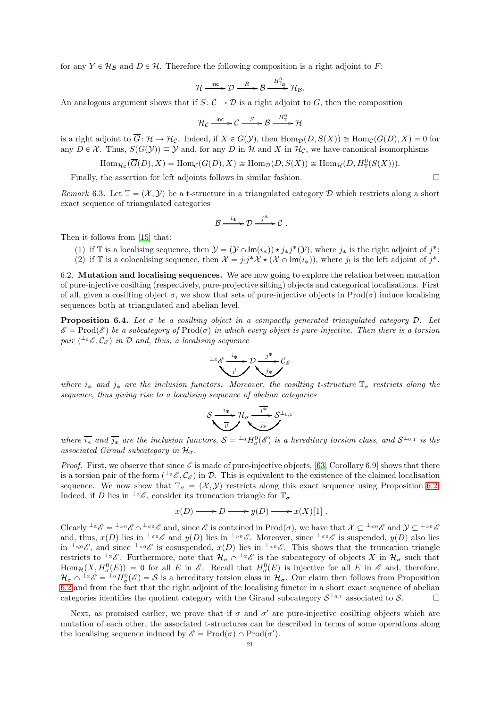for any  $Y \in \mathcal{H}_\mathcal{B}$  and  $D \in \mathcal{H}$ . Therefore the following composition is a right adjoint to  $\overline{F}$ :

$$
\mathcal{H} \xrightarrow{\text{inc}} \mathcal{D} \xrightarrow{\ R} \mathcal{B} \xrightarrow{\ H_{\mathbb{T}_\mathcal{B}^\circ}^0} \mathcal{H}_{\mathcal{B}}.
$$

An analogous argument shows that if  $S: \mathcal{C} \to \mathcal{D}$  is a right adjoint to G, then the composition

$$
\mathcal{H}_{\mathcal{C}} \xrightarrow{\text{inc}} \mathcal{C} \xrightarrow{S} \mathcal{B} \xrightarrow{H_{\mathbb{T}}^{0}} \mathcal{H}
$$

is a right adjoint to  $\overline{G}$ :  $\mathcal{H} \to \mathcal{H}_{\mathcal{C}}$ . Indeed, if  $X \in G(\mathcal{Y})$ , then  $\text{Hom}_{\mathcal{D}}(D, S(X)) \cong \text{Hom}_{\mathcal{C}}(G(D), X) = 0$  for any  $D \in \mathcal{X}$ . Thus,  $S(G(\mathcal{Y})) \subseteq \mathcal{Y}$  and, for any D in H and X in  $\mathcal{H}_{\mathcal{C}}$ , we have canonical isomorphisms

$$
\text{Hom}_{\mathcal{H}_{\mathcal{C}}}(\overline{G}(D), X) = \text{Hom}_{\mathcal{C}}(G(D), X) \cong \text{Hom}_{\mathcal{D}}(D, S(X)) \cong \text{Hom}_{\mathcal{H}}(D, H^0_{\mathbb{T}}(S(X))).
$$

Finally, the assertion for left adjoints follows in similar fashion.  $\Box$ 

<span id="page-20-2"></span>*Remark* 6.3. Let  $\mathbb{T} = (\mathcal{X}, \mathcal{Y})$  be a t-structure in a triangulated category D which restricts along a short exact sequence of triangulated categories

$$
\mathcal{B} \xrightarrow{i_*} \mathcal{D} \xrightarrow{j^*} \mathcal{C} .
$$

Then it follows from [\[15\]](#page-35-16) that:

- (1) if T is a localising sequence, then  $\mathcal{Y} = (\mathcal{Y} \cap \text{Im}(i_*)) \star j_*j^*(\mathcal{Y})$ , where  $j_*$  is the right adjoint of  $j^*$ ;
- (2) if  $\mathbb T$  is a colocalising sequence, then  $\mathcal X = j_!j^*\mathcal X \star (\mathcal X \cap \text{Im}(i_*))$ , where  $j_!$  is the left adjoint of  $j^*$ .

<span id="page-20-0"></span>6.2. Mutation and localising sequences. We are now going to explore the relation between mutation of pure-injective cosilting (respectively, pure-projective silting) objects and categorical localisations. First of all, given a cosilting object  $\sigma$ , we show that sets of pure-injective objects in Prod $(\sigma)$  induce localising sequences both at triangulated and abelian level.

<span id="page-20-1"></span>Proposition 6.4. *Let* σ *be a cosilting object in a compactly generated triangulated category* D*. Let*  $\mathscr{E} = \text{Prod}(\mathscr{E})$  be a subcategory of  $\text{Prod}(\sigma)$  in which every object is pure-injective. Then there is a torsion  $pair \; (<sup>L</sup><sub>Z</sub> \mathscr{E}, \mathcal{C}_{\mathscr{E}})$  *in*  $D$  *and, thus, a localising sequence* 

$$
\overbrace{\phantom{a}\cdots\phantom{a}}^{1_{\mathbb{Z}}}\overbrace{c_{i}^{i}}^{i_{*}}\overbrace{c_{j}}^{j^{*}}\overbrace{c_{j}}^{j^{*}}\overbrace{c_{j}}
$$

*where*  $i_*$  *and*  $j_*$  *are the inclusion functors. Moreover, the cosilting t-structure*  $\mathbb{T}_{\sigma}$  *restricts along the sequence, thus giving rise to a localising sequence of abelian categories*

$$
\mathcal{S} \xrightarrow{\overline{i_*}} \mathcal{H}_{\sigma} \xrightarrow{\overline{j^*}} \mathcal{S}^{\perp_{0,1}}
$$

where  $\overline{i_{\ast}}$  and  $\overline{j_{\ast}}$  are the inclusion functors,  $S = {}^{\perp_0}H^0_{\sigma}(\mathscr{E})$  is a hereditary torsion class, and  $S^{\perp_{0,1}}$  is the *associated Giraud subcategory in*  $\mathcal{H}_{\sigma}$ .

*Proof.* First, we observe that since  $\mathscr E$  is made of pure-injective objects, [\[63,](#page-36-17) Corollary 6.9] shows that there is a torsion pair of the form  $({}^{\perp_{\mathbb{Z}}}\mathscr{E},\mathcal{C}_{\mathscr{E}})$  in  $\mathcal{D}$ . This is equivalent to the existence of the claimed localisation sequence. We now show that  $\mathbb{T}_{\sigma} = (\mathcal{X}, \mathcal{Y})$  restricts along this exact sequence using Proposition [6.2.](#page-19-1) Indeed, if D lies in  $\perp z_{\mathscr{E}}$ , consider its truncation triangle for  $\mathbb{T}_{\sigma}$ 

$$
x(D) \longrightarrow D \longrightarrow y(D) \longrightarrow x(X)[1] .
$$

Clearly  $\perp z_{\mathscr{E}} = \perp > 0$   $\mathscr{E} \cap \perp \le 0$  and, since  $\mathscr{E}$  is contained in  $\text{Prod}(\sigma)$ , we have that  $\mathcal{X} \subseteq \perp \le 0$  and  $\mathcal{Y} \subseteq \perp > 0$ and, thus,  $x(D)$  lies in  $\perp \le \theta \mathscr{E}$  and  $y(D)$  lies in  $\perp > 0 \mathscr{E}$ . Moreover, since  $\perp \le \theta \mathscr{E}$  is suspended,  $y(D)$  also lies in  $\pm \infty \mathscr{E}$ , and since  $\pm \infty \mathscr{E}$  is cosuspended,  $x(D)$  lies in  $\pm \infty \mathscr{E}$ . This shows that the truncation triangle restricts to  ${}^{\perp_{\mathbb{Z}}}\mathscr{E}$ . Furthermore, note that  $\mathcal{H}_{\sigma} \cap {}^{\perp_{\mathbb{Z}}}\mathscr{E}$  is the subcategory of objects X in  $\mathcal{H}_{\sigma}$  such that  $\text{Hom}_{\mathcal{H}}(X, H^0_\sigma(E)) = 0$  for all E in  $\mathscr{E}$ . Recall that  $H^0_\sigma(E)$  is injective for all E in  $\mathscr{E}$  and, therefore,  $\mathcal{H}_{\sigma} \cap {}^{\perp_{\mathbb{Z}}}\mathscr{E} = {}^{\perp_{0}}H_{\sigma}^{0}(\mathscr{E}) = \mathcal{S}$  is a hereditary torsion class in  $\mathcal{H}_{\sigma}$ . Our claim then follows from Proposition [6.2](#page-19-1) and from the fact that the right adjoint of the localising functor in a short exact sequence of abelian categories identifies the quotient category with the Giraud subcategory  $S^{\perp_{0,1}}$  associated to S.

Next, as promised earlier, we prove that if  $\sigma$  and  $\sigma'$  are pure-injective cosilting objects which are mutation of each other, the associated t-structures can be described in terms of some operations along the localising sequence induced by  $\mathscr{E} = \text{Prod}(\sigma) \cap \text{Prod}(\sigma')$ .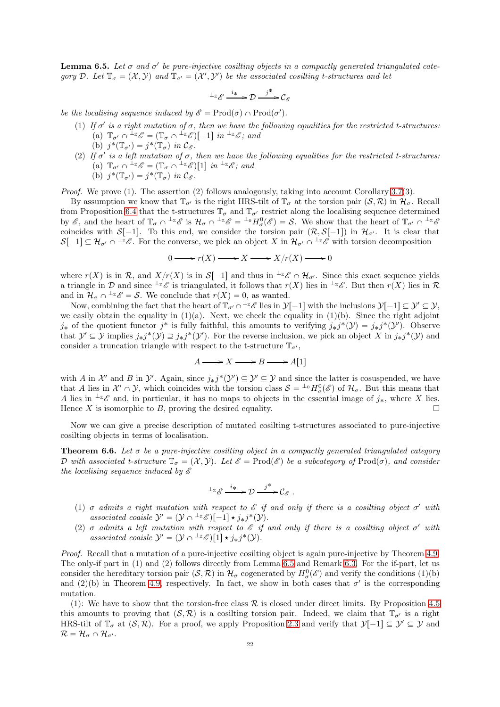<span id="page-21-1"></span>**Lemma 6.5.** Let  $\sigma$  and  $\sigma'$  be pure-injective cosilting objects in a compactly generated triangulated cate*gory* D. Let  $\mathbb{T}_{\sigma} = (\mathcal{X}, \mathcal{Y})$  and  $\mathbb{T}_{\sigma'} = (\mathcal{X}', \mathcal{Y}')$  be the associated cosilting t-structures and let

$$
{}^{\perp_{\mathbb{Z}}}\mathscr{E} \xrightarrow{i_*} \mathcal{D} \xrightarrow{j^*} \mathcal{C}_{\mathscr{E}}
$$

*be the localising sequence induced by*  $\mathscr{E} = \text{Prod}(\sigma) \cap \text{Prod}(\sigma')$ .

- (1) If  $\sigma'$  is a right mutation of  $\sigma$ , then we have the following equalities for the restricted t-structures: (a)  $\mathbb{T}_{\sigma'} \cap {}^{\perp_{\mathbb{Z}}}\mathscr{E} = (\mathbb{T}_{\sigma} \cap {}^{\perp_{\mathbb{Z}}}\mathscr{E})[-1]$  *in*  ${}^{\perp_{\mathbb{Z}}}\mathscr{E}$ ; and (b)  $j^*(\mathbb{T}_{\sigma'}) = j^*(\mathbb{T}_{\sigma})$  in  $\mathcal{C}_{\mathscr{E}}$ .
- (2) If  $\sigma'$  is a left mutation of  $\sigma$ , then we have the following equalities for the restricted t-structures: (a)  $\mathbb{T}_{\sigma'} \cap {}^{\perp_{\mathbb{Z}}}\mathscr{E} = (\mathbb{T}_{\sigma} \cap {}^{\perp_{\mathbb{Z}}}\mathscr{E})[1]$  *in*  ${}^{\perp_{\mathbb{Z}}}\mathscr{E}$ ; and (b)  $j^*(\mathbb{T}_{\sigma'}) = j^*(\mathbb{T}_{\sigma})$  in  $\mathcal{C}_{\mathscr{E}}$ .

*Proof.* We prove (1). The assertion (2) follows analogously, taking into account Corollary [3.7\(](#page-8-1)3).

By assumption we know that  $\mathbb{T}_{\sigma'}$  is the right HRS-tilt of  $\mathbb{T}_{\sigma}$  at the torsion pair  $(S, \mathcal{R})$  in  $\mathcal{H}_{\sigma}$ . Recall from Proposition [6.4](#page-20-1) that the t-structures  $\mathbb{T}_{\sigma}$  and  $\mathbb{T}_{\sigma'}$  restrict along the localising sequence determined by  $\mathscr{E}$ , and the heart of  $\mathbb{T}_{\sigma} \cap {}^{\perp_{\mathbb{Z}}}\mathscr{E}$  is  $\mathcal{H}_{\sigma} \cap {}^{\perp_{\mathbb{Z}}}\mathscr{E} = {}^{\perp_{0}}H_{\sigma}^{0}(\mathscr{E}) = \mathcal{S}$ . We show that the heart of  $\mathbb{T}_{\sigma} \cap {}^{\perp_{\mathbb{Z}}}\mathscr{E}$ coincides with  $S[-1]$ . To this end, we consider the torsion pair  $(R, S[-1])$  in  $\mathcal{H}_{\sigma'}$ . It is clear that  $\mathcal{S}[-1] \subseteq \mathcal{H}_{\sigma'} \cap \perp_{\mathbb{Z}} \mathcal{E}$ . For the converse, we pick an object X in  $\mathcal{H}_{\sigma'} \cap \perp_{\mathbb{Z}} \mathcal{E}$  with torsion decomposition

$$
0 \longrightarrow r(X) \longrightarrow X \longrightarrow X/r(X) \longrightarrow 0
$$

where  $r(X)$  is in R, and  $X/r(X)$  is in  $S[-1]$  and thus in  $\perp z_{\mathscr{E}} \cap \mathcal{H}_{\sigma'}$ . Since this exact sequence yields a triangle in D and since  ${}^{\perp_{\mathbb{Z}}}\mathscr{E}$  is triangulated, it follows that  $r(X)$  lies in  ${}^{\perp_{\mathbb{Z}}}\mathscr{E}$ . But then  $r(X)$  lies in R and in  $\mathcal{H}_{\sigma} \cap {}^{\perp_{\mathbb{Z}}}\mathcal{E} = \mathcal{S}$ . We conclude that  $r(X) = 0$ , as wanted.

Now, combining the fact that the heart of  $\mathbb{T}_{\sigma'} \cap {}^{\perp_{\mathbb{Z}}}\mathscr{E}$  lies in  $\mathcal{Y}[-1]$  with the inclusions  $\mathcal{Y}[-1] \subseteq \mathcal{Y}' \subseteq \mathcal{Y}$ , we easily obtain the equality in  $(1)(a)$ . Next, we check the equality in  $(1)(b)$ . Since the right adjoint  $j_*$  of the quotient functor  $j^*$  is fully faithful, this amounts to verifying  $j_*j^*(\mathcal{Y}) = j_*j^*(\mathcal{Y}')$ . Observe that  $\mathcal{Y}' \subseteq \mathcal{Y}$  implies  $j_*j^*(\mathcal{Y}) \supseteq j_*j^*(\mathcal{Y}')$ . For the reverse inclusion, we pick an object X in  $j_*j^*(\mathcal{Y})$  and consider a truncation triangle with respect to the t-structure  $\mathbb{T}_{\sigma'}$ ,

$$
A \longrightarrow X \longrightarrow B \longrightarrow A[1]
$$

with A in X' and B in  $\mathcal{Y}'$ . Again, since  $j_*j^*(\mathcal{Y}') \subseteq \mathcal{Y} \subseteq \mathcal{Y}$  and since the latter is cosuspended, we have that A lies in  $\mathcal{X}' \cap \mathcal{Y}$ , which coincides with the torsion class  $\mathcal{S} = {}^{\perp_0}H^0_{\sigma}(\mathscr{E})$  of  $\mathcal{H}_{\sigma}$ . But this means that A lies in  $\pm z \mathscr{E}$  and, in particular, it has no maps to objects in the essential image of  $j_*$ , where X lies. Hence X is isomorphic to B, proving the desired equality.  $\square$ 

Now we can give a precise description of mutated cosilting t-structures associated to pure-injective cosilting objects in terms of localisation.

<span id="page-21-0"></span>Theorem 6.6. *Let* σ *be a pure-injective cosilting object in a compactly generated triangulated category* D with associated t-structure  $\mathbb{T}_{\sigma} = (X, Y)$ *. Let*  $\mathscr{E} = \text{Prod}(\mathscr{E})$  be a subcategory of  $\text{Prod}(\sigma)$ *, and consider the localising sequence induced by* E

$$
\perp_{\mathbb{Z}} \mathscr{E} \xrightarrow{i_*} \mathcal{D} \xrightarrow{j^*} \mathcal{C}_{\mathscr{E}}.
$$

- (1)  $\sigma$  *admits* a right mutation with respect to  $\mathscr E$  if and only if there is a cosilting object  $\sigma'$  with associated coaisle  $\mathcal{Y}' = (\mathcal{Y} \cap {}^{\perp_{\mathbb{Z}}}\mathscr{E})[-1] \star j_*j^*(\mathcal{Y})$ .
- (2)  $\sigma$  *admits a left mutation with respect to*  $\mathscr E$  *if and only if there is a cosilting object*  $\sigma'$  *with* associated coaisle  $\mathcal{Y}' = (\mathcal{Y} \cap {}^{\perp_{\mathbb{Z}}}\mathcal{E})[1] \star j_*j^*(\mathcal{Y})$ .

*Proof.* Recall that a mutation of a pure-injective cosilting object is again pure-injective by Theorem [4.9.](#page-14-0) The only-if part in (1) and (2) follows directly from Lemma [6.5](#page-21-1) and Remark [6.3.](#page-20-2) For the if-part, let us consider the hereditary torsion pair  $(S, \mathcal{R})$  in  $\mathcal{H}_{\sigma}$  cogenerated by  $H_{\sigma}^{0}(\mathscr{E})$  and verify the conditions (1)(b) and (2)(b) in Theorem [4.9,](#page-14-0) respectively. In fact, we show in both cases that  $\sigma'$  is the corresponding mutation.

(1): We have to show that the torsion-free class  $\mathcal R$  is closed under direct limits. By Proposition [4.5](#page-13-0) this amounts to proving that  $(S, \mathcal{R})$  is a cosilting torsion pair. Indeed, we claim that  $\mathbb{T}_{\sigma'}$  is a right HRS-tilt of  $\mathbb{T}_{\sigma}$  at  $(S, \mathcal{R})$ . For a proof, we apply Proposition [2.3](#page-4-3) and verify that  $\mathcal{Y}[-1] \subseteq \mathcal{Y}' \subseteq \mathcal{Y}$  and  $\mathcal{R} = \mathcal{H}_{\sigma} \cap \mathcal{H}_{\sigma'}$ .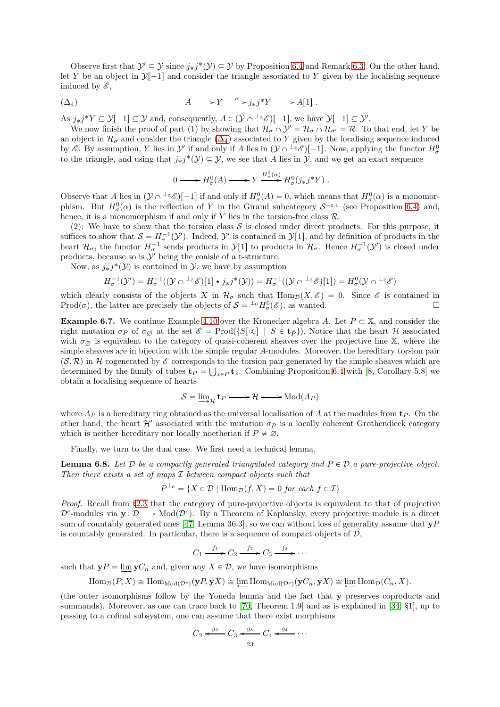Observe first that  $\mathcal{Y}' \subseteq \mathcal{Y}$  since  $j_*j^*(\mathcal{Y}) \subseteq \mathcal{Y}$  by Proposition [6.4](#page-20-1) and Remark [6.3.](#page-20-2) On the other hand, let Y be an object in  $\mathcal{Y}[-1]$  and consider the triangle associated to Y given by the localising sequence induced by  $\mathscr{E}$ ,

<span id="page-22-0"></span>
$$
A \longrightarrow Y \stackrel{\alpha}{\longrightarrow} j_*j^*Y \longrightarrow A[1] .
$$

As  $j_*j^*Y \subseteq \mathcal{Y}[-1] \subseteq \mathcal{Y}$  and, consequently,  $A \in (\mathcal{Y} \cap {}^{\perp_{\mathbb{Z}}}\mathcal{E})[-1]$ , we have  $\mathcal{Y}[-1] \subseteq \mathcal{Y}'$ .

We now finish the proof of part (1) by showing that  $\mathcal{H}_{\sigma} \cap \mathcal{Y}' = \mathcal{H}_{\sigma} \cap \mathcal{H}_{\sigma'} = \mathcal{R}$ . To that end, let Y be an object in  $\mathcal{H}_{\sigma}$  and consider the triangle  $(\Delta_4)$  associated to Y given by the localising sequence induced by  $\mathscr{E}$ . By assumption, Y lies in  $\mathcal{Y}'$  if and only if A lies in  $(\mathcal{Y} \cap {}^{\perp_{\mathbb{Z}}}\mathscr{E})[-1]$ . Now, applying the functor  $H^0_\sigma$ to the triangle, and using that  $j_*j^*(\mathcal{Y}) \subseteq \mathcal{Y}$ , we see that A lies in  $\mathcal{Y}$ , and we get an exact sequence

$$
0 \longrightarrow H^0_{\sigma}(A) \longrightarrow Y \xrightarrow{H^0_{\sigma}(\alpha)} H^0_{\sigma}(j_*j^*Y) .
$$

Observe that A lies in  $(\mathcal{Y} \cap {}^{\perp_{\mathbb{Z}}}\mathcal{E})[-1]$  if and only if  $H^0_\sigma(A) = 0$ , which means that  $H^0_\sigma(\alpha)$  is a monomorphism. But  $H^0_\sigma(\alpha)$  is the reflection of Y in the Giraud subcategory  $S^{\perp_{0,1}}$  (see Proposition [6.4\)](#page-20-1) and, hence, it is a monomorphism if and only if Y lies in the torsion-free class  $\mathcal{R}$ .

(2): We have to show that the torsion class  $S$  is closed under direct products. For this purpose, it suffices to show that  $S = H_{\sigma}^{-1}(\mathcal{Y}')$ . Indeed,  $\mathcal{Y}'$  is contained in  $\mathcal{Y}[1]$ , and by definition of products in the heart  $\mathcal{H}_{\sigma}$ , the functor  $H_{\sigma}^{-1}$  sends products in  $\mathcal{Y}[1]$  to products in  $\mathcal{H}_{\sigma}$ . Hence  $H_{\sigma}^{-1}(\mathcal{Y}')$  is closed under products, because so is  $\mathcal{Y}'$  being the coaisle of a t-structure.

Now, as  $j_*j^*(\mathcal{Y})$  is contained in  $\mathcal{Y}$ , we have by assumption

$$
H_{\sigma}^{-1}(\mathcal{Y}') = H_{\sigma}^{-1}((\mathcal{Y} \cap {}^{\perp_{\mathbb{Z}}}\mathcal{E})[1] \star j_*j^*(\mathcal{Y})) = H_{\sigma}^{-1}((\mathcal{Y} \cap {}^{\perp_{\mathbb{Z}}}\mathcal{E})[1]) = H_{\sigma}^0(\mathcal{Y} \cap {}^{\perp_{\mathbb{Z}}}\mathcal{E})
$$

which clearly consists of the objects X in  $\mathcal{H}_{\sigma}$  such that  $\text{Hom}_{\mathcal{D}}(X, \mathscr{E}) = 0$ . Since  $\mathscr{E}$  is contained in Prod( $\sigma$ ), the latter are precisely the objects of  $S = {}^{\perp_0}H^0_{\sigma}(\mathscr{E})$ , as wanted.

**Example 6.7.** We continue Example [4.10](#page-15-0) over the Kronecker algebra A. Let  $P \subset \mathbb{X}$ , and consider the right mutation  $\sigma_P$  of  $\sigma_\varnothing$  at the set  $\mathscr{E} = \text{Prod}(\{S[\infty] \mid S \in \mathbf{t}_P\})$ . Notice that the heart H associated with  $\sigma_{\alpha}$  is equivalent to the category of quasi-coherent sheaves over the projective line X, where the simple sheaves are in bijection with the simple regular A-modules. Moreover, the hereditary torsion pair  $(S, \mathcal{R})$  in H cogenerated by E corresponds to the torsion pair generated by the simple sheaves which are determined by the family of tubes  $\mathbf{t}_P = \bigcup_{x \in P} \mathbf{t}_x$ . Combining Proposition [6.4](#page-20-1) with [\[8,](#page-35-34) Corollary 5.8] we obtain a localising sequence of hearts

$$
S = \underline{\lim}_{\mathcal{H}} \mathbf{t}_P \longrightarrow \mathcal{H} \longrightarrow \text{Mod}(A_P)
$$

where  $A_P$  is a hereditary ring obtained as the universal localisation of A at the modules from  $\mathbf{t}_P$ . On the other hand, the heart  $\mathcal{H}'$  associated with the mutation  $\sigma_P$  is a locally coherent Grothendieck category which is neither hereditary nor locally noetherian if  $P \neq \emptyset$ .

Finally, we turn to the dual case. We first need a technical lemma.

<span id="page-22-1"></span>**Lemma 6.8.** Let  $\mathcal{D}$  be a compactly generated triangulated category and  $P \in \mathcal{D}$  a pure-projective object. *Then there exists a set of maps* I *between compact objects such that*

$$
P^{\perp_0} = \{ X \in \mathcal{D} \mid \text{Hom}_{\mathcal{D}}(f, X) = 0 \text{ for each } f \in \mathcal{I} \}
$$

*Proof.* Recall from §[2.3](#page-4-0) that the category of pure-projective objects is equivalent to that of projective  $\mathcal{D}^c$ -modules via  $\mathbf{y}: \mathcal{D} \longrightarrow \text{Mod}(\mathcal{D}^c)$ . By a Theorem of Kaplansky, every projective module is a direct sum of countably generated ones [\[47,](#page-36-18) Lemma 36.3], so we can without loss of generality assume that  $\mathbf{y}P$ is countably generated. In particular, there is a sequence of compact objects of  $\mathcal{D}$ ,

$$
C_1 \xrightarrow{f_1} C_2 \xrightarrow{f_2} C_3 \xrightarrow{f_3} \cdots
$$

such that  $yP = \lim_{n \to \infty} yC_n$  and, given any  $X \in \mathcal{D}$ , we have isomorphisms

$$
\operatorname{Hom}_{\mathcal{D}}(P,X) \cong \operatorname{Hom}_{\operatorname{Mod}(\mathcal{D}^c)}(\mathbf{y}P,\mathbf{y}X) \cong \varprojlim \operatorname{Hom}_{\operatorname{Mod}(\mathcal{D}^c)}(\mathbf{y}C_n,\mathbf{y}X) \cong \varprojlim \operatorname{Hom}_{\mathcal{D}}(C_n,X).
$$

(the outer isomorphisms follow by the Yoneda lemma and the fact that y preserves coproducts and summands). Moreover, as one can trace back to [\[70,](#page-36-19) Theorem 1.9] and as is explained in [\[34,](#page-35-35) §1], up to passing to a cofinal subsystem, one can assume that there exist morphisms

$$
C_2 \xleftarrow{g_2} C_3 \xleftarrow{g_3} C_4 \xleftarrow{g_4} \cdots
$$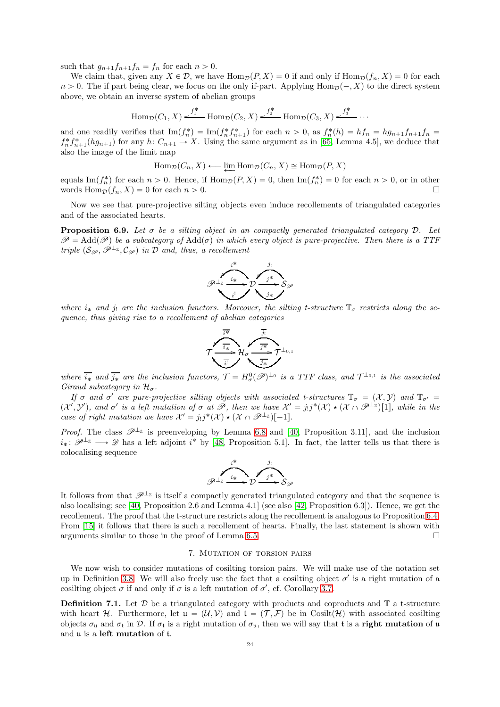such that  $g_{n+1}f_{n+1}f_n = f_n$  for each  $n > 0$ .

We claim that, given any  $X \in \mathcal{D}$ , we have  $\text{Hom}_{\mathcal{D}}(P, X) = 0$  if and only if  $\text{Hom}_{\mathcal{D}}(f_n, X) = 0$  for each  $n > 0$ . The if part being clear, we focus on the only if-part. Applying  $\text{Hom}_{\mathcal{D}}(-, X)$  to the direct system above, we obtain an inverse system of abelian groups

$$
\text{Hom}_{\mathcal{D}}(C_1, X) \xleftarrow{f_1^*} \text{Hom}_{\mathcal{D}}(C_2, X) \xleftarrow{f_2^*} \text{Hom}_{\mathcal{D}}(C_3, X) \xleftarrow{f_3^*} \cdots
$$

and one readily verifies that  $\text{Im}(f_n^*) = \text{Im}(f_n^* f_{n+1}^*)$  for each  $n > 0$ , as  $f_n^*(h) = hf_n = hg_{n+1}f_{n+1}f_n =$  $f_n^* f_{n+1}^*(hg_{n+1})$  for any  $h: C_{n+1} \to X$ . Using the same argument as in [\[65,](#page-36-20) Lemma 4.5], we deduce that also the image of the limit map

$$
\operatorname{Hom}_{\mathcal{D}}(C_n, X) \longleftarrow \varprojlim \operatorname{Hom}_{\mathcal{D}}(C_n, X) \cong \operatorname{Hom}_{\mathcal{D}}(P, X)
$$

equals Im $(f_n^*)$  for each  $n > 0$ . Hence, if  $\text{Hom}_{\mathcal{D}}(P, X) = 0$ , then Im $(f_n^*) = 0$  for each  $n > 0$ , or in other words  $\text{Hom}_{\mathcal{D}}(f_n, X) = 0$  for each  $n > 0$ .

Now we see that pure-projective silting objects even induce recollements of triangulated categories and of the associated hearts.

**Proposition 6.9.** Let  $\sigma$  be a silting object in an compactly generated triangulated category  $\mathcal{D}$ . Let  $\mathscr{P} = \text{Add}(\mathscr{P})$  be a subcategory of  $\text{Add}(\sigma)$  in which every object is pure-projective. Then there is a TTF *triple*  $(S_{\mathcal{P}}, \mathcal{P}^{\perp_{\mathbb{Z}}}, \mathcal{C}_{\mathcal{P}})$  *in*  $\mathcal{D}$  *and, thus, a recollement* 



*where*  $i_*$  *and*  $j_!$  *are the inclusion functors. Moreover, the silting t-structure*  $\mathbb{T}_{\sigma}$  *restricts along the sequence, thus giving rise to a recollement of abelian categories*



where  $\overline{i_*}$  and  $\overline{j_*}$  are the inclusion functors,  $\mathcal{T} = H^0_\sigma(\mathscr{P})^{\perp_0}$  is a TTF class, and  $\mathcal{T}^{\perp_{0,1}}$  is the associated *Giraud subcategory in*  $\mathcal{H}_{\sigma}$ .

*If*  $\sigma$  *and*  $\sigma'$  *are pure-projective silting objects with associated t-structures*  $\mathbb{T}_{\sigma} = (X, Y)$  *and*  $\mathbb{T}_{\sigma'} =$  $(X', Y')$ , and  $\sigma'$  is a left mutation of  $\sigma$  at  $\mathscr{P}$ , then we have  $\mathcal{X}' = j_!j^*(\mathcal{X}) \star (\mathcal{X} \cap \mathscr{P}^{\perp_Z})[1]$ , while in the *case of right mutation we have*  $\mathcal{X}' = j_! j^* (\mathcal{X}) \star (\mathcal{X} \cap \mathcal{P}^{\perp_{\mathbb{Z}}})[-1].$ 

*Proof.* The class  $\mathscr{P}^{\perp_{\mathbb{Z}}}$  is preenveloping by Lemma [6.8](#page-22-1) and [\[40,](#page-35-22) Proposition 3.11], and the inclusion  $i_*: \mathscr{P}^{\perp_{\mathbb{Z}}}\longrightarrow \mathscr{D}$  has a left adjoint  $i^*$  by [\[48,](#page-36-21) Proposition 5.1]. In fact, the latter tells us that there is colocalising sequence

$$
\overbrace{\mathscr{P}^{\perp_{\mathbb{Z}}} \xrightarrow{i_{*}} \mathscr{D}}^{\qquad \qquad j_{!}} S_{\mathscr{P}}
$$

It follows from that  $\mathscr{P}^{\perp_{\mathbb{Z}}}$  is itself a compactly generated triangulated category and that the sequence is also localising; see [\[40,](#page-35-22) Proposition 2.6 and Lemma 4.1] (see also [\[42,](#page-35-36) Proposition 6.3]). Hence, we get the recollement. The proof that the t-structure restricts along the recollement is analogous to Proposition [6.4.](#page-20-1) From [\[15\]](#page-35-16) it follows that there is such a recollement of hearts. Finally, the last statement is shown with arguments similar to those in the proof of Lemma [6.5.](#page-21-1)

## 7. Mutation of torsion pairs

<span id="page-23-0"></span>We now wish to consider mutations of cosilting torsion pairs. We will make use of the notation set up in Definition [3.8.](#page-9-2) We will also freely use the fact that a cosilting object  $\sigma'$  is a right mutation of a cosilting object  $\sigma$  if and only if  $\sigma$  is a left mutation of  $\sigma'$ , cf. Corollary [3.7.](#page-8-1)

**Definition 7.1.** Let  $\mathcal{D}$  be a triangulated category with products and coproducts and  $\mathbb{T}$  a t-structure with heart H. Furthermore, let  $\mathfrak{u} = (\mathcal{U}, \mathcal{V})$  and  $\mathfrak{t} = (\mathcal{T}, \mathcal{F})$  be in Cosilt $(\mathcal{H})$  with associated cosilting objects  $\sigma_u$  and  $\sigma_t$  in D. If  $\sigma_t$  is a right mutation of  $\sigma_u$ , then we will say that t is a right mutation of u and u is a left mutation of t.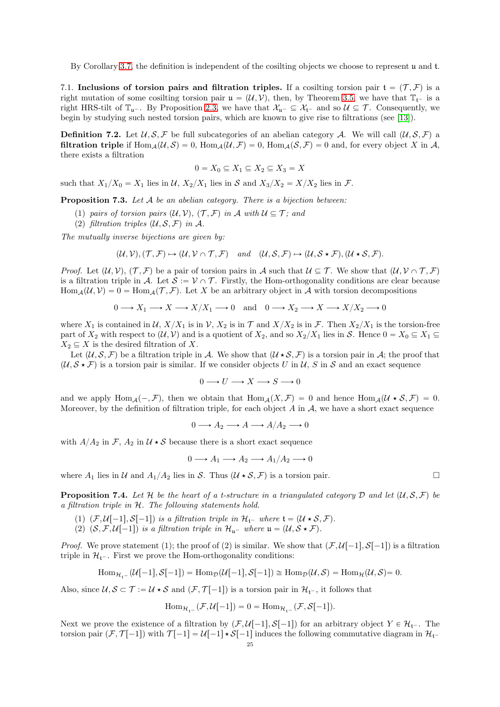By Corollary [3.7,](#page-8-1) the definition is independent of the cosilting objects we choose to represent u and t.

<span id="page-24-0"></span>7.1. Inclusions of torsion pairs and filtration triples. If a cosilting torsion pair  $f = (T, \mathcal{F})$  is a right mutation of some cosilting torsion pair  $\mathfrak{u} = (\mathcal{U}, \mathcal{V})$ , then, by Theorem [3.5,](#page-7-0) we have that  $\mathbb{T}_{\mathfrak{t}^-}$  is a right HRS-tilt of  $\mathbb{T}_{u^-}$ . By Proposition [2.3,](#page-4-3) we have that  $\mathcal{X}_{u^-} \subseteq \mathcal{X}_{t^-}$  and so  $\mathcal{U} \subseteq \mathcal{T}$ . Consequently, we begin by studying such nested torsion pairs, which are known to give rise to filtrations (see [\[13\]](#page-35-37)).

**Definition 7.2.** Let  $U, S, \mathcal{F}$  be full subcategories of an abelian category A. We will call  $(U, S, \mathcal{F})$  a **filtration triple** if  $\text{Hom}_{A}(\mathcal{U}, \mathcal{S}) = 0$ ,  $\text{Hom}_{A}(\mathcal{U}, \mathcal{F}) = 0$ ,  $\text{Hom}_{A}(\mathcal{S}, \mathcal{F}) = 0$  and, for every object X in A, there exists a filtration

$$
0 = X_0 \subseteq X_1 \subseteq X_2 \subseteq X_3 = X
$$

such that  $X_1/X_0 = X_1$  lies in  $\mathcal{U}, X_2/X_1$  lies in  $\mathcal{S}$  and  $X_3/X_2 = X/X_2$  lies in  $\mathcal{F}$ .

<span id="page-24-2"></span>Proposition 7.3. *Let* A *be an abelian category. There is a bijection between:*

- (1) *pairs of torsion pairs*  $(\mathcal{U}, \mathcal{V}), (\mathcal{T}, \mathcal{F})$  *in* A *with*  $\mathcal{U} \subseteq \mathcal{T}$ *; and*
- (2) *filtration triples*  $(U, S, \mathcal{F})$  *in* A.

*The mutually inverse bijections are given by:*

 $(\mathcal{U}, \mathcal{V}), (\mathcal{T}, \mathcal{F}) \mapsto (\mathcal{U}, \mathcal{V} \cap \mathcal{T}, \mathcal{F})$  and  $(\mathcal{U}, \mathcal{S}, \mathcal{F}) \mapsto (\mathcal{U}, \mathcal{S} \star \mathcal{F}), (\mathcal{U} \star \mathcal{S}, \mathcal{F}).$ 

*Proof.* Let  $(\mathcal{U}, \mathcal{V}), (\mathcal{T}, \mathcal{F})$  be a pair of torsion pairs in A such that  $\mathcal{U} \subseteq \mathcal{T}$ . We show that  $(\mathcal{U}, \mathcal{V} \cap \mathcal{T}, \mathcal{F})$ is a filtration triple in A. Let  $S := V \cap T$ . Firstly, the Hom-orthogonality conditions are clear because Hom  $_A(\mathcal{U}, \mathcal{V}) = 0 = \text{Hom}_A(\mathcal{T}, \mathcal{F})$ . Let X be an arbitrary object in A with torsion decompositions

$$
0 \longrightarrow X_1 \longrightarrow X \longrightarrow X/X_1 \longrightarrow 0 \text{ and } 0 \longrightarrow X_2 \longrightarrow X \longrightarrow X/X_2 \longrightarrow 0
$$

where  $X_1$  is contained in  $\mathcal{U}, X/X_1$  is in  $\mathcal{V}, X_2$  is in  $\mathcal{T}$  and  $X/X_2$  is in  $\mathcal{F}$ . Then  $X_2/X_1$  is the torsion-free part of  $X_2$  with respect to  $(\mathcal{U}, \mathcal{V})$  and is a quotient of  $X_2$ , and so  $X_2/X_1$  lies in S. Hence  $0 = X_0 \subseteq X_1 \subseteq$  $X_2 \subseteq X$  is the desired filtration of X.

Let  $(\mathcal{U}, \mathcal{S}, \mathcal{F})$  be a filtration triple in A. We show that  $(\mathcal{U} \star \mathcal{S}, \mathcal{F})$  is a torsion pair in A; the proof that  $(U, S \star F)$  is a torsion pair is similar. If we consider objects U in U, S in S and an exact sequence

$$
0 \longrightarrow U \longrightarrow X \longrightarrow S \longrightarrow 0
$$

and we apply  $\text{Hom}_{\mathcal{A}}(-, \mathcal{F})$ , then we obtain that  $\text{Hom}_{\mathcal{A}}(X, \mathcal{F}) = 0$  and hence  $\text{Hom}_{\mathcal{A}}(\mathcal{U} \star \mathcal{S}, \mathcal{F}) = 0$ . Moreover, by the definition of filtration triple, for each object  $A$  in  $A$ , we have a short exact sequence

$$
0 \longrightarrow A_2 \longrightarrow A \longrightarrow A/A_2 \longrightarrow 0
$$

with  $A/A_2$  in  $\mathcal{F}$ ,  $A_2$  in  $\mathcal{U} \star \mathcal{S}$  because there is a short exact sequence

$$
0 \longrightarrow A_1 \longrightarrow A_2 \longrightarrow A_1/A_2 \longrightarrow 0
$$

where  $A_1$  lies in  $\mathcal U$  and  $A_1/A_2$  lies in S. Thus  $(\mathcal U \star \mathcal S, \mathcal F)$  is a torsion pair.

<span id="page-24-1"></span>**Proposition 7.4.** Let H be the heart of a t-structure in a triangulated category D and let  $(\mathcal{U}, \mathcal{S}, \mathcal{F})$  be *a filtration triple in* H*. The following statements hold.*

- (1)  $(F, U[-1], S[-1])$  is a filtration triple in  $H_{t^-}$  where  $t = (U \star S, F)$ .
- (2)  $(S, \mathcal{F}, \mathcal{U}[-1])$  is a filtration triple in  $\mathcal{H}_{\mathfrak{u}^-}$  where  $\mathfrak{u} = (\mathcal{U}, \mathcal{S} \star \mathcal{F})$ .

*Proof.* We prove statement (1); the proof of (2) is similar. We show that  $(F, U[-1], S[-1])$  is a filtration triple in  $\mathcal{H}_{t^-}$ . First we prove the Hom-orthogonality conditions:

$$
\mathrm{Hom}_{\mathcal{H}_{\mathfrak{t}^-}}(\mathcal{U}[-1],\mathcal{S}[-1])=\mathrm{Hom}_{\mathcal{D}}(\mathcal{U}[-1],\mathcal{S}[-1])\cong \mathrm{Hom}_{\mathcal{D}}(\mathcal{U},\mathcal{S})=\mathrm{Hom}_{\mathcal{H}}(\mathcal{U},\mathcal{S})=0.
$$

Also, since  $U, S \subset \mathcal{T} := U \star S$  and  $(\mathcal{F}, \mathcal{T}[-1])$  is a torsion pair in  $\mathcal{H}_{t^-}$ , it follows that

$$
\operatorname{Hom}_{\mathcal{H}_{\mathfrak{t}^-}}(\mathcal{F},\mathcal{U}[-1])=0=\operatorname{Hom}_{\mathcal{H}_{\mathfrak{t}^-}}(\mathcal{F},\mathcal{S}[-1]).
$$

Next we prove the existence of a filtration by  $(F, U[-1], S[-1])$  for an arbitrary object  $Y \in \mathcal{H}_{t-}$ . The torsion pair  $(F, \mathcal{T}[-1])$  with  $\mathcal{T}[-1] = \mathcal{U}[-1] \star \mathcal{S}[-1]$  induces the following commutative diagram in  $\mathcal{H}_{t}$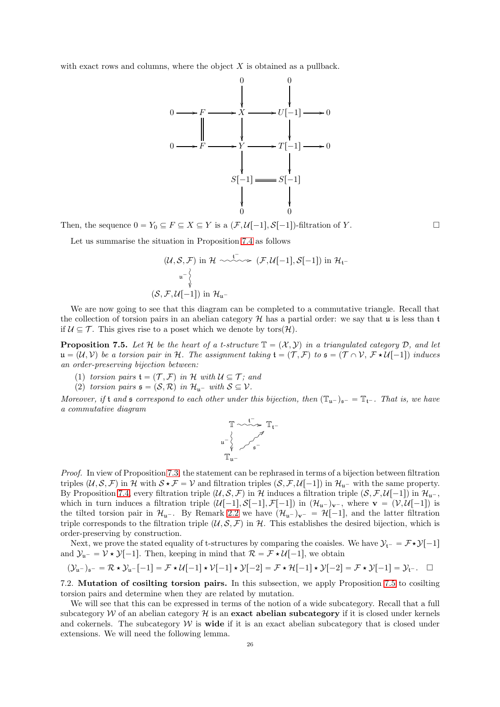with exact rows and columns, where the object  $X$  is obtained as a pullback.



Then, the sequence  $0 = Y_0 \subseteq F \subseteq X \subseteq Y$  is a  $(\mathcal{F}, \mathcal{U}[-1], \mathcal{S}[-1])$ -filtration of Y.

Let us summarise the situation in Proposition [7.4](#page-24-1) as follows

$$
(\mathcal{U}, \mathcal{S}, \mathcal{F}) \text{ in } \mathcal{H} \longrightarrow^{\mathfrak{t}^-}_{\mathcal{W}} (\mathcal{F}, \mathcal{U}[-1], \mathcal{S}[-1]) \text{ in } \mathcal{H}_{\mathfrak{t}^-}
$$
  

$$
\downarrow^{\mathfrak{u}^-}_{\mathfrak{h}} \downarrow^{\mathfrak{u}^-}_{\mathfrak{t}} \left( \mathcal{S}, \mathcal{F}, \mathcal{U}[-1] \right) \text{ in } \mathcal{H}_{\mathfrak{u}^-}
$$

We are now going to see that this diagram can be completed to a commutative triangle. Recall that the collection of torsion pairs in an abelian category  $\mathcal{H}$  has a partial order: we say that u is less than t if  $\mathcal{U} \subseteq \mathcal{T}$ . This gives rise to a poset which we denote by tors $(\mathcal{H})$ .

<span id="page-25-1"></span>**Proposition 7.5.** Let H be the heart of a t-structure  $\mathbb{T} = (X, Y)$  in a triangulated category D, and let  $u = (\mathcal{U}, \mathcal{V})$  be a torsion pair in H. The assignment taking  $t = (\mathcal{T}, \mathcal{F})$  to  $\mathfrak{s} = (\mathcal{T} \cap \mathcal{V}, \mathcal{F} \star \mathcal{U}[-1])$  induces *an order-preserving bijection between:*

- (1) *torsion pairs*  $\mathfrak{t} = (\mathcal{T}, \mathcal{F})$  *in* H *with*  $\mathcal{U} \subseteq \mathcal{T}$ ; *and*
- (2) *torsion pairs*  $\mathfrak{s} = (\mathcal{S}, \mathcal{R})$  *in*  $\mathcal{H}_{\mathfrak{u}^-}$  *with*  $\mathcal{S} \subseteq \mathcal{V}$ *.*

*Moreover, if* t and  $\mathfrak s$  *correspond to each other under this bijection, then*  $(\mathbb{T}_{\mathfrak u^-})_{\mathfrak s^-} = \mathbb{T}_{\mathfrak t^-}$ *. That is, we have a commutative diagram*

$$
\mathbb{T} \xrightarrow{\mathfrak{t}^-} \mathbb{T}_{\mathfrak{t}^-}
$$
  

$$
\downarrow \qquad \qquad \downarrow \qquad \qquad \mathbb{T}_{\mathfrak{t}^-}
$$
  

$$
\mathbb{T}_{\mathfrak{u}^-}
$$

*Proof.* In view of Proposition [7.3,](#page-24-2) the statement can be rephrased in terms of a bijection between filtration triples  $(\mathcal{U}, \mathcal{S}, \mathcal{F})$  in H with  $\mathcal{S} \star \mathcal{F} = \mathcal{V}$  and filtration triples  $(\mathcal{S}, \mathcal{F}, \mathcal{U}[-1])$  in  $\mathcal{H}_{u^-}$  with the same property. By Proposition [7.4,](#page-24-1) every filtration triple  $(\mathcal{U}, \mathcal{S}, \mathcal{F})$  in H induces a filtration triple  $(\mathcal{S}, \mathcal{F}, \mathcal{U}[-1])$  in  $\mathcal{H}_{\mathfrak{u}^-}$ , which in turn induces a filtration triple  $(\mathcal{U}[-1], \mathcal{S}[-1], \mathcal{F}[-1])$  in  $(\mathcal{H}_{u^-})_{v^-}$ , where  $v = (\mathcal{V}, \mathcal{U}[-1])$  is the tilted torsion pair in  $\mathcal{H}_{u^-}$ . By Remark [2.2](#page-4-2) we have  $(\mathcal{H}_{u^-})_{v^-} = \mathcal{H}[-1]$ , and the latter filtration triple corresponds to the filtration triple  $(\mathcal{U}, \mathcal{S}, \mathcal{F})$  in H. This establishes the desired bijection, which is order-preserving by construction.

Next, we prove the stated equality of t-structures by comparing the coaisles. We have  $\mathcal{Y}_{t^-} = \mathcal{F} \star \mathcal{Y}[-1]$ and  $\mathcal{Y}_{u^-} = \mathcal{V} \star \mathcal{Y}[-1]$ . Then, keeping in mind that  $\mathcal{R} = \mathcal{F} \star \mathcal{U}[-1]$ , we obtain

$$
(\mathcal{Y}_{\mathfrak{u}^-})_{\mathfrak{s}^-} = \mathcal{R} \star \mathcal{Y}_{\mathfrak{u}^-}[-1] = \mathcal{F} \star \mathcal{U}[-1] \star \mathcal{V}[-1] \star \mathcal{Y}[-2] = \mathcal{F} \star \mathcal{H}[-1] \star \mathcal{Y}[-2] = \mathcal{F} \star \mathcal{Y}[-1] = \mathcal{Y}_{\mathfrak{t}^-}.
$$

<span id="page-25-0"></span>7.2. Mutation of cosilting torsion pairs. In this subsection, we apply Proposition [7.5](#page-25-1) to cosilting torsion pairs and determine when they are related by mutation.

We will see that this can be expressed in terms of the notion of a wide subcategory. Recall that a full subcategory  $W$  of an abelian category  $\mathcal H$  is an exact abelian subcategory if it is closed under kernels and cokernels. The subcategory  $W$  is **wide** if it is an exact abelian subcategory that is closed under extensions. We will need the following lemma.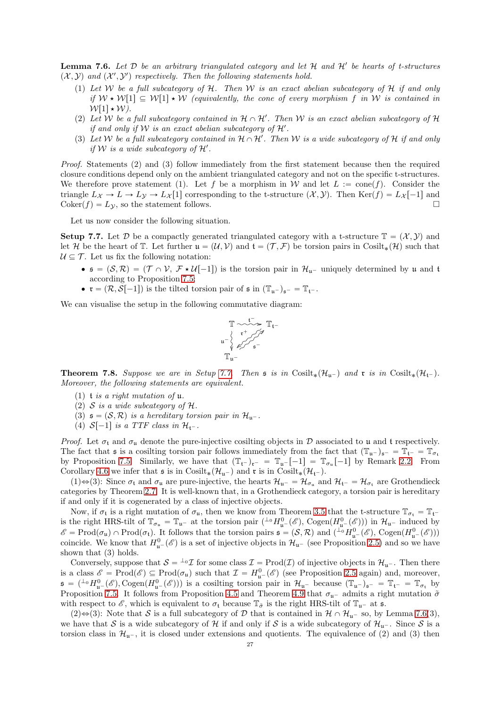<span id="page-26-2"></span>Lemma 7.6. Let D be an arbitrary triangulated category and let H and H' be hearts of t-structures  $(X, Y)$  and  $(X', Y')$  respectively. Then the following statements hold.

- (1) *Let* W *be a full subcategory of* H*. Then* W *is an exact abelian subcategory of* H *if and only if*  $W \star W[1] \subseteq W[1] \star W$  *(equivalently, the cone of every morphism f in* W *is contained in*  $W[1]\star W$ ).
- (2) Let W be a full subcategory contained in  $H \cap H'$ . Then W is an exact abelian subcategory of  $H$ *if and only if*  $W$  *is an exact abelian subcategory of*  $H'$ *.*
- (3) Let W be a full subcategory contained in  $H \cap H'$ . Then W is a wide subcategory of H if and only *if* W is a wide subcategory of  $H'$ .

*Proof.* Statements (2) and (3) follow immediately from the first statement because then the required closure conditions depend only on the ambient triangulated category and not on the specific t-structures. We therefore prove statement (1). Let f be a morphism in W and let  $L := \text{cone}(f)$ . Consider the triangle  $L_X \to L \to L_Y \to L_X[1]$  corresponding to the t-structure  $(\mathcal{X}, \mathcal{Y})$ . Then Ker $(f) = L_X[-1]$  and  $\text{Coker}(f) = L_y$ , so the statement follows.

Let us now consider the following situation.

<span id="page-26-1"></span>**Setup 7.7.** Let D be a compactly generated triangulated category with a t-structure  $\mathbb{T} = (\mathcal{X}, \mathcal{Y})$  and let H be the heart of T. Let further  $\mathfrak{u} = (\mathcal{U}, \mathcal{V})$  and  $\mathfrak{t} = (\mathcal{T}, \mathcal{F})$  be torsion pairs in Cosilt<sub>\*</sub> $(\mathcal{H})$  such that  $U \subseteq \mathcal{T}$ . Let us fix the following notation:

- $\bullet$   $\mathfrak{s} = (\mathcal{S}, \mathcal{R}) = (\mathcal{T} \cap \mathcal{V}, \mathcal{F} \star \mathcal{U}[-1])$  is the torsion pair in  $\mathcal{H}_{u}$  uniquely determined by u and t according to Proposition [7.5;](#page-25-1)
- $\bullet$   $\mathfrak{r} = (\mathcal{R}, \mathcal{S}[-1])$  is the tilted torsion pair of  $\mathfrak{s}$  in  $(\mathbb{T}_{\mathfrak{u}})_{\mathfrak{s}^-} = \mathbb{T}_{\mathfrak{t}^-}$ .

We can visualise the setup in the following commutative diagram:

$$
\mathbb{T} \xrightarrow{\mathfrak{t}^-} \mathbb{T}_{\mathfrak{t}^-}
$$
\n
$$
\downarrow \qquad \downarrow \qquad \downarrow \qquad \downarrow \qquad \downarrow \qquad \mathbb{T}_{\mathfrak{t}^-}
$$
\n
$$
\downarrow \qquad \downarrow \qquad \downarrow \qquad \downarrow \qquad \downarrow \qquad \downarrow \qquad \downarrow \qquad \downarrow \qquad \downarrow \qquad \downarrow \qquad \downarrow \qquad \downarrow \qquad \downarrow \qquad \downarrow \qquad \downarrow \qquad \downarrow \qquad \downarrow \qquad \downarrow \qquad \downarrow \qquad \downarrow \qquad \downarrow \qquad \downarrow \qquad \downarrow \qquad \downarrow \qquad \downarrow \qquad \downarrow \qquad \downarrow \qquad \downarrow \qquad \downarrow \qquad \downarrow \qquad \downarrow \qquad \downarrow \qquad \downarrow \qquad \downarrow \qquad \downarrow \qquad \downarrow \qquad \downarrow \qquad \downarrow \qquad \downarrow \qquad \downarrow \qquad \downarrow \qquad \downarrow \qquad \downarrow \qquad \downarrow \qquad \downarrow \qquad \downarrow \qquad \downarrow \qquad \downarrow \qquad \downarrow \qquad \downarrow \qquad \downarrow \qquad \downarrow \qquad \downarrow \qquad \downarrow \qquad \downarrow \qquad \downarrow \qquad \downarrow \qquad \downarrow \qquad \downarrow \qquad \downarrow \qquad \downarrow \qquad \downarrow \qquad \downarrow \qquad \downarrow \qquad \downarrow \qquad \downarrow \qquad \downarrow \qquad \downarrow \qquad \downarrow \qquad \downarrow \qquad \downarrow \qquad \downarrow \qquad \downarrow \qquad \downarrow \qquad \downarrow \qquad \downarrow \qquad \downarrow \qquad \downarrow \qquad \downarrow \qquad \downarrow \qquad \downarrow \qquad \downarrow \qquad \downarrow \qquad \downarrow \qquad \downarrow \qquad \downarrow \qquad \downarrow \qquad \downarrow \qquad \downarrow \qquad \downarrow \qquad \downarrow \qquad \downarrow \qquad \downarrow \qquad \downarrow \qquad \downarrow \qquad \downarrow \qquad \downarrow \qquad \downarrow \qquad \downarrow \qquad \downarrow \qquad \downarrow \qquad \downarrow \qquad \downarrow \qquad \downarrow \qquad \downarrow \qquad \downarrow \qquad \downarrow \qquad \downarrow \qquad \downarrow \qquad \downarrow \qquad \downarrow \qquad \downarrow
$$

<span id="page-26-0"></span>**Theorem 7.8.** Suppose we are in Setup [7.7.](#page-26-1) Then  $\mathfrak{s}$  is in Cosilt<sub>\*</sub>( $\mathcal{H}_{u-}$ ) and  $\mathfrak{r}$  is in Cosilt<sub>\*</sub>( $\mathcal{H}_{t-}$ ). *Moreover, the following statements are equivalent.*

- (1) t *is a right mutation of* u*.*
- (2) S *is a wide subcategory of* H*.*
- (3)  $\mathfrak{s} = (\mathcal{S}, \mathcal{R})$  *is a hereditary torsion pair in*  $\mathcal{H}_{u^-}$ .
- (4)  $S[-1]$  *is a TTF class in*  $\mathcal{H}_{t}$ .

*Proof.* Let  $\sigma_t$  and  $\sigma_u$  denote the pure-injective cosilting objects in D associated to u and t respectively. The fact that  $\mathfrak s$  is a cosilting torsion pair follows immediately from the fact that  $(\mathbb{T}_{\mathfrak{u}})_{\mathfrak{s}^-} = \mathbb{T}_{\mathfrak{t}^-} = \mathbb{T}_{\sigma_{\mathfrak{t}}}$ by Proposition [7.5.](#page-25-1) Similarly, we have that  $(\mathbb{T}_{\mathfrak{t}})_{\mathfrak{r}} = \mathbb{T}_{\mathfrak{u}}[-1] = \mathbb{T}_{\sigma_{\mathfrak{u}}}[-1]$  by Remark [2.2.](#page-4-2) From Corollary [4.6](#page-13-1) we infer that  $\mathfrak{s}$  is in Cosilt<sub>\*</sub> $(\mathcal{H}_{u-})$  and  $\mathfrak{r}$  is in Cosilt<sub>\*</sub> $(\mathcal{H}_{t-})$ .

(1) $\Leftrightarrow$ (3): Since  $\sigma_t$  and  $\sigma_u$  are pure-injective, the hearts  $\mathcal{H}_{u^-} = \mathcal{H}_{\sigma_u}$  and  $\mathcal{H}_{t^-} = \mathcal{H}_{\sigma_t}$  are Grothendieck categories by Theorem [2.7.](#page-5-2) It is well-known that, in a Grothendieck category, a torsion pair is hereditary if and only if it is cogenerated by a class of injective objects.

Now, if  $\sigma_t$  is a right mutation of  $\sigma_u$ , then we know from Theorem [3.5](#page-7-0) that the t-structure  $\mathbb{T}_{\sigma_t} = \mathbb{T}_{t}$ is the right HRS-tilt of  $\mathbb{T}_{\sigma_{\mathfrak{u}}} = \mathbb{T}_{\mathfrak{u}}$ - at the torsion pair  $({}^{\perp_0}H^0_{\mathfrak{u}^-}(\mathscr{E}), \text{Cogen}(H^0_{\mathfrak{u}^-}(\mathscr{E})))$  in  $\mathcal{H}_{\mathfrak{u}^-}$  induced by  $\mathscr{E} = \text{Prod}(\sigma_{\mathfrak{u}}) \cap \text{Prod}(\sigma_{\mathfrak{t}})$ . It follows that the torsion pairs  $\mathfrak{s} = (\mathcal{S}, \mathcal{R})$  and  $\left( \ulcorner \circ H^0_{\mathfrak{u}^-}(\mathscr{E}), \text{Cogen}(H^0_{\mathfrak{u}^-}(\mathscr{E})) \right)$ coincide. We know that  $H^0_{\mathfrak{u}^-}(\mathscr{E})$  is a set of injective objects in  $\mathcal{H}_{\mathfrak{u}^-}$  (see Proposition [2.5\)](#page-4-1) and so we have shown that (3) holds.

Conversely, suppose that  $S = {}^{\perp_0} \mathcal{I}$  for some class  $\mathcal{I} = \text{Prod}(\mathcal{I})$  of injective objects in  $\mathcal{H}_{u^-}$ . Then there is a class  $\mathscr{E} = \text{Prod}(\mathscr{E}) \subseteq \text{Prod}(\sigma_u)$  such that  $\mathcal{I} = H^0_{\mathfrak{u}^-}(\mathscr{E})$  (see Proposition [2.5](#page-4-1) again) and, moreover,  $\mathfrak{s} = ({}^{\perp_0}H^0_{\mathfrak{u}^-}(\mathscr{E}), \text{Cogen}(H^0_{\mathfrak{u}^-}(\mathscr{E})))$  is a cosilting torsion pair in  $\mathcal{H}_{\mathfrak{u}^-}$  because  $(\mathbb{T}_{\mathfrak{u}^-})_{\mathfrak{s}^-} = \mathbb{T}_{\mathfrak{t}^-} = \mathbb{T}_{\sigma_{\mathfrak{t}}}$  by Proposition [7.5.](#page-25-1) It follows from Proposition [4.5](#page-13-0) and Theorem [4.9](#page-14-0) that  $\sigma_{\mathfrak{u}^-}$  admits a right mutation  $\tilde{\sigma}$ with respect to  $\mathscr{E}$ , which is equivalent to  $\sigma_t$  because  $\mathbb{T}_{\tilde{\sigma}}$  is the right HRS-tilt of  $\mathbb{T}_{u^-}$  at s.

 $(2) \Leftrightarrow (3)$ : Note that S is a full subcategory of D that is contained in  $\mathcal{H} \cap \mathcal{H}_{u^-}$  so, by Lemma [7.6\(](#page-26-2)3), we have that S is a wide subcategory of H if and only if S is a wide subcategory of  $\mathcal{H}_{u}$ . Since S is a torsion class in  $\mathcal{H}_{u}$ , it is closed under extensions and quotients. The equivalence of (2) and (3) then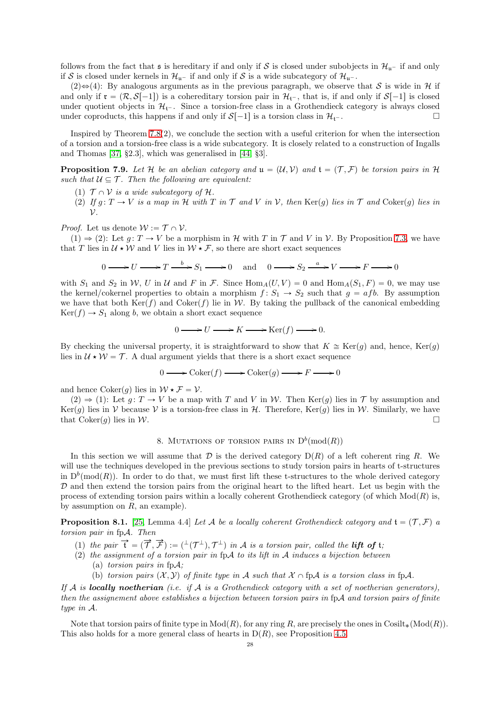follows from the fact that  $\mathfrak s$  is hereditary if and only if S is closed under subobjects in  $\mathcal{H}_{u-}$  if and only if S is closed under kernels in  $\mathcal{H}_{u^-}$  if and only if S is a wide subcategory of  $\mathcal{H}_{u^-}$ .

(2) $\Rightarrow$ (4): By analogous arguments as in the previous paragraph, we observe that S is wide in H if and only if  $\mathfrak{r} = (\mathcal{R}, \mathcal{S}[-1])$  is a cohereditary torsion pair in  $\mathcal{H}_{t-}$ , that is, if and only if  $\mathcal{S}[-1]$  is closed under quotient objects in  $\mathcal{H}_{t}$ . Since a torsion-free class in a Grothendieck category is always closed<br>under coproducts this happens if and only if  $S[-1]$  is a torsion class in  $\mathcal{H}_{t-}$ under coproducts, this happens if and only if  $S[-1]$  is a torsion class in  $\mathcal{H}_{t-}$ .

Inspired by Theorem [7.8\(](#page-26-0)2), we conclude the section with a useful criterion for when the intersection of a torsion and a torsion-free class is a wide subcategory. It is closely related to a construction of Ingalls and Thomas [\[37,](#page-35-38) §2.3], which was generalised in [\[44,](#page-36-22) §3].

<span id="page-27-1"></span>**Proposition 7.9.** Let H be an abelian category and  $\mathfrak{u} = (\mathcal{U}, \mathcal{V})$  and  $\mathfrak{t} = (\mathcal{T}, \mathcal{F})$  be torsion pairs in H *such that*  $U \subseteq T$ *. Then the following are equivalent:* 

- (1)  $\mathcal{T} \cap \mathcal{V}$  *is a wide subcategory of*  $\mathcal{H}$ *.*
- (2) If  $g: T \to V$  is a map in H with T in T and V in V, then  $\text{Ker}(g)$  lies in T and Coker(g) lies in V*.*

*Proof.* Let us denote  $W := \mathcal{T} \cap \mathcal{V}$ .

 $(1) \Rightarrow (2)$ : Let  $g: T \rightarrow V$  be a morphism in H with T in T and V in V. By Proposition [7.3,](#page-24-2) we have that T lies in  $\mathcal{U} \star \mathcal{W}$  and V lies in  $\mathcal{W} \star \mathcal{F}$ , so there are short exact sequences

 $0 \longrightarrow U \longrightarrow T \stackrel{b}{\longrightarrow} S_1 \longrightarrow 0$  and  $0 \longrightarrow S_2 \stackrel{a}{\longrightarrow} V \longrightarrow F \longrightarrow 0$ 

with  $S_1$  and  $S_2$  in W, U in U and F in F. Since  $\text{Hom}_A(U, V) = 0$  and  $\text{Hom}_A(S_1, F) = 0$ , we may use the kernel/cokernel properties to obtain a morphism  $f: S_1 \rightarrow S_2$  such that  $g = afb$ . By assumption we have that both  $\text{Ker}(f)$  and  $\text{Coker}(f)$  lie in W. By taking the pullback of the canonical embedding  $Ker(f) \rightarrow S_1$  along b, we obtain a short exact sequence

$$
0 \longrightarrow U \longrightarrow K \longrightarrow \text{Ker}(f) \longrightarrow 0.
$$

By checking the universal property, it is straightforward to show that  $K \cong \text{Ker}(q)$  and, hence,  $\text{Ker}(q)$ lies in  $U \star W = \mathcal{T}$ . A dual argument yields that there is a short exact sequence

$$
0 \longrightarrow \operatorname{Coker}(f) \longrightarrow \operatorname{Coker}(g) \longrightarrow F \longrightarrow 0
$$

and hence  $Coker(g)$  lies in  $W \star \mathcal{F} = \mathcal{V}$ .

 $(2) \Rightarrow (1)$ : Let  $g: T \rightarrow V$  be a map with T and V in W. Then Ker $(g)$  lies in T by assumption and Ker(g) lies in V because V is a torsion-free class in H. Therefore, Ker(g) lies in W. Similarly, we have that  $Coker(q)$  lies in W.

# 8. MUTATIONS OF TORSION PAIRS IN  $D^b(\text{mod}(R))$

<span id="page-27-0"></span>In this section we will assume that  $D$  is the derived category  $D(R)$  of a left coherent ring R. We will use the techniques developed in the previous sections to study torsion pairs in hearts of t-structures in  $D^b(\text{mod}(R))$ . In order to do that, we must first lift these t-structures to the whole derived category  $D$  and then extend the torsion pairs from the original heart to the lifted heart. Let us begin with the process of extending torsion pairs within a locally coherent Grothendieck category (of which  $Mod(R)$ ) is, by assumption on  $R$ , an example).

<span id="page-27-2"></span>**Proposition 8.1.** [\[25,](#page-35-9) Lemma 4.4] Let A be a locally coherent Grothendieck category and  $\mathbf{t} = (\mathcal{T}, \mathcal{F})$  a *torsion pair in* fpA*. Then*

- (1) the pair  $\vec{t} = (\vec{\tau}, \vec{\tau}) := (f^{\perp}(\tau^{\perp}), \tau^{\perp})$  in A is a torsion pair, called the **lift of** t;
- (2) *the assignment of a torsion pair in* fpA *to its lift in* A *induces a bijection between* (a) *torsion pairs in* fpA*;*
	- (b) *torsion pairs*  $(X, Y)$  *of finite type in* A *such that*  $X \cap f\mathcal{P}$  *is a torsion class in*  $f\mathcal{P}$ .

*If* A *is* locally noetherian *(i.e. if* A *is a Grothendieck category with a set of noetherian generators), then the assignement above establishes a bijection between torsion pairs in* fpA *and torsion pairs of finite type in* A*.*

Note that torsion pairs of finite type in  $Mod(R)$ , for any ring R, are precisely the ones in Cosilt<sub>\*</sub>(Mod(R)). This also holds for a more general class of hearts in  $D(R)$ , see Proposition [4.5.](#page-13-0)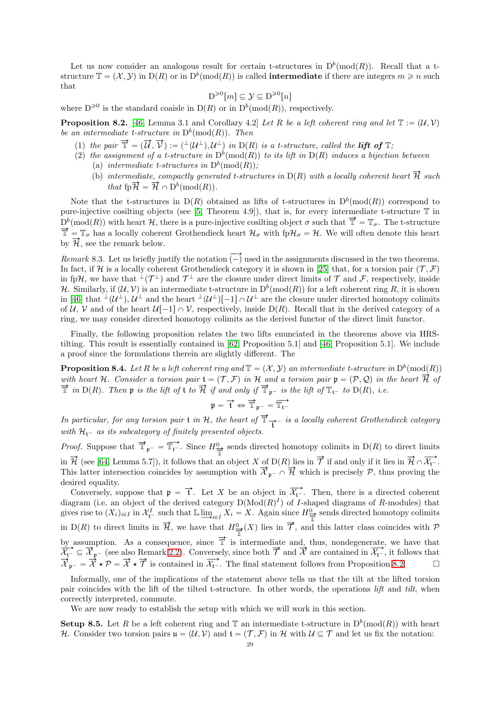Let us now consider an analogous result for certain t-structures in  $D^b(\text{mod}(R))$ . Recall that a tstructure  $\mathbb{T} = (\mathcal{X}, \mathcal{Y})$  in  $D(R)$  or in  $D^b(\text{mod}(R))$  is called **intermediate** if there are integers  $m \geq n$  such that

$$
D^{\geq 0}[m] \subseteq \mathcal{Y} \subseteq D^{\geq 0}[n]
$$

where  $D^{\geq 0}$  is the standard coaisle in  $D(R)$  or in  $D^b(\text{mod}(R))$ , respectively.

<span id="page-28-0"></span>**Proposition 8.2.** [\[46,](#page-36-23) Lemma 3.1 and Corollary 4.2] Let R be a left coherent ring and let  $\mathbb{T} := (\mathcal{U}, \mathcal{V})$ *be an intermediate t-structure in*  $D^b(\text{mod}(R))$ *. Then* 

- (1) the pair  $\vec{T} = (\vec{U}, \vec{V}) := (\perp (\mathcal{U}^{\perp}), \mathcal{U}^{\perp})$  in D(R) is a t-structure, called the **lift of**  $\mathbb{T}$ ;
- (2) the assignment of a t-structure in  $D^b(\text{mod}(R))$  to its lift in  $D(R)$  induces a bijection between (a) *intermediate t-structures in*  $D^b(\text{mod}(R))$ ;
	- (b) *intermediate, compactly generated t-structures in*  $D(R)$  *with a locally coherent heart*  $\overrightarrow{H}$  *such that*  $\operatorname{fp} \overrightarrow{\mathcal{H}} = \overrightarrow{\mathcal{H}} \cap D^b(\operatorname{mod}(R)).$

Note that the t-structures in  $D(R)$  obtained as lifts of t-structures in  $D^b(\text{mod}(R))$  correspond to pure-injective cosilting objects (see [\[5,](#page-35-11) Theorem 4.9]), that is, for every intermediate t-structure  $\mathbb T$  in  $D^b(\text{mod}(R))$  with heart H, there is a pure-injective cosilting object  $\sigma$  such that  $\vec{T} = \mathbb{T}_{\sigma}$ . The t-structure  $\vec{T} = T_{\sigma}$  has a locally coherent Grothendieck heart  $\mathcal{H}_{\sigma}$  with fp $\mathcal{H}_{\sigma} = \mathcal{H}$ . We will often denote this heart by  $\overrightarrow{\mathcal{H}}$ , see the remark below.

*Remark* 8.3. Let us briefly justify the notation  $\overline{(-)}$  used in the assignments discussed in the two theorems. In fact, if H is a locally coherent Grothendieck category it is shown in [\[25\]](#page-35-9) that, for a torsion pair  $(\mathcal{T}, \mathcal{F})$ in fpH, we have that  $\perp(T^{\perp})$  and  $\mathcal{T}^{\perp}$  are the closure under direct limits of  $\mathcal T$  and  $\mathcal F$ , respectively, inside H. Similarly, if  $(\mathcal{U}, \mathcal{V})$  is an intermediate t-structure in  $D^b(\text{mod}(R))$  for a left coherent ring R, it is shown in [\[46\]](#page-36-23) that  $\perp(\mathcal{U}^{\perp}), \mathcal{U}^{\perp}$  and the heart  $\perp(\mathcal{U}^{\perp})[-1] \cap \mathcal{U}^{\perp}$  are the closure under directed homotopy colimits of U, V and of the heart  $U[-1] \cap V$ , respectively, inside D(R). Recall that in the derived category of a ring, we may consider directed homotopy colimits as the derived functor of the direct limit functor.

Finally, the following proposition relates the two lifts enunciated in the theorems above via HRStilting. This result is essentially contained in [\[62,](#page-36-24) Proposition 5.1] and [\[46,](#page-36-23) Proposition 5.1]. We include a proof since the formulations therein are slightly different. The

<span id="page-28-2"></span>**Proposition 8.4.** Let R be a left coherent ring and  $\mathbb{T} = (\mathcal{X}, \mathcal{Y})$  an intermediate t-structure in  $D^b(\text{mod}(R))$ *with heart* H. Consider a torsion pair  $\mathfrak{t} = (\mathcal{T}, \mathcal{F})$  in H and a torsion pair  $\mathfrak{p} = (\mathcal{P}, \mathcal{Q})$  in the heart  $\overrightarrow{H}$  of  $\vec{T}$  *in*  $D(R)$ *. Then* **p** *is the lift of* **t** *to*  $\vec{\mathcal{H}}$  *if and only if*  $\vec{T}_{p}$ <sup>*-is the lift of*  $T_{t}$ *- to*  $D(R)$ *, i.e.*</sup>

$$
\mathfrak{p} = \overrightarrow{t} \Leftrightarrow \overrightarrow{\mathbb{T}}_{\mathfrak{p}^-} = \overrightarrow{\mathbb{T}_{t^-}}
$$

*In particular, for any torsion pair* **t** *in*  $H$ *, the heart of*  $\vec{T}$ <sub> $\vec{t}$ </sub> *is a locally coherent Grothendieck category with*  $H_{t-}$  *as its subcategory of finitely presented objects.* 

*Proof.* Suppose that  $\vec{\mathbb{T}}_{p^-} = \vec{\mathbb{T}}_{t^-}$ . Since  $H^0_{\vec{\mathbb{T}}}$  sends directed homotopy colimits in D(R) to direct limits in  $\overrightarrow{\mathcal{H}}$  (see [\[64,](#page-36-25) Lemma 5.7]), it follows that an object X of D(R) lies in  $\overrightarrow{\mathcal{T}}$  if and only if it lies in  $\overrightarrow{\mathcal{H}} \cap \overrightarrow{\mathcal{X}_{t}}$ . This latter intersection coincides by assumption with  $\vec{\mathcal{X}}_{p^-} \cap \vec{\mathcal{H}}$  which is precisely  $\mathcal{P}$ , thus proving the desired equality.

Conversely, suppose that  $\mathfrak{p} = \vec{t}$ . Let X be an object in  $\overrightarrow{\mathcal{X}_{t}}$ . Then, there is a directed coherent diagram (i.e. an object of the derived category  $D(\text{Mod}(R)^I)$  of I-shaped diagrams of R-modules) that gives rise to  $(X_i)_{i\in I}$  in  $\mathcal{X}_{i}^I$  such that  $\mathbb{L} \underline{\lim}_{i\in I} X_i = X$ . Again since  $H^0_{\overline{\mathbb{T}}}$  sends directed homotopy colimits in D(R) to direct limits in  $\overrightarrow{\mathcal{H}}$ , we have that  $H^0_{\overrightarrow{\mathcal{H}}}(X)$  lies in  $\overrightarrow{\mathcal{T}}$ , and this latter class coincides with  $\mathcal{P}$ by assumption. As a consequence, since  $\vec{T}$  is intermediate and, thus, nondegenerate, we have that  $\overrightarrow{\mathcal{X}}_{t-} \subseteq \overrightarrow{\mathcal{X}}_{p-}$  (see also Remark [2.2\)](#page-4-2). Conversely, since both  $\overrightarrow{\mathcal{Y}}$  and  $\overrightarrow{\mathcal{X}}$  are contained in  $\overrightarrow{\mathcal{X}}_{t-}$ , it follows that  $\overrightarrow{\mathcal{X}}_{p^-} = \overrightarrow{\mathcal{X}} \star \overrightarrow{\mathcal{P}} = \overrightarrow{\mathcal{X}} \star \overrightarrow{\mathcal{T}}$  is contained in  $\overrightarrow{\mathcal{X}}_{t^-}$ . The final statement follows from Proposition [8.2.](#page-28-0)

Informally, one of the implications of the statement above tells us that the tilt at the lifted torsion pair coincides with the lift of the tilted t-structure. In other words, the operations *lift* and *tilt*, when correctly interpreted, commute.

We are now ready to establish the setup with which we will work in this section.

<span id="page-28-1"></span>**Setup 8.5.** Let R be a left coherent ring and  $\mathbb{T}$  an intermediate t-structure in  $D^b(\text{mod}(R))$  with heart H. Consider two torsion pairs  $\mathfrak{u} = (\mathcal{U}, \mathcal{V})$  and  $\mathfrak{t} = (\mathcal{T}, \mathcal{F})$  in H with  $\mathcal{U} \subseteq \mathcal{T}$  and let us fix the notation: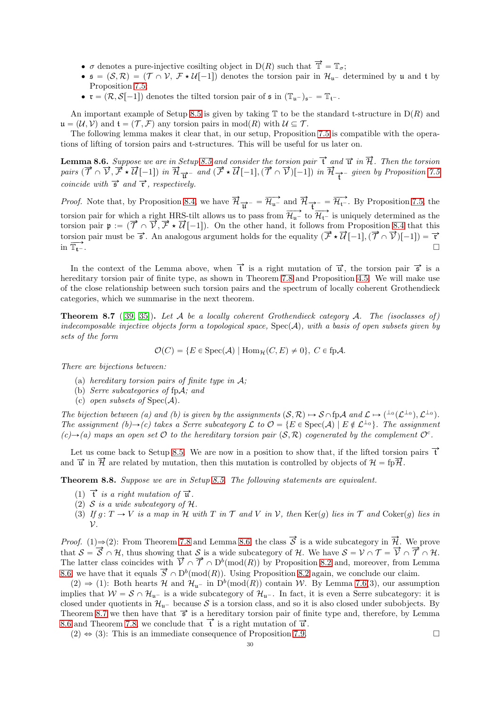- $\bullet$   $\sigma$  denotes a pure-injective cosilting object in D(R) such that  $\overline{\mathbb{T}} = \mathbb{T}_{\sigma}$ ;
- $\bullet$   $\mathfrak{s} = (\mathcal{S}, \mathcal{R}) = (\mathcal{T} \cap \mathcal{V}, \mathcal{F} \star \mathcal{U}[-1])$  denotes the torsion pair in  $\mathcal{H}_{u}$  determined by u and t by Proposition [7.5;](#page-25-1)
- $\mathbf{r} = (\mathcal{R}, \mathcal{S}[-1])$  denotes the tilted torsion pair of  $\mathfrak{s}$  in  $(\mathbb{T}_{\mathfrak{u}})_{\mathfrak{s}^-} = \mathbb{T}_{\mathfrak{t}^-}$ .

An important example of Setup [8.5](#page-28-1) is given by taking  $\mathbb T$  to be the standard t-structure in  $D(R)$  and  $\mathfrak{u} = (\mathcal{U}, \mathcal{V})$  and  $\mathfrak{t} = (\mathcal{T}, \mathcal{F})$  any torsion pairs in mod $(R)$  with  $\mathcal{U} \subseteq \mathcal{T}$ .

The following lemma makes it clear that, in our setup, Proposition [7.5](#page-25-1) is compatible with the operations of lifting of torsion pairs and t-structures. This will be useful for us later on.

<span id="page-29-1"></span>**Lemma 8.6.** Suppose we are in Setup [8.5](#page-28-1) and consider the torsion pair  $\vec{t}$  and  $\vec{u}$  in  $\vec{\mathcal{H}}$ . Then the torsion *pairs*  $(\vec{\mathcal{T}} \cap \vec{\mathcal{V}}, \vec{\mathcal{T}} \star \vec{\mathcal{U}}[-1])$  in  $\vec{\mathcal{H}}_{\vec{\mathbf{U}}}-$  and  $(\vec{\mathcal{T}} \star \vec{\mathcal{U}}[-1], (\vec{\mathcal{T}} \cap \vec{\mathcal{V}})[-1])$  in  $\vec{\mathcal{H}}_{\vec{\mathbf{U}}}-$  given by Proposition [7.5](#page-25-1) *coincide with*  $\vec{s}$  *and*  $\vec{r}$ *, respectively.* 

*Proof.* Note that, by Proposition [8.4,](#page-28-2) we have  $\overrightarrow{\mathcal{H}}_{\overrightarrow{\mathbf{u}}^-} = \overrightarrow{\mathcal{H}_{\mathbf{u}^-}}$  and  $\overrightarrow{\mathcal{H}}_{\overrightarrow{\mathbf{t}}^-} = \overrightarrow{\mathcal{H}_{\mathbf{t}^-}}$ . By Proposition [7.5,](#page-25-1) the torsion pair for which a right HRS-tilt allows us to pass from  $\overrightarrow{\mathcal{H}_{u}}$  to  $\overrightarrow{\mathcal{H}_{t}}$  is uniquely determined as the torsion pair for which a right fries and above as to pass from  $V_{\text{t}}$  to  $V_{\text{t}}$  is analysis) determined as the torsion pair  $\mathfrak{p} := (\vec{\mathcal{T}} \cap \vec{\mathcal{V}}, \vec{\mathcal{F}} \star \vec{\mathcal{U}}[-1])$ . On the other hand, it follows from Propos torsion pair must be  $\vec{s}$ . An analogous argument holds for the equality  $(\vec{F} \star \vec{U}[-1], (\vec{T} \cap \vec{\mathcal{V}})[-1]) = \vec{r}$  $\lim_{T \to \infty} \frac{\text{max of } \mathcal{F} \cdot \text{min } \text{max of } \mathcal{F}}{\text{max of } \mathcal{F}}$ 

In the context of the Lemma above, when  $\vec{t}$  is a right mutation of  $\vec{u}$ , the torsion pair  $\vec{s}$  is a hereditary torsion pair of finite type, as shown in Theorem [7.8](#page-26-0) and Proposition [4.5.](#page-13-0) We will make use of the close relationship between such torsion pairs and the spectrum of locally coherent Grothendieck categories, which we summarise in the next theorem.

<span id="page-29-2"></span>Theorem 8.7 ([\[39,](#page-35-39) [35\]](#page-35-40)). *Let* A *be a locally coherent Grothendieck category* A*. The (isoclasses of ) indecomposable injective objects form a topological space,*  $Spec(A)$ *, with a basis of open subsets given by sets of the form*

$$
\mathcal{O}(C) = \{ E \in \text{Spec}(\mathcal{A}) \mid \text{Hom}_{\mathcal{H}}(C, E) \neq 0 \}, C \in \text{fpA}.
$$

*There are bijections between:*

- (a) *hereditary torsion pairs of finite type in* A*;*
- (b) *Serre subcategories of* fpA*; and*
- (c) *open subsets of*  $Spec(A)$ *.*

*The bijection between (a) and (b) is given by the assignments*  $(S, \mathcal{R}) \mapsto S \cap \text{fpA}$  *and*  $\mathcal{L} \mapsto ({}^{\perp_0}(\mathcal{L}^{\perp_0}), \mathcal{L}^{\perp_0})$ . *The assignment*  $(b) \rightarrow (c)$  takes a Serre subcategory L to  $\mathcal{O} = \{E \in \text{Spec}(\mathcal{A}) \mid E \notin \mathcal{L}^{\perp_0}\}$ . The assignment  $(c) \rightarrow (a)$  maps an open set  $\mathcal O$  to the hereditary torsion pair  $(S, \mathcal R)$  cogenerated by the complement  $\mathcal O^c$ .

Let us come back to Setup [8.5.](#page-28-1) We are now in a position to show that, if the lifted torsion pairs  $\vec{t}$ and  $\vec{u}$  in  $\vec{\mathcal{H}}$  are related by mutation, then this mutation is controlled by objects of  $\mathcal{H} = \text{fp} \vec{\mathcal{H}}$ .

<span id="page-29-0"></span>Theorem 8.8. *Suppose we are in Setup [8.5.](#page-28-1) The following statements are equivalent.*

- (1)  $\vec{t}$  *is a right mutation of*  $\vec{u}$ *.*
- (2) S *is a wide subcategory of* H*.*
- $(3)$  *If*  $g: T \to V$  *is a map in*  $\mathcal{H}$  *with*  $T$  *in*  $\mathcal{T}$  *and*  $V$  *in*  $\mathcal{V}$ *, then*  $\text{Ker}(g)$  *lies in*  $\mathcal{T}$  *and*  $\text{Coker}(g)$  *lies in* V*.*

*Proof.* (1) $\Rightarrow$ (2): From Theorem [7.8](#page-26-0) and Lemma [8.6,](#page-29-1) the class  $\vec{S}$  is a wide subcategory in  $\vec{\mathcal{H}}$ . We prove that  $S = \overrightarrow{S} \cap H$ , thus showing that S is a wide subcategory of H. We have  $S = V \cap T = \overrightarrow{V} \cap \overrightarrow{T} \cap H$ . The latter class coincides with  $\vec{V} \cap \vec{T} \cap D^b(\text{mod}(R))$  by Proposition [8.2](#page-28-0) and, moreover, from Lemma [8.6,](#page-29-1) we have that it equals  $\overrightarrow{S} \cap D^b(\text{mod}(R))$ . Using Proposition [8.2](#page-28-0) again, we conclude our claim.

 $(2) \Rightarrow (1)$ : Both hearts H and  $\mathcal{H}_{u^-}$  in  $D^b(\text{mod}(R))$  contain W. By Lemma [7.6\(](#page-26-2)3), our assumption implies that  $W = S \cap \mathcal{H}_{u^-}$  is a wide subcategory of  $\mathcal{H}_{u^-}$ . In fact, it is even a Serre subcategory: it is closed under quotients in  $\mathcal{H}_{u}$  because S is a torsion class, and so it is also closed under subobjects. By Theorem [8.7](#page-29-2) we then have that  $\vec{s}$  is a hereditary torsion pair of finite type and, therefore, by Lemma [8.6](#page-29-1) and Theorem [7.8,](#page-26-0) we conclude that  $\vec{\tau}$  is a right mutation of  $\vec{u}$ .

 $(2) \Leftrightarrow (3)$ : This is an immediate consequence of Proposition [7.9.](#page-27-1)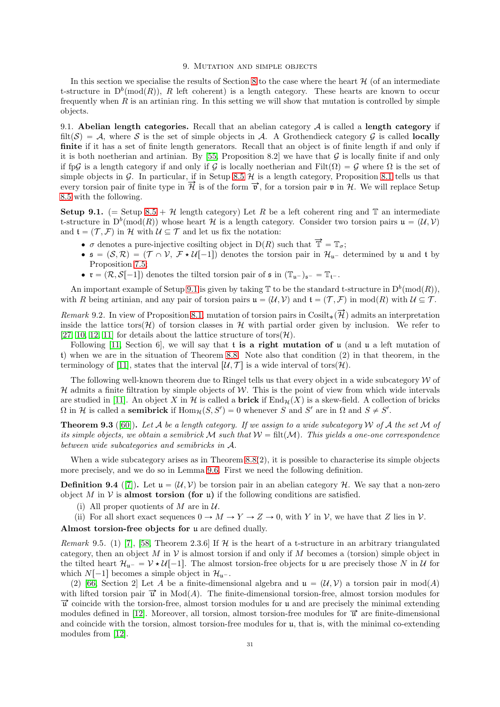## 9. MUTATION AND SIMPLE OBJECTS

<span id="page-30-0"></span>In this section we specialise the results of Section [8](#page-27-0) to the case where the heart  $\mathcal{H}$  (of an intermediate t-structure in  $D^b(\text{mod}(R))$ , R left coherent) is a length category. These hearts are known to occur frequently when R is an artinian ring. In this setting we will show that mutation is controlled by simple objects.

<span id="page-30-1"></span>9.1. Abelian length categories. Recall that an abelian category  $A$  is called a length category if filt(S) = A, where S is the set of simple objects in A. A Grothendieck category G is called **locally** finite if it has a set of finite length generators. Recall that an object is of finite length if and only if it is both noetherian and artinian. By [\[55,](#page-36-26) Proposition 8.2] we have that  $\mathcal G$  is locally finite if and only if fpG is a length category if and only if G is locally noetherian and Filt $(\Omega) = G$  where  $\Omega$  is the set of simple objects in G. In particular, if in Setup [8.5](#page-28-1)  $H$  is a length category, Proposition [8.1](#page-27-2) tells us that every torsion pair of finite type in  $\vec{\mathcal{H}}$  is of the form  $\vec{v}$ , for a torsion pair  $\mathfrak{v}$  in  $\mathcal{H}$ . We will replace Setup [8.5](#page-28-1) with the following.

<span id="page-30-2"></span>Setup 9.1. (= Setup [8.5](#page-28-1) +  $\mathcal{H}$  length category) Let R be a left coherent ring and T an intermediate t-structure in  $D^b(\text{mod}(R))$  whose heart H is a length category. Consider two torsion pairs  $\mathfrak{u} = (\mathcal{U}, \mathcal{V})$ and  $\mathfrak{t} = (\mathcal{T}, \mathcal{F})$  in H with  $\mathcal{U} \subseteq \mathcal{T}$  and let us fix the notation:

- $\sigma$  denotes a pure-injective cosilting object in D(R) such that  $\vec{\mathbb{T}} = \mathbb{T}_{\sigma}$ ;
- $\bullet$   $\mathfrak{s} = (\mathcal{S}, \mathcal{R}) = (\mathcal{T} \cap \mathcal{V}, \mathcal{F} \star \mathcal{U}[-1])$  denotes the torsion pair in  $\mathcal{H}_{u}$  determined by u and t by Proposition 7.5:
- $\mathbf{r} = (\mathcal{R}, \mathcal{S}[-1])$  denotes the tilted torsion pair of  $\mathfrak{s}$  in  $(\mathbb{T}_{\mathfrak{u}})_{\mathfrak{s}^-} = \mathbb{T}_{\mathfrak{t}^-}$ .

An important example of Setup [9.1](#page-30-2) is given by taking  $\mathbb T$  to be the standard t-structure in  $D^b(\text{mod}(R)),$ with R being artinian, and any pair of torsion pairs  $\mathfrak{u} = (\mathcal{U}, \mathcal{V})$  and  $\mathfrak{t} = (\mathcal{T}, \mathcal{F})$  in mod $(R)$  with  $\mathcal{U} \subseteq \mathcal{T}$ .

*Remark* 9.2. In view of Proposition [8.1,](#page-27-2) mutation of torsion pairs in Cosilt<sub>\*</sub>( $\overrightarrow{\mathcal{H}}$ ) admits an interpretation inside the lattice tors( $\mathcal{H}$ ) of torsion classes in H with partial order given by inclusion. We refer to [\[27,](#page-35-12) [10,](#page-35-41) [12,](#page-35-13) [11\]](#page-35-42) for details about the lattice structure of tors $(\mathcal{H})$ .

Following [\[11,](#page-35-42) Section 6], we will say that t is a right mutation of  $\mu$  (and  $\mu$  a left mutation of t) when we are in the situation of Theorem [8.8.](#page-29-0) Note also that condition (2) in that theorem, in the terminology of [\[11\]](#page-35-42), states that the interval  $[\mathcal{U}, \mathcal{T}]$  is a wide interval of tors $(\mathcal{H})$ .

The following well-known theorem due to Ringel tells us that every object in a wide subcategory  $W$  of  $H$  admits a finite filtration by simple objects of  $W$ . This is the point of view from which wide intervals are studied in [\[11\]](#page-35-42). An object X in H is called a **brick** if  $\text{End}_{\mathcal{H}}(X)$  is a skew-field. A collection of bricks  $\Omega$  in H is called a **semibrick** if  $\text{Hom}_{\mathcal{H}}(S, S') = 0$  whenever S and S' are in  $\Omega$  and  $S \neq S'$ .

<span id="page-30-4"></span>Theorem 9.3 ([\[60\]](#page-36-27)). *Let* A *be a length category. If we assign to a wide subcategory* W *of* A *the set* M *of its simple objects, we obtain a semibrick* M such that  $W = \text{filt}(M)$ *. This yields a one-one correspondence between wide subcategories and semibricks in* A*.*

When a wide subcategory arises as in Theorem  $8.8(2)$ , it is possible to characterise its simple objects more precisely, and we do so in Lemma [9.6.](#page-31-0) First we need the following definition.

<span id="page-30-3"></span>**Definition 9.4** ([\[7\]](#page-35-14)). Let  $u = (U, V)$  be torsion pair in an abelian category H. We say that a non-zero object M in V is almost torsion (for u) if the following conditions are satisfied.

(i) All proper quotients of M are in  $\mathcal{U}$ .

(ii) For all short exact sequences  $0 \to M \to Y \to Z \to 0$ , with Y in V, we have that Z lies in V.

Almost torsion-free objects for u are defined dually.

<span id="page-30-5"></span>*Remark* 9.5. (1) [\[7\]](#page-35-14), [\[58,](#page-36-28) Theorem 2.3.6] If  $H$  is the heart of a t-structure in an arbitrary triangulated category, then an object M in V is almost torsion if and only if M becomes a (torsion) simple object in the tilted heart  $\mathcal{H}_{u^-} = \mathcal{V} \star \mathcal{U}[-1]$ . The almost torsion-free objects for u are precisely those N in U for which  $N[-1]$  becomes a simple object in  $\mathcal{H}_{u^-}$ .

(2) [\[66,](#page-36-29) Section 2] Let A be a finite-dimensional algebra and  $\mathfrak{u} = (\mathcal{U}, \mathcal{V})$  a torsion pair in mod(A) with lifted torsion pair  $\vec{u}$  in Mod(A). The finite-dimensional torsion-free, almost torsion modules for  $\vec{u}$  coincide with the torsion-free, almost torsion modules for u and are precisely the minimal extending modules defined in [\[12\]](#page-35-13). Moreover, all torsion, almost torsion-free modules for  $\vec{u}$  are finite-dimensional and coincide with the torsion, almost torsion-free modules for  $\mu$ , that is, with the minimal co-extending modules from [\[12\]](#page-35-13).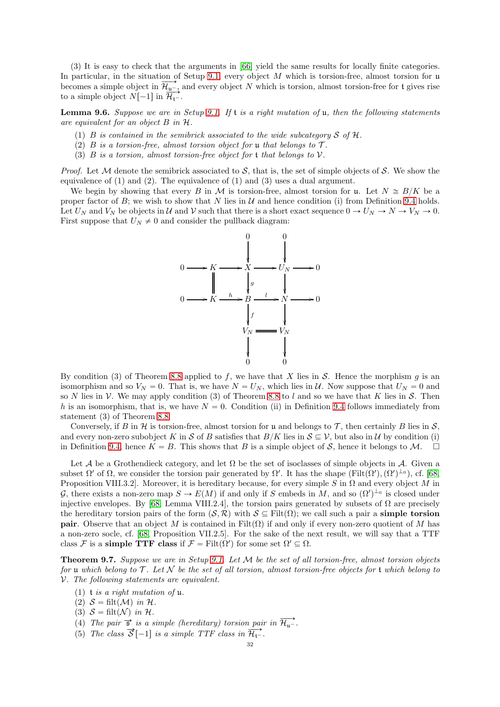(3) It is easy to check that the arguments in [\[66\]](#page-36-29) yield the same results for locally finite categories. In particular, in the situation of Setup [9.1,](#page-30-2) every object  $M$  which is torsion-free, almost torsion for u becomes a simple object in  $\overrightarrow{\mathcal{H}_{u}}$ , and every object N which is torsion, almost torsion-free for t gives rise to a simple object  $N[-1]$  in  $\overrightarrow{\mathcal{H}_{t}}$ .

<span id="page-31-0"></span>Lemma 9.6. *Suppose we are in Setup [9.1.](#page-30-2) If* t *is a right mutation of* u*, then the following statements are equivalent for an object* B *in* H*.*

- (1) B *is contained in the semibrick associated to the wide subcategory*  $S$  *of*  $H$ *.*
- (2)  $B$  *is a torsion-free, almost torsion object for* **u** *that belongs to*  $\mathcal{T}$ *.*
- (3) B *is a torsion, almost torsion-free object for* t *that belongs to* V*.*

*Proof.* Let M denote the semibrick associated to S, that is, the set of simple objects of S. We show the equivalence of  $(1)$  and  $(2)$ . The equivalence of  $(1)$  and  $(3)$  uses a dual argument.

We begin by showing that every B in M is torsion-free, almost torsion for u. Let  $N \cong B/K$  be a proper factor of B; we wish to show that N lies in  $U$  and hence condition (i) from Definition [9.4](#page-30-3) holds. Let  $U_N$  and  $V_N$  be objects in  $\mathcal U$  and  $\mathcal V$  such that there is a short exact sequence  $0 \to U_N \to N \to V_N \to 0$ . First suppose that  $U_N \neq 0$  and consider the pullback diagram:



By condition (3) of Theorem [8.8](#page-29-0) applied to f, we have that X lies in S. Hence the morphism g is an isomorphism and so  $V_N = 0$ . That is, we have  $N = U_N$ , which lies in U. Now suppose that  $U_N = 0$  and so N lies in V. We may apply condition (3) of Theorem [8.8](#page-29-0) to l and so we have that K lies in S. Then h is an isomorphism, that is, we have  $N = 0$ . Condition (ii) in Definition [9.4](#page-30-3) follows immediately from statement (3) of Theorem [8.8.](#page-29-0)

Conversely, if B in H is torsion-free, almost torsion for u and belongs to T, then certainly B lies in  $S$ , and every non-zero subobject K in S of B satisfies that  $B/K$  lies in  $S \subseteq V$ , but also in U by condition (i) in Definition [9.4,](#page-30-3) hence  $K = B$ . This shows that B is a simple object of S, hence it belongs to M.  $\Box$ 

Let A be a Grothendieck category, and let  $\Omega$  be the set of isoclasses of simple objects in A. Given a subset  $\Omega'$  of  $\Omega$ , we consider the torsion pair generated by  $\Omega'$ . It has the shape  $(\text{Filt}(\Omega'), (\Omega')^{\perp_0})$ , cf. [\[68,](#page-36-10) Proposition VIII.3.2]. Moreover, it is hereditary because, for every simple S in  $\Omega$  and every object M in G, there exists a non-zero map  $S \to E(M)$  if and only if S embeds in M, and so  $(\Omega')^{\perp_0}$  is closed under injective envelopes. By [\[68,](#page-36-10) Lemma VIII.2.4], the torsion pairs generated by subsets of  $\Omega$  are precisely the hereditary torsion pairs of the form  $(S, \mathcal{R})$  with  $S \subseteq \text{Filt}(\Omega)$ ; we call such a pair a simple torsion **pair.** Observe that an object M is contained in Filt $(\Omega)$  if and only if every non-zero quotient of M has a non-zero socle, cf. [\[68,](#page-36-10) Proposition VII.2.5]. For the sake of the next result, we will say that a TTF class F is a simple TTF class if  $\mathcal{F} = \text{Filt}(\Omega')$  for some set  $\Omega' \subseteq \Omega$ .

<span id="page-31-1"></span>Theorem 9.7. *Suppose we are in Setup [9.1.](#page-30-2) Let* M *be the set of all torsion-free, almost torsion objects for* u *which belong to* T *. Let* N *be the set of all torsion, almost torsion-free objects for* t *which belong to* V*. The following statements are equivalent.*

- (1) t *is a right mutation of* u*.*
- (2)  $S = \text{filt}(\mathcal{M})$  in H.
- (3)  $S = \text{filt}(\mathcal{N})$  in H.
- (4) *The pair*  $\vec{s}$  *is a simple (hereditary) torsion pair in*  $\overrightarrow{\mathcal{H}_{\text{u}}}.$
- (5) The class  $\vec{S}$  [-1] is a simple TTF class in  $\overrightarrow{\mathcal{H}_{t}}$ .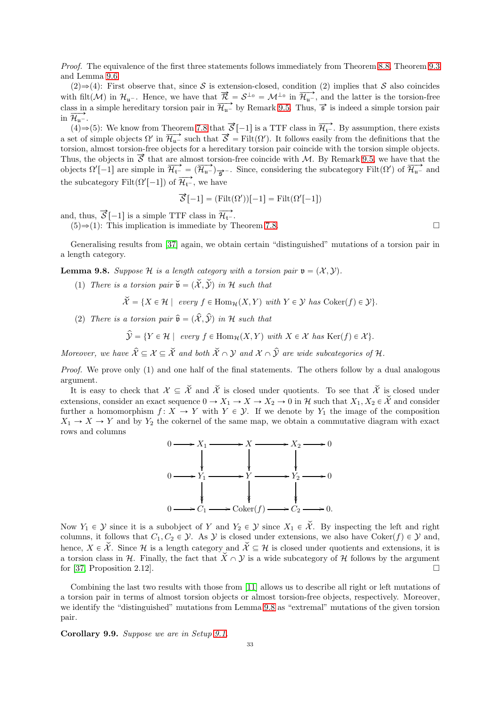*Proof.* The equivalence of the first three statements follows immediately from Theorem [8.8,](#page-29-0) Theorem [9.3](#page-30-4) and Lemma [9.6.](#page-31-0)

 $(2) \Rightarrow (4)$ : First observe that, since S is extension-closed, condition (2) implies that S also coincides with filt(M) in  $\mathcal{H}_{u}$ . Hence, we have that  $\vec{\mathcal{R}} = \mathcal{S}^{\perp_{0}} = \mathcal{M}^{\perp_{0}}$  in  $\overrightarrow{\mathcal{H}_{u}}$ , and the latter is the torsion-free class in a simple hereditary torsion pair in  $\overrightarrow{\mathcal{H}_{u}}$  by Remark [9.5.](#page-30-5) Thus,  $\vec{s}$  is indeed a simple torsion pair in  $\overrightarrow{\mathcal{H}_{\mathfrak{u}^{-}}}$ .

(4) $\Rightarrow$ (5): We know from Theorem [7.8](#page-26-0) that  $\vec{S}$  [-1] is a TTF class in  $\vec{H}_{t}$ <sup>-</sup>. By assumption, there exists a set of simple objects  $\Omega'$  in  $\overline{\mathcal{H}}_{u}$  such that  $\overline{\mathcal{S}} = \text{Filt}(\Omega')$ . It follows easily from the definitions that the torsion, almost torsion-free objects for a hereditary torsion pair coincide with the torsion simple objects. Thus, the objects in  $\vec{S}$  that are almost torsion-free coincide with M. By Remark [9.5,](#page-30-5) we have that the objects  $Ω'[-1]$  are simple in  $\overline{\mathcal{H}_{t-}} = (\overline{\mathcal{H}_{u-}})_{\overline{S}}$ . Since, considering the subcategory Filt $(Ω')$  of  $\overline{\mathcal{H}_{u-}}$  and the subcategory Filt $(\Omega'[-1])$  of  $\overrightarrow{\mathcal{H}_{t-}}$ , we have

$$
\vec{\mathcal{S}}\left[-1\right] = (\text{Filt}(\Omega'))[-1] = \text{Filt}(\Omega'[-1])
$$

and, thus,  $\vec{S}$ [-1] is a simple TTF class in  $\overrightarrow{\mathcal{H}_{t}}$ .

 $(5) \Rightarrow (1)$ : This implication is immediate by Theorem [7.8.](#page-26-0)

Generalising results from [\[37\]](#page-35-38) again, we obtain certain "distinguished" mutations of a torsion pair in a length category.

<span id="page-32-0"></span>**Lemma 9.8.** *Suppose*  $H$  *is a length category with a torsion pair*  $\mathfrak{v} = (X, Y)$ *.* 

(1) *There is a torsion pair*  $\check{\mathfrak{v}} = (\check{\mathfrak{X}}, \check{\mathfrak{Y}})$  *in* H *such that* 

$$
\tilde{\mathcal{X}} = \{ X \in \mathcal{H} \mid \text{ every } f \in \text{Hom}_{\mathcal{H}}(X, Y) \text{ with } Y \in \mathcal{Y} \text{ has } \text{Coker}(f) \in \mathcal{Y} \}.
$$

(2) *There is a torsion pair*  $\hat{\mathfrak{v}} = (\hat{\mathcal{X}}, \hat{\mathcal{Y}})$  *in* H *such that* 

$$
\hat{\mathcal{Y}} = \{ Y \in \mathcal{H} \mid \text{ every } f \in \text{Hom}_{\mathcal{H}}(X, Y) \text{ with } X \in \mathcal{X} \text{ has } \text{Ker}(f) \in \mathcal{X} \}.
$$

*Moreover, we have*  $\hat{\mathcal{X}} \subseteq \mathcal{X} \subseteq \check{\mathcal{X}}$  *and both*  $\check{\mathcal{X}} \cap \mathcal{Y}$  *and*  $\mathcal{X} \cap \hat{\mathcal{Y}}$  *are wide subcategories of*  $\mathcal{H}$ *.* 

*Proof.* We prove only (1) and one half of the final statements. The others follow by a dual analogous argument.

It is easy to check that  $\mathcal{X} \subseteq \check{\mathcal{X}}$  and  $\check{\mathcal{X}}$  is closed under quotients. To see that  $\check{\mathcal{X}}$  is closed under extensions, consider an exact sequence  $0 \to X_1 \to X \to X_2 \to 0$  in H such that  $X_1, X_2 \in \check{\mathcal{X}}$  and consider further a homomorphism  $f: X \to Y$  with  $Y \in \mathcal{Y}$ . If we denote by  $Y_1$  the image of the composition  $X_1 \rightarrow X \rightarrow Y$  and by  $Y_2$  the cokernel of the same map, we obtain a commutative diagram with exact rows and columns



Now  $Y_1 \in \mathcal{Y}$  since it is a subobject of Y and  $Y_2 \in \mathcal{Y}$  since  $X_1 \in \mathcal{X}$ . By inspecting the left and right columns, it follows that  $C_1, C_2 \in \mathcal{Y}$ . As  $\mathcal{Y}$  is closed under extensions, we also have Coker $(f) \in \mathcal{Y}$  and, hence,  $X \in \mathcal{X}$ . Since H is a length category and  $\mathcal{X} \subseteq \mathcal{H}$  is closed under quotients and extensions, it is a torsion class in H. Finally, the fact that  $\check{X} \cap Y$  is a wide subcategory of H follows by the argument for [37. Proposition 2.12]. for [\[37,](#page-35-38) Proposition 2.12].

Combining the last two results with those from [\[11\]](#page-35-42) allows us to describe all right or left mutations of a torsion pair in terms of almost torsion objects or almost torsion-free objects, respectively. Moreover, we identify the "distinguished" mutations from Lemma [9.8](#page-32-0) as "extremal" mutations of the given torsion pair.

Corollary 9.9. *Suppose we are in Setup [9.1.](#page-30-2)*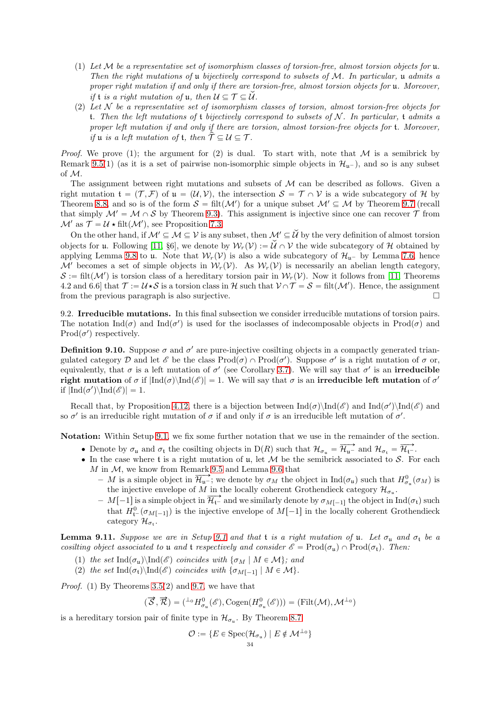- (1) *Let* M *be a representative set of isomorphism classes of torsion-free, almost torsion objects for* u*. Then the right mutations of* u *bijectively correspond to subsets of* M*. In particular,* u *admits a proper right mutation if and only if there are torsion-free, almost torsion objects for* u*. Moreover, if* **t** *is a right mutation of* **u**, then  $\mathcal{U} \subseteq \mathcal{T} \subseteq \check{\mathcal{U}}$ *.*
- (2) *Let* N *be a representative set of isomorphism classes of torsion, almost torsion-free objects for* t*. Then the left mutations of* t *bijectively correspond to subsets of* N *. In particular,* t *admits a proper left mutation if and only if there are torsion, almost torsion-free objects for* t*. Moreover, if* **u** *is a left mutation of* **t***, then*  $\hat{\mathcal{T}} \subseteq \mathcal{U} \subseteq \mathcal{T}$ *.*

*Proof.* We prove (1); the argument for (2) is dual. To start with, note that  $M$  is a semibrick by Remark [9.5\(](#page-30-5)1) (as it is a set of pairwise non-isomorphic simple objects in  $\mathcal{H}_{u-}$ ), and so is any subset of M.

The assignment between right mutations and subsets of  $M$  can be described as follows. Given a right mutation  $\mathfrak{t} = (\mathcal{T}, \mathcal{F})$  of  $\mathfrak{u} = (\mathcal{U}, \mathcal{V})$ , the intersection  $\mathcal{S} = \mathcal{T} \cap \mathcal{V}$  is a wide subcategory of H by Theorem [8.8,](#page-29-0) and so is of the form  $S = \text{filt}(\mathcal{M}')$  for a unique subset  $\mathcal{M}' \subseteq \mathcal{M}$  by Theorem [9.7](#page-31-1) (recall that simply  $\mathcal{M}' = \mathcal{M} \cap \mathcal{S}$  by Theorem [9.3\)](#page-30-4). This assignment is injective since one can recover  $\mathcal{T}$  from  $\mathcal{M}'$  as  $\mathcal{T} = \mathcal{U} \star \text{filt}(\mathcal{M}')$ , see Proposition [7.3.](#page-24-2)

On the other hand, if  $\mathcal{M}' \subseteq \mathcal{M} \subseteq \mathcal{V}$  is any subset, then  $\mathcal{M}' \subseteq \mathcal{U}$  by the very definition of almost torsion objects for **u**. Following [\[11,](#page-35-42) §6], we denote by  $W_r(V) := \check{\mathcal{U}} \cap \mathcal{V}$  the wide subcategory of H obtained by applying Lemma [9.8](#page-32-0) to u. Note that  $W_r(V)$  is also a wide subcategory of  $\mathcal{H}_{u^-}$  by Lemma [7.6,](#page-26-2) hence  $\mathcal{M}'$  becomes a set of simple objects in  $\mathcal{W}_r(\mathcal{V})$ . As  $\mathcal{W}_r(\mathcal{V})$  is necessarily an abelian length category,  $\mathcal{S} := \text{filt}(\mathcal{M}')$  is torsion class of a hereditary torsion pair in  $\mathcal{W}_r(\mathcal{V})$ . Now it follows from [\[11,](#page-35-42) Theorems 4.2 and 6.6] that  $\mathcal{T} := \mathcal{U} \star \mathcal{S}$  is a torsion class in H such that  $\mathcal{V} \cap \mathcal{T} = \mathcal{S} = \text{filt}(\mathcal{M}')$ . Hence, the assignment from the previous paragraph is also surjective.  $\Box$ 

<span id="page-33-0"></span>9.2. Irreducible mutations. In this final subsection we consider irreducible mutations of torsion pairs. The notation  $\text{Ind}(\sigma)$  and  $\text{Ind}(\sigma')$  is used for the isoclasses of indecomposable objects in Prod $(\sigma)$  and  $\text{Prod}(\sigma')$  respectively.

**Definition 9.10.** Suppose  $\sigma$  and  $\sigma'$  are pure-injective cosilting objects in a compactly generated triangulated category D and let  $\mathscr E$  be the class  $\text{Prod}(\sigma) \cap \text{Prod}(\sigma')$ . Suppose  $\sigma'$  is a right mutation of  $\sigma$  or, equivalently, that  $\sigma$  is a left mutation of  $\sigma'$  (see Corollary [3.7\)](#page-8-1). We will say that  $\sigma'$  is an **irreducible** right mutation of  $\sigma$  if  $|\text{Ind}(\sigma)\setminus\text{Ind}(\mathscr{E})| = 1$ . We will say that  $\sigma$  is an irreducible left mutation of  $\sigma'$ if  $|\text{Ind}(\sigma')\rangle \text{Ind}(\mathscr{E})|=1.$ 

Recall that, by Proposition [4.12,](#page-16-1) there is a bijection between  $\text{Ind}(\sigma)\text{Ind}(\mathscr{E})$  and  $\text{Ind}(\sigma')\text{Ind}(\mathscr{E})$  and so  $\sigma'$  is an irreducible right mutation of  $\sigma$  if and only if  $\sigma$  is an irreducible left mutation of  $\sigma'$ .

Notation: Within Setup [9.1,](#page-30-2) we fix some further notation that we use in the remainder of the section.

- Denote by  $\sigma_{\mathfrak{u}}$  and  $\sigma_{\mathfrak{t}}$  the cosilting objects in D(R) such that  $\mathcal{H}_{\sigma_{\mathfrak{u}}} = \overrightarrow{\mathcal{H}_{\mathfrak{u}^-}}$  and  $\mathcal{H}_{\sigma_{\mathfrak{t}}} = \overrightarrow{\mathcal{H}_{\mathfrak{t}^-}}$ .
- $\bullet$  In the case where t is a right mutation of u, let M be the semibrick associated to S. For each  $M$  in  $M$ , we know from Remark [9.5](#page-30-5) and Lemma [9.6](#page-31-0) that
	- M is a simple object in  $\overline{\mathcal{H}_{u}}$ ; we denote by  $\sigma_M$  the object in Ind $(\sigma_u)$  such that  $H^0_{\sigma_u}(\sigma_M)$  is the injective envelope of M in the locally coherent Grothendieck category  $\mathcal{H}_{\sigma_{\mathfrak{u}}}$ .
	- $-M[-1]$  is a simple object in  $\overrightarrow{\mathcal{H}_{t-}}$  and we similarly denote by  $\sigma_{M[-1]}$  the object in Ind $(\sigma_t)$  such that  $H^0_{\mathfrak{t}^-}(\sigma_{M[-1]})$  is the injective envelope of  $M[-1]$  in the locally coherent Grothendieck category  $\mathcal{H}_{\sigma_{\mathfrak{t}}}$ .

<span id="page-33-1"></span>Lemma [9.1](#page-30-2)1. *Suppose we are in Setup* 9.1 *and that*  $t$  *is a right mutation of*  $u$ *. Let*  $\sigma_u$  *and*  $\sigma_t$  *be a cosilting object associated to* u *and* t *respectively and consider*  $\mathscr{E} = \text{Prod}(\sigma_{\mathfrak{u}}) \cap \text{Prod}(\sigma_{\mathfrak{t}})$ . Then:

- (1) *the set*  $\text{Ind}(\sigma_u)\text{Ind}(\mathscr{E})$  *coincides with*  $\{\sigma_M \mid M \in \mathcal{M}\}\$ ; and
- (2) the set  $\text{Ind}(\sigma_t)\backslash \text{Ind}(\mathscr{E})$  coincides with  $\{\sigma_{M[-1]} \mid M \in \mathcal{M}\}.$

*Proof.* (1) By Theorems [3.5\(](#page-7-0)2) and [9.7,](#page-31-1) we have that

$$
(\overrightarrow{S}, \overrightarrow{\mathcal{R}}) = ({}^{\perp_0} H^0_{\sigma_{\mathfrak{u}}}(\mathscr{E}), \text{Cogen}(H^0_{\sigma_{\mathfrak{u}}}(\mathscr{E}))) = (\text{Filt}(\mathcal{M}), \mathcal{M}^{\perp_0})
$$

is a hereditary torsion pair of finite type in  $\mathcal{H}_{\sigma_u}$ . By Theorem [8.7](#page-29-2)

$$
\mathcal{O} := \{ E \in \text{Spec}(\mathcal{H}_{\sigma_{\mathfrak{u}}}) \mid E \notin \mathcal{M}^{\perp_{0}} \}
$$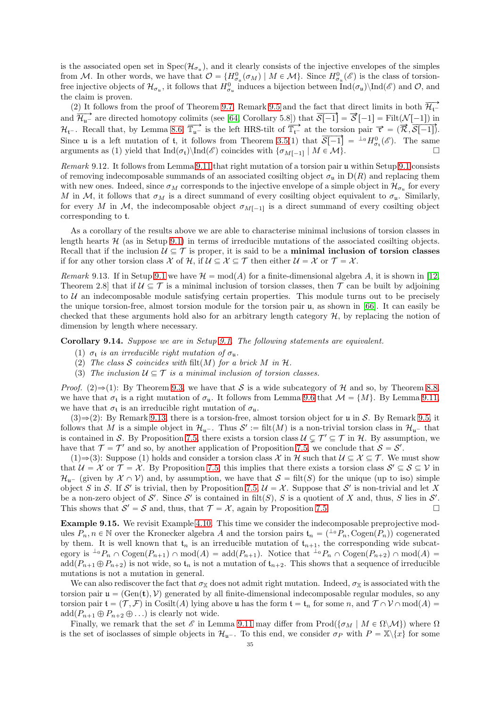is the associated open set in  $Spec(\mathcal{H}_{\sigma_u})$ , and it clearly consists of the injective envelopes of the simples from M. In other words, we have that  $\mathcal{O} = {H^0_{\sigma_\mathfrak{u}}(\sigma_M) \mid M \in \mathcal{M}}$ . Since  $H^0_{\sigma_\mathfrak{u}}(\mathscr{E})$  is the class of torsionfree injective objects of  $\mathcal{H}_{\sigma_u}$ , it follows that  $H^0_{\sigma_u}$  induces a bijection between  $\text{Ind}(\sigma_u)\setminus \text{Ind}(\mathscr{E})$  and  $\mathcal{O}$ , and the claim is proven.

(2) It follows from the proof of Theorem [9.7,](#page-31-1) Remark [9.5](#page-30-5) and the fact that direct limits in both  $\overrightarrow{\mathcal{H}_{t-}}$ and  $\overrightarrow{\mathcal{H}_{u^-}}$  are directed homotopy colimits (see [\[64,](#page-36-25) Corollary 5.8]) that  $\overrightarrow{\mathcal{S}[-1]} = \overrightarrow{\mathcal{S}}[-1] = \text{Filt}(\mathcal{N}[-1])$  in  $\mathcal{H}_{t}$ . Recall that, by Lemma [8.6,](#page-29-1)  $\overline{T}_{u^-}$  is the left HRS-tilt of  $\overline{T}_{t^-}$  at the torsion pair  $\vec{r} = (\vec{R}, \vec{S}[-1])$ . Since u is a left mutation of t, it follows from Theorem [3.5\(](#page-7-0)1) that  $\overline{\mathcal{S}[-1]} = {}^{\perp_0}H^0_{\sigma_t}(\mathscr{E})$ . The same arguments as (1) yield that  $\text{Ind}(\sigma_t)\setminus \text{Ind}(\mathscr{E})$  coincides with  $\{\sigma_{M[-1]} \mid M \in \mathcal{M}\}\$ .

*Remark* 9.12*.* It follows from Lemma [9.11](#page-33-1) that right mutation of a torsion pair u within Setup [9.1](#page-30-2) consists of removing indecomposable summands of an associated cosilting object  $\sigma_u$  in  $D(R)$  and replacing them with new ones. Indeed, since  $\sigma_M$  corresponds to the injective envelope of a simple object in  $\mathcal{H}_{\sigma_u}$  for every M in M, it follows that  $\sigma_M$  is a direct summand of every cosilting object equivalent to  $\sigma_u$ . Similarly, for every M in M, the indecomposable object  $\sigma_{M[-1]}$  is a direct summand of every cosilting object corresponding to t.

As a corollary of the results above we are able to characterise minimal inclusions of torsion classes in length hearts  $H$  (as in Setup [9.1\)](#page-30-2) in terms of irreducible mutations of the associated cosilting objects. Recall that if the inclusion  $\mathcal{U} \subseteq \mathcal{T}$  is proper, it is said to be a **minimal inclusion of torsion classes** if for any other torsion class X of H, if  $\mathcal{U} \subseteq \mathcal{X} \subseteq \mathcal{T}$  then either  $\mathcal{U} = \mathcal{X}$  or  $\mathcal{T} = \mathcal{X}$ .

<span id="page-34-2"></span>*Remark* [9.1](#page-30-2)3. If in Setup 9.1 we have  $\mathcal{H} = \text{mod}(A)$  for a finite-dimensional algebra A, it is shown in [\[12,](#page-35-13) Theorem 2.8] that if  $U \subseteq \mathcal{T}$  is a minimal inclusion of torsion classes, then  $\mathcal{T}$  can be built by adjoining to  $U$  an indecomposable module satisfying certain properties. This module turns out to be precisely the unique torsion-free, almost torsion module for the torsion pair u, as shown in [\[66\]](#page-36-29). It can easily be checked that these arguments hold also for an arbitrary length category  $H$ , by replacing the notion of dimension by length where necessary.

<span id="page-34-1"></span>Corollary 9.14. *Suppose we are in Setup [9.1.](#page-30-2) The following statements are equivalent.*

- (1)  $\sigma_t$  *is an irreducible right mutation of*  $\sigma_u$ *.*
- (2) The class S coincides with filt $(M)$  for a brick M in H.
- (3) The inclusion  $U \subseteq \mathcal{T}$  is a minimal inclusion of torsion classes.

*Proof.* (2) $\Rightarrow$ (1): By Theorem [9.3,](#page-30-4) we have that S is a wide subcategory of H and so, by Theorem [8.8,](#page-29-0) we have that  $\sigma_t$  is a right mutation of  $\sigma_u$ . It follows from Lemma [9.6](#page-31-0) that  $\mathcal{M} = \{M\}$ . By Lemma [9.11,](#page-33-1) we have that  $\sigma_t$  is an irreducible right mutation of  $\sigma_u$ .

 $(3) \Rightarrow (2)$ : By Remark [9.13,](#page-34-2) there is a torsion-free, almost torsion object for u in S. By Remark [9.5,](#page-30-5) it follows that M is a simple object in  $\mathcal{H}_{\mathfrak{u}}$ . Thus  $\mathcal{S}' := \text{filt}(M)$  is a non-trivial torsion class in  $\mathcal{H}_{\mathfrak{u}}$ - that is contained in S. By Proposition [7.5,](#page-25-1) there exists a torsion class  $\mathcal{U} \subsetneq \mathcal{T}' \subseteq \mathcal{T}$  in  $\mathcal{H}$ . By assumption, we have that  $\mathcal{T} = \mathcal{T}'$  and so, by another application of Proposition [7.5,](#page-25-1) we conclude that  $\mathcal{S} = \mathcal{S}'$ .

(1) $\Rightarrow$ (3): Suppose (1) holds and consider a torsion class X in H such that  $\mathcal{U} \subseteq \mathcal{X} \subseteq \mathcal{T}$ . We must show that  $\mathcal{U} = \mathcal{X}$  or  $\mathcal{T} = \mathcal{X}$ . By Proposition [7.5,](#page-25-1) this implies that there exists a torsion class  $\mathcal{S}' \subseteq \mathcal{S} \subseteq \mathcal{V}$  in  $\mathcal{H}_{\mathfrak{u}^-}$  (given by  $\mathcal{X} \cap \mathcal{V}$ ) and, by assumption, we have that  $\mathcal{S} = \text{filt}(S)$  for the unique (up to iso) simple object S in S. If S' is trivial, then by Proposition [7.5,](#page-25-1)  $\mathcal{U} = \mathcal{X}$ . Suppose that S' is non-trivial and let X be a non-zero object of S'. Since S' is contained in filt(S), S is a quotient of X and, thus, S lies in S'. This shows that  $S' = S$  and, thus, that  $\mathcal{T} = \mathcal{X}$ , again by Proposition [7.5.](#page-25-1)

<span id="page-34-0"></span>Example 9.15. We revisit Example [4.10.](#page-15-0) This time we consider the indecomposable preprojective modules  $P_n, n \in \mathbb{N}$  over the Kronecker algebra A and the torsion pairs  $\mathfrak{t}_n = (\perp_0 P_n, \text{Cogen}(P_n))$  cogenerated by them. It is well known that  $t_n$  is an irreducible mutation of  $t_{n+1}$ , the corresponding wide subcategory is  ${}^{\perp_0}P_n \cap \text{Cogen}(P_{n+1}) \cap \text{mod}(A) = \text{add}(P_{n+1})$ . Notice that  ${}^{\perp_0}P_n \cap \text{Cogen}(P_{n+2}) \cap \text{mod}(A) =$  $add(P_{n+1} \oplus P_{n+2})$  is not wide, so  $t_n$  is not a mutation of  $t_{n+2}$ . This shows that a sequence of irreducible mutations is not a mutation in general.

We can also rediscover the fact that  $\sigma_{\mathbb{X}}$  does not admit right mutation. Indeed,  $\sigma_{\mathbb{X}}$  is associated with the torsion pair  $\mathfrak{u} = (\text{Gen}(\mathbf{t}), \mathcal{V})$  generated by all finite-dimensional indecomposable regular modules, so any torsion pair  $\mathfrak{t} = (\mathcal{T}, \mathcal{F})$  in Cosilt $(A)$  lying above u has the form  $\mathfrak{t} = \mathfrak{t}_n$  for some n, and  $\mathcal{T} \cap \mathcal{V} \cap \text{mod}(A)$  $\text{add}(P_{n+1} \oplus P_{n+2} \oplus \ldots)$  is clearly not wide.

Finally, we remark that the set  $\mathscr E$  in Lemma [9.11](#page-33-1) may differ from Prod $(\{\sigma_M \mid M \in \Omega \setminus \mathcal{M}\})$  where  $\Omega$ is the set of isoclasses of simple objects in  $\mathcal{H}_{u}$ . To this end, we consider  $\sigma_P$  with  $P = \mathbb{X}\setminus\{x\}$  for some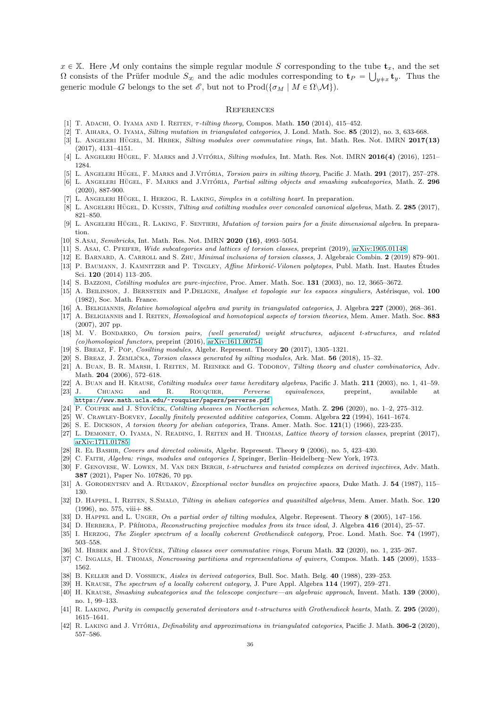$x \in X$ . Here M only contains the simple regular module S corresponding to the tube  $t_x$ , and the set  $\Omega$  consists of the Prüfer module  $S_{\infty}$  and the adic modules corresponding to  $\mathbf{t}_P = \bigcup_{y \neq x} \mathbf{t}_y$ . Thus the generic module G belongs to the set  $\mathscr{E}$ , but not to Prod $(\{\sigma_M \mid M \in \Omega \setminus \mathcal{M}\})$ .

## <span id="page-35-0"></span>**REFERENCES**

- <span id="page-35-6"></span><span id="page-35-4"></span>[1] T. ADACHI, O. IYAMA AND I. REITEN, *τ-tilting theory*, Compos. Math. 150 (2014), 415-452.
- <span id="page-35-27"></span>[2] T. Aihara, O. Iyama, Silting mutation in triangulated categories, J. Lond. Math. Soc. 85 (2012), no. 3, 633-668.
- [3] L. ANGELERI HÜGEL, M. HRBEK, Silting modules over commutative rings, Int. Math. Res. Not. IMRN 2017(13) (2017), 4131–4151.
- <span id="page-35-29"></span><span id="page-35-11"></span>[4] L. ANGELERI HÜGEL, F. MARKS and J.VITÓRIA, Silting modules, Int. Math. Res. Not. IMRN  $2016(4)$  (2016), 1251– 1284.
- <span id="page-35-30"></span>[5] L. ANGELERI HÜGEL, F. MARKS and J.VITÓRIA, Torsion pairs in silting theory, Pacific J. Math. 291 (2017), 257–278. [6] L. ANGELERI HÜGEL, F. MARKS and J.VITÓRIA, Partial silting objects and smashing subcategories, Math. Z. 296 (2020), 887-900.
- <span id="page-35-34"></span><span id="page-35-14"></span>[7] L. ANGELERI HÜGEL, I. HERZOG, R. LAKING, Simples in a cotiling heart. In preparation.
- <span id="page-35-15"></span>[8] L. ANGELERI HÜGEL, D. KUSSIN, Tilting and cotilting modules over concealed canonical algebras, Math. Z. 285 (2017), 821–850.
- <span id="page-35-41"></span>[9] L. ANGELERI HÜGEL, R. LAKING, F. SENTIERI, Mutation of torsion pairs for a finite dimensional algebra. In preparation.
- <span id="page-35-42"></span>[10] S.Asai, Semibricks, Int. Math. Res. Not. IMRN 2020 (16), 4993-5054.
- <span id="page-35-13"></span>[11] S. Asai, C. PFEIFER, Wide subcategories and lattices of torsion classes, preprint (2019), [arXiv:1905.01148.](http://arxiv.org/abs/1905.01148)
- <span id="page-35-37"></span>[12] E. Barnard, A. Carroll and S. Zhu, Minimal inclusions of torsion classes, J. Algebraic Combin. 2 (2019) 879–901.
- [13] P. BAUMANN, J. KAMNITZER and P. TINGLEY, Affine Mirković-Vilonen polytopes, Publ. Math. Inst. Hautes Études Sci. 120 (2014) 113–205.
- <span id="page-35-23"></span><span id="page-35-16"></span>[14] S. Bazzoni, Cotilting modules are pure-injective, Proc. Amer. Math. Soc. 131 (2003), no. 12, 3665–3672.
- [15] A. BEILINSON, J. BERNSTEIN and P.DELIGNE, Analyse et topologie sur les espaces singuliers, Astérisque, vol. 100 (1982), Soc. Math. France.
- <span id="page-35-33"></span><span id="page-35-20"></span>[16] A. BELIGIANNIS, Relative homological algebra and purity in triangulated categories, J. Algebra 227 (2000), 268–361.
- [17] A. BELIGIANNIS and I. REITEN, *Homological and homotopical aspects of torsion theories*, Mem. Amer. Math. Soc. 883 (2007), 207 pp.
- <span id="page-35-31"></span>[18] M. V. Bondarko, On torsion pairs, (well generated) weight structures, adjacent t-structures, and related (co)homological functors, preprint (2016), [arXiv:1611.00754.](http://arxiv.org/abs/1611.00754)
- <span id="page-35-21"></span><span id="page-35-10"></span>[19] S. Breaz, F. Pop, Cosilting modules, Algebr. Represent. Theory 20 (2017), 1305–1321.
- <span id="page-35-3"></span>[20] S. BREAZ, J. ŽEMLIČKA, Torsion classes generated by silting modules, Ark. Mat.  $56$  (2018), 15–32.
- [21] A. BUAN, B. R. MARSH, I. REITEN, M. REINEKE and G. TODOROV, Tilting theory and cluster combinatorics, Adv. Math. 204 (2006), 572–618.
- <span id="page-35-32"></span><span id="page-35-26"></span>[22] A. Buan and H. Krause, Cotilting modules over tame hereditary algebras, Pacific J. Math. 211 (2003), no. 1, 41–59. [23] J. CHUANG and R. ROUQUIER, *Perverse equivalences*, preprint, available at
- <span id="page-35-24"></span><https://www.math.ucla.edu/~rouquier/papers/perverse.pdf>.
- <span id="page-35-9"></span> $[24]$  P. COUPEK and J. S\*roviček, Cotilting sheaves on Noetherian schemes, Math. Z. 296 (2020), no. 1–2, 275–312.
- <span id="page-35-19"></span>[25] W. CRAWLEY-BOEVEY, Locally finitely presented additive categories, Comm. Algebra 22 (1994), 1641-1674.
- <span id="page-35-12"></span>[26] S. E. Dickson, A torsion theory for abelian categories, Trans. Amer. Math. Soc. 121(1) (1966), 223-235.
- [27] L. DEMONET, O. IYAMA, N. READING, I. REITEN and H. THOMAS, Lattice theory of torsion classes, preprint (2017), [arXiv:1711.01785.](http://arxiv.org/abs/1711.01785)
- <span id="page-35-25"></span><span id="page-35-18"></span>[28] R. El Bashir, Covers and directed colimits, Algebr. Represent. Theory 9 (2006), no. 5, 423–430.
- <span id="page-35-8"></span>[29] C. Faith, Algebra: rings, modules and categories I, Springer, Berlin–Heidelberg–New York, 1973.
- [30] F. Genovese, W. Lowen, M. Van den Bergh, t-structures and twisted complexes on derived injectives, Adv. Math. 387 (2021), Paper No. 107826, 70 pp.
- <span id="page-35-1"></span>[31] A. GORODENTSEV and A. RUDAKOV, Exceptional vector bundles on projective spaces, Duke Math. J. 54 (1987), 115– 130.
- <span id="page-35-17"></span>[32] D. HAPPEL, I. REITEN, S.SMALØ, Tilting in abelian categories and quasitilted algebras, Mem. Amer. Math. Soc. 120 (1996), no. 575, viii+ 88.
- <span id="page-35-35"></span><span id="page-35-2"></span>[33] D. HAPPEL and L. UNGER, On a partial order of tilting modules, Algebr. Represent. Theory 8 (2005), 147-156.
- <span id="page-35-40"></span>[34] D. HERBERA, P. PŘÍHODA, Reconstructing projective modules from its trace ideal, J. Algebra 416 (2014), 25–57.
- [35] I. HERZOG, The Ziegler spectrum of a locally coherent Grothendieck category, Proc. Lond. Math. Soc. 74 (1997), 503–558.
- <span id="page-35-38"></span><span id="page-35-28"></span>[36] M. HRBEK and J. ŠŤOVÍČEK, Tilting classes over commutative rings, Forum Math. 32 (2020), no. 1, 235–267.
- [37] C. INGALLS, H. THOMAS, Noncrossing partitions and representations of quivers, Compos. Math. 145 (2009), 1533– 1562.
- <span id="page-35-39"></span><span id="page-35-5"></span>[38] B. KELLER and D. VOSSIECK, Aisles in derived categories, Bull. Soc. Math. Belg. 40 (1988), 239–253.
- <span id="page-35-22"></span>[39] H. KRAUSE, *The spectrum of a locally coherent category*, J. Pure Appl. Algebra 114 (1997), 259–271.
- [40] H. KRAUSE, Smashing subcategories and the telescope conjecture—an algebraic approach, Invent. Math. 139 (2000), no. 1, 99–133.
- <span id="page-35-7"></span>[41] R. LAKING, Purity in compactly generated derivators and t-structures with Grothendieck hearts, Math. Z. 295 (2020), 1615–1641.
- <span id="page-35-36"></span>[42] R. LAKING and J. VITÓRIA, *Definability and approximations in triangulated categories*, Pacific J. Math. 306-2 (2020), 557–586.